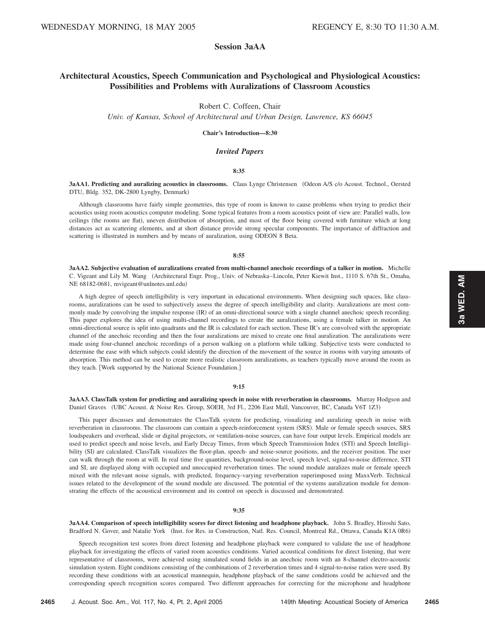# **Session 3aAA**

# **Architectural Acoustics, Speech Communication and Psychological and Physiological Acoustics: Possibilities and Problems with Auralizations of Classroom Acoustics**

Robert C. Coffeen, Chair

*Univ. of Kansas, School of Architectural and Urban Design, Lawrence, KS 66045*

**Chair's Introduction—8:30**

## *Invited Papers*

## **8:35**

**3aAA1. Predicting and auralizing acoustics in classrooms.** Claus Lynge Christensen (Odeon A/S c/o Acoust. Technol., Oersted DTU, Bldg. 352, DK-2800 Lyngby, Denmark)

Although classrooms have fairly simple geometries, this type of room is known to cause problems when trying to predict their acoustics using room acoustics computer modeling. Some typical features from a room acoustics point of view are: Parallel walls, low ceilings (the rooms are flat), uneven distribution of absorption, and most of the floor being covered with furniture which at long distances act as scattering elements, and at short distance provide strong specular components. The importance of diffraction and scattering is illustrated in numbers and by means of auralization, using ODEON 8 Beta.

### **8:55**

**3aAA2. Subjective evaluation of auralizations created from multi-channel anechoic recordings of a talker in motion.** Michelle C. Vigeant and Lily M. Wang Architectural Engr. Prog., Univ. of Nebraska–Lincoln, Peter Kiewit Inst., 1110 S. 67th St., Omaha, NE 68182-0681, mvigeant@unlnotes.unl.edu-

A high degree of speech intelligibility is very important in educational environments. When designing such spaces, like classrooms, auralizations can be used to subjectively assess the degree of speech intelligibility and clarity. Auralizations are most commonly made by convolving the impulse response (IR) of an omni-directional source with a single channel anechoic speech recording. This paper explores the idea of using multi-channel recordings to create the auralizations, using a female talker in motion. An omni-directional source is split into quadrants and the IR is calculated for each section. These IR's are convolved with the appropriate channel of the anechoic recording and then the four auralizations are mixed to create one final auralization. The auralizations were made using four-channel anechoic recordings of a person walking on a platform while talking. Subjective tests were conducted to determine the ease with which subjects could identify the direction of the movement of the source in rooms with varying amounts of absorption. This method can be used to create more realistic classroom auralizations, as teachers typically move around the room as they teach. Work supported by the National Science Foundation.

### **9:15**

**3aAA3. ClassTalk system for predicting and auralizing speech in noise with reverberation in classrooms.** Murray Hodgson and Daniel Graves UBC Acoust. & Noise Res. Group, SOEH, 3rd Fl., 2206 East Mall, Vancouver, BC, Canada V6T 1Z3-

This paper discusses and demonstrates the ClassTalk system for predicting, visualizing and auralizing speech in noise with reverberation in classrooms. The classroom can contain a speech-reinforcement system (SRS). Male or female speech sources, SRS loudspeakers and overhead, slide or digital projectors, or ventilation-noise sources, can have four output levels. Empirical models are used to predict speech and noise levels, and Early Decay Times, from which Speech Transmission Index (STI) and Speech Intelligibility (SI) are calculated. ClassTalk visualizes the floor-plan, speech- and noise-source positions, and the receiver position. The user can walk through the room at will. In real time five quantities, background-noise level, speech level, signal-to-noise difference, STI and SI, are displayed along with occupied and unoccupied reverberation times. The sound module auralizes male or female speech mixed with the relevant noise signals, with predicted, frequency-varying reverberation superimposed using MaxxVerb. Technical issues related to the development of the sound module are discussed. The potential of the systems auralization module for demonstrating the effects of the acoustical environment and its control on speech is discussed and demonstrated.

#### **9:35**

**3aAA4. Comparison of speech intelligibility scores for direct listening and headphone playback.** John S. Bradley, Hiroshi Sato, Bradford N. Gover, and Natalie York (Inst. for Res. in Construction, Natl. Res. Council, Montreal Rd., Ottawa, Canada K1A 0R6)

Speech recognition test scores from direct listening and headphone playback were compared to validate the use of headphone playback for investigating the effects of varied room acoustics conditions. Varied acoustical conditions for direct listening, that were representative of classrooms, were achieved using simulated sound fields in an anechoic room with an 8-channel electro-acoustic simulation system. Eight conditions consisting of the combinations of 2 reverberation times and 4 signal-to-noise ratios were used. By recording these conditions with an acoustical mannequin, headphone playback of the same conditions could be achieved and the corresponding speech recognition scores compared. Two different approaches for correcting for the microphone and headphone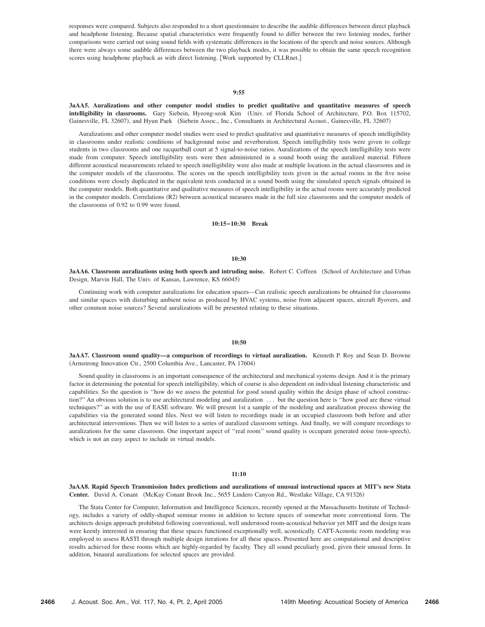responses were compared. Subjects also responded to a short questionnaire to describe the audible differences between direct playback and headphone listening. Because spatial characteristics were frequently found to differ between the two listening modes, further comparisons were carried out using sound fields with systematic differences in the locations of the speech and noise sources. Although there were always some audible differences between the two playback modes, it was possible to obtain the same speech recognition scores using headphone playback as with direct listening. Work supported by CLLRnet.

## **9:55**

**3aAA5. Auralizations and other computer model studies to predict qualitative and quantitative measures of speech intelligibility in classrooms.** Gary Siebein, Hyeong-seok Kim Univ. of Florida School of Architecture, P.O. Box 115702, Gainesville, FL 32607), and Hyun Paek (Siebein Assoc., Inc., Consultants in Architectural Acoust., Gainesville, FL 32607)

Auralizations and other computer model studies were used to predict qualitative and quantitative measures of speech intelligibility in classrooms under realistic conditions of background noise and reverberation. Speech intelligibility tests were given to college students in two classrooms and one racquetball court at 5 signal-to-noise ratios. Auralizations of the speech intelligibility tests were made from computer. Speech intelligibility tests were then administered in a sound booth using the auralized material. Fifteen different acoustical measurements related to speech intelligibility were also made at multiple locations in the actual classrooms and in the computer models of the classrooms. The scores on the speech intelligibility tests given in the actual rooms in the five noise conditions were closely duplicated in the equivalent tests conducted in a sound booth using the simulated speech signals obtained in the computer models. Both quantitative and qualitative measures of speech intelligibility in the actual rooms were accurately predicted in the computer models. Correlations (R2) between acoustical measures made in the full size classrooms and the computer models of the classrooms of 0.92 to 0.99 were found.

#### **10:15–10:30 Break**

#### **10:30**

3aAA6. Classroom auralizations using both speech and intruding noise. Robert C. Coffeen (School of Architecture and Urban Design, Marvin Hall, The Univ. of Kansas, Lawrence, KS 66045)

Continuing work with computer auralizations for education spaces—Can realistic speech auralizations be obtained for classrooms and similar spaces with disturbing ambient noise as produced by HVAC systems, noise from adjacent spaces, aircraft flyovers, and other common noise sources? Several auralizations will be presented relating to these situations.

#### **10:50**

**3aAA7. Classroom sound quality—a comparison of recordings to virtual auralization.** Kenneth P. Roy and Sean D. Browne (Armstrong Innovation Ctr., 2500 Columbia Ave., Lancaster, PA 17604)

Sound quality in classrooms is an important consequence of the architectural and mechanical systems design. And it is the primary factor in determining the potential for speech intelligibility, which of course is also dependent on individual listening characteristic and capabilities. So the question is ''how do we assess the potential for good sound quality within the design phase of school construction?'' An obvious solution is to use architectural modeling and auralization . . . but the question here is ''how good are these virtual techniques?'' as with the use of EASE software. We will present 1st a sample of the modeling and auralization process showing the capabilities via the generated sound files. Next we will listen to recordings made in an occupied classroom both before and after architectural interventions. Then we will listen to a series of auralized classroom settings. And finally, we will compare recordings to auralizations for the same classroom. One important aspect of "real room" sound quality is occupant generated noise (non-speech), which is not an easy aspect to include in virtual models.

## **11:10**

## **3aAA8. Rapid Speech Transmission Index predictions and auralizations of unusual instructional spaces at MIT's new Stata** Center. David A. Conant (McKay Conant Brook Inc., 5655 Lindero Canyon Rd., Westlake Village, CA 91326)

The Stata Center for Computer, Information and Intelligence Sciences, recently opened at the Massachusetts Institute of Technology, includes a variety of oddly-shaped seminar rooms in addition to lecture spaces of somewhat more conventional form. The architects design approach prohibited following conventional, well understood room-acoustical behavior yet MIT and the design team were keenly interested in ensuring that these spaces functioned exceptionally well, acoustically. CATT-Acoustic room modeling was employed to assess RASTI through multiple design iterations for all these spaces. Presented here are computational and descriptive results achieved for these rooms which are highly-regarded by faculty. They all sound peculiarly good, given their unusual form. In addition, binaural auralizations for selected spaces are provided.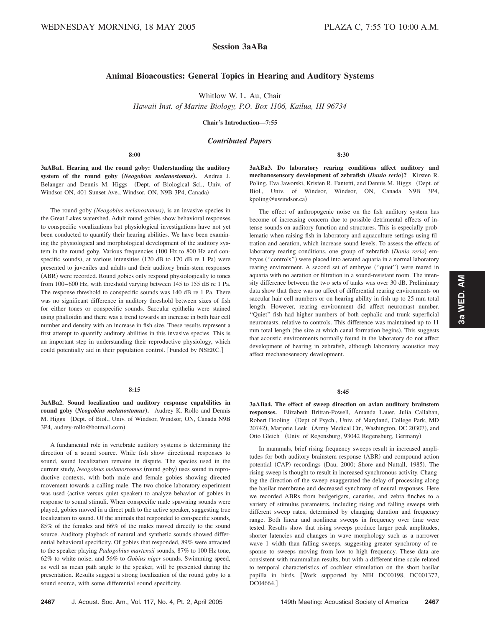# **Session 3aABa**

## **Animal Bioacoustics: General Topics in Hearing and Auditory Systems**

Whitlow W. L. Au, Chair

*Hawaii Inst. of Marine Biology, P.O. Box 1106, Kailua, HI 96734*

**Chair's Introduction—7:55**

## *Contributed Papers*

**8:00**

**3aABa1. Hearing and the round goby: Understanding the auditory** system of the round goby (*Neogobius melanostomus*). Andrea J. Belanger and Dennis M. Higgs (Dept. of Biological Sci., Univ. of Windsor ON, 401 Sunset Ave., Windsor, ON, N9B 3P4, Canada)

The round goby *(Neogobius melanostomus)*, is an invasive species in the Great Lakes watershed. Adult round gobies show behavioral responses to conspecific vocalizations but physiological investigations have not yet been conducted to quantify their hearing abilities. We have been examining the physiological and morphological development of the auditory system in the round goby. Various frequencies (100 Hz to 800 Hz and conspecific sounds), at various intensities (120 dB to 170 dB re 1 Pa) were presented to juveniles and adults and their auditory brain-stem responses (ABR) were recorded. Round gobies only respond physiologically to tones from 100–600 Hz, with threshold varying between 145 to 155 dB re 1 Pa. The response threshold to conspecific sounds was 140 dB re 1 Pa. There was no significant difference in auditory threshold between sizes of fish for either tones or conspecific sounds. Saccular epithelia were stained using phalloidin and there was a trend towards an increase in both hair cell number and density with an increase in fish size. These results represent a first attempt to quantify auditory abilities in this invasive species. This is an important step in understanding their reproductive physiology, which could potentially aid in their population control. Funded by NSERC.

## **8:15**

**3aABa2. Sound localization and auditory response capabilities in** round goby (Neogobius melanostomus). Audrey K. Rollo and Dennis M. Higgs (Dept. of Biol., Univ. of Windsor, Windsor, ON, Canada N9B 3P4, audrey-rollo@hotmail.com-

A fundamental role in vertebrate auditory systems is determining the direction of a sound source. While fish show directional responses to sound, sound localization remains in dispute. The species used in the current study, *Neogobius melanostomus* (round goby) uses sound in reproductive contexts, with both male and female gobies showing directed movement towards a calling male. The two-choice laboratory experiment was used (active versus quiet speaker) to analyze behavior of gobies in response to sound stimuli. When conspecific male spawning sounds were played, gobies moved in a direct path to the active speaker, suggesting true localization to sound. Of the animals that responded to conspecific sounds, 85% of the females and 66% of the males moved directly to the sound source. Auditory playback of natural and synthetic sounds showed differential behavioral specificity. Of gobies that responded, 89% were attracted to the speaker playing *Padogobius martensii* sounds, 87% to 100 Hz tone, 62% to white noise, and 56% to *Gobius niger* sounds. Swimming speed, as well as mean path angle to the speaker, will be presented during the presentation. Results suggest a strong localization of the round goby to a sound source, with some differential sound specificity.

**2467** J. Acoust. Soc. Am., Vol. 117, No. 4, Pt. 2, April 2005 149th Meeting: Acoustical Society of America **2467**

**8:30 3aABa3. Do laboratory rearing conditions affect auditory and**

**mechanosensory development of zebrafish (Danio rerio)?** Kirsten R. Poling, Eva Jaworski, Kristen R. Fantetti, and Dennis M. Higgs (Dept. of

Biol., Univ. of Windsor, Windsor, ON, Canada N9B 3P4, kpoling@uwindsor.ca) The effect of anthropogenic noise on the fish auditory system has become of increasing concern due to possible detrimental effects of intense sounds on auditory function and structures. This is especially problematic when raising fish in laboratory and aquaculture settings using filtration and aeration, which increase sound levels. To assess the effects of laboratory rearing conditions, one group of zebrafish (Danio rerio) embryos ("controls") were placed into aerated aquaria in a normal laboratory rearing environment. A second set of embryos ("quiet") were reared in aquaria with no aeration or filtration in a sound-resistant room. The intensity difference between the two sets of tanks was over 30 dB. Preliminary data show that there was no affect of differential rearing environments on saccular hair cell numbers or on hearing ability in fish up to 25 mm total length. However, rearing environment did affect neuromast number.

''Quiet'' fish had higher numbers of both cephalic and trunk superficial neuromasts, relative to controls. This difference was maintained up to 11 mm total length (the size at which canal formation begins). This suggests that acoustic environments normally found in the laboratory do not affect development of hearing in zebrafish, although laboratory acoustics may affect mechanosensory development.

## **8:45**

**3aABa4. The effect of sweep direction on avian auditory brainstem responses.** Elizabeth Brittan-Powell, Amanda Lauer, Julia Callahan, Robert Dooling (Dept of Psych., Univ. of Maryland, College Park, MD 20742), Marjorie Leek (Army Medical Ctr., Washington, DC 20307), and Otto Gleich (Univ. of Regensburg, 93042 Regensburg, Germany)

In mammals, brief rising frequency sweeps result in increased amplitudes for both auditory brainstem response (ABR) and compound action potential (CAP) recordings (Dau, 2000; Shore and Nuttall, 1985). The rising sweep is thought to result in increased synchronous activity. Changing the direction of the sweep exaggerated the delay of processing along the basilar membrane and decreased synchrony of neural responses. Here we recorded ABRs from budgerigars, canaries, and zebra finches to a variety of stimulus parameters, including rising and falling sweeps with different sweep rates, determined by changing duration and frequency range. Both linear and nonlinear sweeps in frequency over time were tested. Results show that rising sweeps produce larger peak amplitudes, shorter latencies and changes in wave morphology such as a narrower wave 1 width than falling sweeps, suggesting greater synchrony of response to sweeps moving from low to high frequency. These data are consistent with mammalian results, but with a different time scale related to temporal characteristics of cochlear stimulation on the short basilar papilla in birds. [Work supported by NIH DC00198, DC001372, DC04664.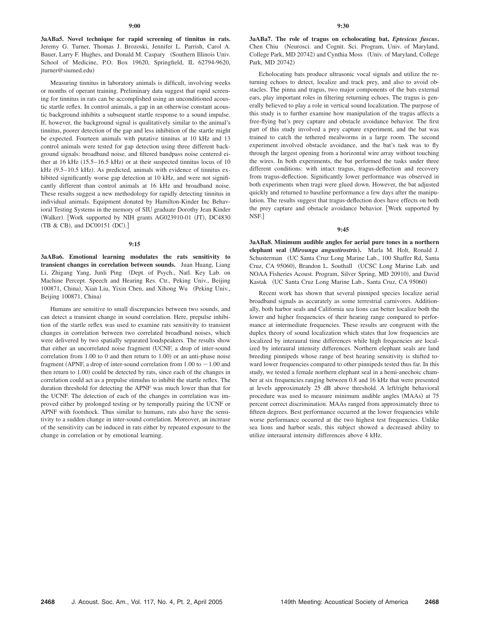**3aABa5. Novel technique for rapid screening of tinnitus in rats.** Jeremy G. Turner, Thomas J. Brozoski, Jennifer L. Parrish, Carol A. Bauer, Larry F. Hughes, and Donald M. Caspary (Southern Illinois Univ. School of Medicine, P.O. Box 19620, Springfield, IL 62794-9620, jturner@siumed.edu)

Measuring tinnitus in laboratory animals is difficult, involving weeks or months of operant training. Preliminary data suggest that rapid screening for tinnitus in rats can be accomplished using an unconditioned acoustic startle reflex. In control animals, a gap in an otherwise constant acoustic background inhibits a subsequent startle response to a sound impulse. If, however, the background signal is qualitatively similar to the animal's tinnitus, poorer detection of the gap and less inhibition of the startle might be expected. Fourteen animals with putative tinnitus at 10 kHz and 13 control animals were tested for gap detection using three different background signals: broadband noise, and filtered bandpass noise centered either at  $16$  kHz  $(15.5-16.5$  kHz) or at their suspected tinnitus locus of  $10$ kHz (9.5–10.5 kHz). As predicted, animals with evidence of tinnitus exhibited significantly worse gap detection at 10 kHz, and were not significantly different than control animals at 16 kHz and broadband noise. These results suggest a new methodology for rapidly detecting tinnitus in individual animals. Equipment donated by Hamilton-Kinder Inc Behavioral Testing Systems in the memory of SIU graduate Dorothy Jean Kinder (Walker). [Work supported by NIH grants AG023910-01 (JT), DC4830 (TB & CB), and DC00151 (DC).]

### **9:15**

**3aABa6. Emotional learning modulates the rats sensitivity to transient changes in correlation between sounds.** Juan Huang, Liang Li, Zhigang Yang, Junli Ping (Dept. of Psych., Natl. Key Lab. on Machine Percept. Speech and Hearing Res. Ctr., Peking Univ., Beijing 100871, China), Xian Liu, Yixin Chen, and Xihong Wu (Peking Univ., Beijing 100871, China)

Humans are sensitive to small discrepancies between two sounds, and can detect a transient change in sound correlation. Here, prepulse inhibition of the startle reflex was used to examine rats sensitivity to transient changes in correlation between two correlated broadband noises, which were delivered by two spatially separated loudspeakers. The results show that either an uncorrelated noise fragment UCNF, a drop of inter-sound correlation from  $1.00$  to  $0$  and then return to  $1.00$ ) or an anti-phase noise fragment (APNF, a drop of inter-sound correlation from 1.00 to  $-1.00$  and then return to 1.00) could be detected by rats, since each of the changes in correlation could act as a prepulse stimulus to inhibit the startle reflex. The duration threshold for detecting the APNF was much lower than that for the UCNF. The detection of each of the changes in correlation was improved either by prolonged testing or by temporally pairing the UCNF or APNF with footshock. Thus similar to humans, rats also have the sensitivity to a sudden change in inter-sound correlation. Moreover, an increase of the sensitivity can be induced in rats either by repeated exposure to the change in correlation or by emotional learning.

**3aABa7. The role of tragus on echolocating bat,** *Eptesicus fuscus***.** Chen Chiu (Neurosci. and Cognit. Sci. Program, Univ. of Maryland, College Park, MD 20742) and Cynthia Moss (Univ. of Maryland, College Park, MD 20742)

Echolocating bats produce ultrasonic vocal signals and utilize the returning echoes to detect, localize and track prey, and also to avoid obstacles. The pinna and tragus, two major components of the bats external ears, play important roles in filtering returning echoes. The tragus is generally believed to play a role in vertical sound localization. The purpose of this study is to further examine how manipulation of the tragus affects a free-flying bat's prey capture and obstacle avoidance behavior. The first part of this study involved a prey capture experiment, and the bat was trained to catch the tethered mealworms in a large room. The second experiment involved obstacle avoidance, and the bat's task was to fly through the largest opening from a horizontal wire array without touching the wires. In both experiments, the bat performed the tasks under three different conditions: with intact tragus, tragus-deflection and recovery from tragus-deflection. Significantly lower performance was observed in both experiments when tragi were glued down. However, the bat adjusted quickly and returned to baseline performance a few days after the manipulation. The results suggest that tragus-deflection does have effects on both the prey capture and obstacle avoidance behavior. Work supported by NSF.

#### **9:45**

**3aABa8. Minimum audible angles for aerial pure tones in a northern elephant seal** "*Mirounga angustirostris*…**.** Marla M. Holt, Ronald J. Schusterman UC Santa Cruz Long Marine Lab., 100 Shaffer Rd, Santa Cruz, CA 95060), Brandon L. Southall (UCSC Long Marine Lab. and NOAA Fisheries Acoust. Program, Silver Spring, MD 20910), and David Kastak (UC Santa Cruz Long Marine Lab., Santa Cruz, CA 95060)

Recent work has shown that several pinniped species localize aerial broadband signals as accurately as some terrestrial carnivores. Additionally, both harbor seals and California sea lions can better localize both the lower and higher frequencies of their hearing range compared to performance at intermediate frequencies. These results are congruent with the duplex theory of sound localization which states that low frequencies are localized by interaural time differences while high frequencies are localized by interaural intensity differences. Northern elephant seals are land breeding pinnipeds whose range of best hearing sensitivity is shifted toward lower frequencies compared to other pinnipeds tested thus far. In this study, we tested a female northern elephant seal in a hemi-anechoic chamber at six frequencies ranging between 0.8 and 16 kHz that were presented at levels approximately 25 dB above threshold. A left/right behavioral procedure was used to measure minimum audible angles (MAAs) at 75 percent correct discrimination. MAAs ranged from approximately three to fifteen degrees. Best performance occurred at the lower frequencies while worse performance occurred at the two highest test frequencies. Unlike sea lions and harbor seals, this subject showed a decreased ability to utilize interaural intensity differences above 4 kHz.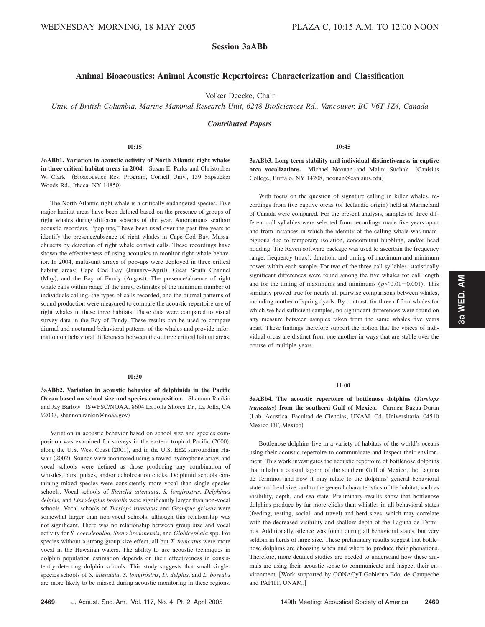# **Session 3aABb**

## **Animal Bioacoustics: Animal Acoustic Repertoires: Characterization and Classification**

Volker Deecke, Chair

*Univ. of British Columbia, Marine Mammal Research Unit, 6248 BioSciences Rd., Vancouver, BC V6T 1Z4, Canada*

*Contributed Papers*

## **10:15**

**3aABb1. Variation in acoustic activity of North Atlantic right whales in three critical habitat areas in 2004.** Susan E. Parks and Christopher W. Clark (Bioacoustics Res. Program, Cornell Univ., 159 Sapsucker Woods Rd., Ithaca, NY 14850)

The North Atlantic right whale is a critically endangered species. Five major habitat areas have been defined based on the presence of groups of right whales during different seasons of the year. Autonomous seafloor acoustic recorders, ''pop-ups,'' have been used over the past five years to identify the presence/absence of right whales in Cape Cod Bay, Massachusetts by detection of right whale contact calls. These recordings have shown the effectiveness of using acoustics to monitor right whale behavior. In 2004, multi-unit arrays of pop-ups were deployed in three critical habitat areas; Cape Cod Bay (January–April), Great South Channel (May), and the Bay of Fundy (August). The presence/absence of right whale calls within range of the array, estimates of the minimum number of individuals calling, the types of calls recorded, and the diurnal patterns of sound production were measured to compare the acoustic repertoire use of right whales in these three habitats. These data were compared to visual survey data in the Bay of Fundy. These results can be used to compare diurnal and nocturnal behavioral patterns of the whales and provide information on behavioral differences between these three critical habitat areas.

#### **10:30**

**3aABb2. Variation in acoustic behavior of delphinids in the Pacific Ocean based on school size and species composition.** Shannon Rankin and Jay Barlow (SWFSC/NOAA, 8604 La Jolla Shores Dr., La Jolla, CA 92037, shannon.rankin@noaa.gov)

Variation in acoustic behavior based on school size and species composition was examined for surveys in the eastern tropical Pacific (2000), along the U.S. West Coast (2001), and in the U.S. EEZ surrounding Hawaii (2002). Sounds were monitored using a towed hydrophone array, and vocal schools were defined as those producing any combination of whistles, burst pulses, and/or echolocation clicks. Delphinid schools containing mixed species were consistently more vocal than single species schools. Vocal schools of *Stenella attenuata*, *S. longirostris*, *Delphinus delphis*, and *Lissodelphis borealis* were significantly larger than non-vocal schools. Vocal schools of *Tursiops truncatus* and *Grampus griseus* were somewhat larger than non-vocal schools, although this relationship was not significant. There was no relationship between group size and vocal activity for *S. coeruleoalba*, *Steno bredanensis*, and *Globicephala* spp. For species without a strong group size effect, all but *T. truncatus* were more vocal in the Hawaiian waters. The ability to use acoustic techniques in dolphin population estimation depends on their effectiveness in consistently detecting dolphin schools. This study suggests that small singlespecies schools of *S. attenuata*, *S. longirostris*, *D. delphis*, and *L. borealis* are more likely to be missed during acoustic monitoring in these regions.

**10:45 3aABb3. Long term stability and individual distinctiveness in captive orca vocalizations.** Michael Noonan and Malini Suchak Canisius

College, Buffalo, NY 14208, noonan@canisius.edu-

With focus on the question of signature calling in killer whales, recordings from five captive orcas (of Icelandic origin) held at Marineland of Canada were compared. For the present analysis, samples of three different call syllables were selected from recordings made five years apart and from instances in which the identity of the calling whale was unambiguous due to temporary isolation, concomitant bubbling, and/or head nodding. The Raven software package was used to ascertain the frequency range, frequency (max), duration, and timing of maximum and minimum power within each sample. For two of the three call syllables, statistically significant differences were found among the five whales for call length and for the timing of maximums and minimums  $(p< 0.01 - 0.001)$ . This similarly proved true for nearly all pairwise comparisons between whales, including mother-offspring dyads. By contrast, for three of four whales for which we had sufficient samples, no significant differences were found on any measure between samples taken from the same whales five years apart. These findings therefore support the notion that the voices of individual orcas are distinct from one another in ways that are stable over the course of multiple years.

#### **11:00**

3aABb4. The acoustic repertoire of bottlenose dolphins (*Tursiops truncatus*… **from the southern Gulf of Mexico.** Carmen Bazua-Duran Lab. Acustica, Facultad de Ciencias, UNAM, Cd. Universitaria, 04510 Mexico DF, Mexico)

Bottlenose dolphins live in a variety of habitats of the world's oceans using their acoustic repertoire to communicate and inspect their environment. This work investigates the acoustic repertoire of bottlenose dolphins that inhabit a coastal lagoon of the southern Gulf of Mexico, the Laguna de Terminos and how it may relate to the dolphins' general behavioral state and herd size, and to the general characteristics of the habitat, such as visibility, depth, and sea state. Preliminary results show that bottlenose dolphins produce by far more clicks than whistles in all behavioral states (feeding, resting, social, and travel) and herd sizes, which may correlate with the decreased visibility and shallow depth of the Laguna de Terminos. Additionally, silence was found during all behavioral states, but very seldom in herds of large size. These preliminary results suggest that bottlenose dolphins are choosing when and where to produce their phonations. Therefore, more detailed studies are needed to understand how these animals are using their acoustic sense to communicate and inspect their environment. Work supported by CONACyT-Gobierno Edo. de Campeche and PAPIIT, UNAM.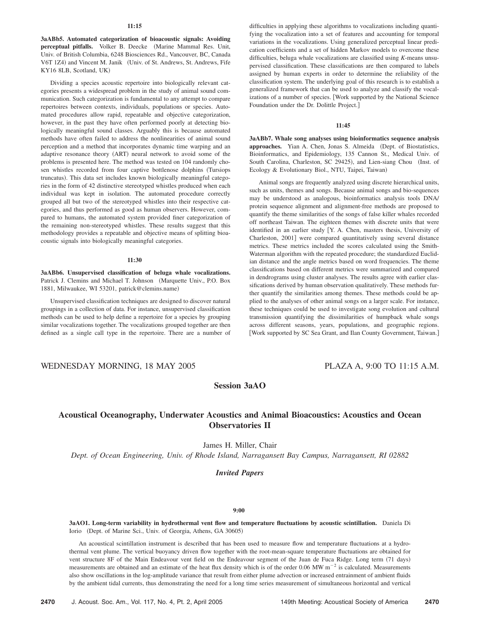## **11:15**

**3aABb5. Automated categorization of bioacoustic signals: Avoiding** perceptual pitfalls. Volker B. Deecke (Marine Mammal Res. Unit, Univ. of British Columbia, 6248 Biosciences Rd., Vancouver, BC, Canada V6T 1Z4) and Vincent M. Janik (Univ. of St. Andrews, St. Andrews, Fife KY16 8LB, Scotland, UK)

Dividing a species acoustic repertoire into biologically relevant categories presents a widespread problem in the study of animal sound communication. Such categorization is fundamental to any attempt to compare repertoires between contexts, individuals, populations or species. Automated procedures allow rapid, repeatable and objective categorization, however, in the past they have often performed poorly at detecting biologically meaningful sound classes. Arguably this is because automated methods have often failed to address the nonlinearities of animal sound perception and a method that incorporates dynamic time warping and an adaptive resonance theory (ART) neural network to avoid some of the problems is presented here. The method was tested on 104 randomly chosen whistles recorded from four captive bottlenose dolphins (Tursiops truncatus). This data set includes known biologically meaningful categories in the form of 42 distinctive stereotyped whistles produced when each individual was kept in isolation. The automated procedure correctly grouped all but two of the stereotyped whistles into their respective categories, and thus performed as good as human observers. However, compared to humans, the automated system provided finer categorization of the remaining non-stereotyped whistles. These results suggest that this methodology provides a repeatable and objective means of splitting bioacoustic signals into biologically meaningful categories.

## **11:30**

**3aABb6. Unsupervised classification of beluga whale vocalizations.** Patrick J. Clemins and Michael T. Johnson (Marquette Univ., P.O. Box 1881, Milwaukee, WI 53201, patrick@clemins.name)

Unsupervised classification techniques are designed to discover natural groupings in a collection of data. For instance, unsupervised classification methods can be used to help define a repertoire for a species by grouping similar vocalizations together. The vocalizations grouped together are then defined as a single call type in the repertoire. There are a number of difficulties in applying these algorithms to vocalizations including quantifying the vocalization into a set of features and accounting for temporal variations in the vocalizations. Using generalized perceptual linear predication coefficients and a set of hidden Markov models to overcome these difficulties, beluga whale vocalizations are classified using *K*-means unsupervised classification. These classifications are then compared to labels assigned by human experts in order to determine the reliability of the classification system. The underlying goal of this research is to establish a generalized framework that can be used to analyze and classify the vocalizations of a number of species. Work supported by the National Science Foundation under the Dr. Dolittle Project.

#### **11:45**

**3aABb7. Whale song analyses using bioinformatics sequence analysis** approaches. Yian A. Chen, Jonas S. Almeida (Dept. of Biostatistics, Bioinformatics, and Epidemiology, 135 Cannon St., Medical Univ. of South Carolina, Charleston, SC 29425), and Lien-siang Chou (Inst. of Ecology & Evolutionary Biol., NTU, Taipei, Taiwan)

Animal songs are frequently analyzed using discrete hierarchical units, such as units, themes and songs. Because animal songs and bio-sequences may be understood as analogous, bioinformatics analysis tools DNA/ protein sequence alignment and alignment-free methods are proposed to quantify the theme similarities of the songs of false killer whales recorded off northeast Taiwan. The eighteen themes with discrete units that were identified in an earlier study [Y. A. Chen, masters thesis, University of Charleston, 2001] were compared quantitatively using several distance metrics. These metrics included the scores calculated using the Smith-Waterman algorithm with the repeated procedure; the standardized Euclidian distance and the angle metrics based on word frequencies. The theme classifications based on different metrics were summarized and compared in dendrograms using cluster analyses. The results agree with earlier classifications derived by human observation qualitatively. These methods further quantify the similarities among themes. These methods could be applied to the analyses of other animal songs on a larger scale. For instance, these techniques could be used to investigate song evolution and cultural transmission quantifying the dissimilarities of humpback whale songs across different seasons, years, populations, and geographic regions. [Work supported by SC Sea Grant, and Ilan County Government, Taiwan.]

# WEDNESDAY MORNING, 18 MAY 2005 PLAZA A, 9:00 TO 11:15 A.M.

**Session 3aAO**

# **Acoustical Oceanography, Underwater Acoustics and Animal Bioacoustics: Acoustics and Ocean Observatories II**

James H. Miller, Chair

*Dept. of Ocean Engineering, Univ. of Rhode Island, Narragansett Bay Campus, Narragansett, RI 02882*

## *Invited Papers*

#### **9:00**

**3aAO1. Long-term variability in hydrothermal vent flow and temperature fluctuations by acoustic scintillation.** Daniela Di Iorio (Dept. of Marine Sci., Univ. of Georgia, Athens, GA 30605)

An acoustical scintillation instrument is described that has been used to measure flow and temperature fluctuations at a hydrothermal vent plume. The vertical buoyancy driven flow together with the root-mean-square temperature fluctuations are obtained for vent structure 8F of the Main Endeavour vent field on the Endeavour segment of the Juan de Fuca Ridge. Long term (71 days) measurements are obtained and an estimate of the heat flux density which is of the order  $0.06$  MW m<sup>-2</sup> is calculated. Measurements also show oscillations in the log-amplitude variance that result from either plume advection or increased entrainment of ambient fluids by the ambient tidal currents, thus demonstrating the need for a long time series measurement of simultaneous horizontal and vertical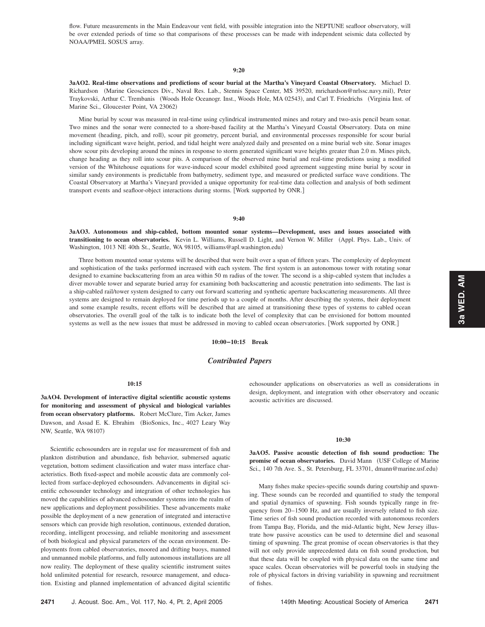flow. Future measurements in the Main Endeavour vent field, with possible integration into the NEPTUNE seafloor observatory, will be over extended periods of time so that comparisons of these processes can be made with independent seismic data collected by NOAA/PMEL SOSUS array.

#### **9:20**

**3aAO2. Real-time observations and predictions of scour burial at the Martha's Vineyard Coastal Observatory.** Michael D. Richardson (Marine Geosciences Div., Naval Res. Lab., Stennis Space Center, MS 39520, mrichardson@nrlssc.navy.mil), Peter Traykovski, Arthur C. Trembanis (Woods Hole Oceanogr. Inst., Woods Hole, MA 02543), and Carl T. Friedrichs (Virginia Inst. of Marine Sci., Gloucester Point, VA 23062)

Mine burial by scour was measured in real-time using cylindrical instrumented mines and rotary and two-axis pencil beam sonar. Two mines and the sonar were connected to a shore-based facility at the Martha's Vineyard Coastal Observatory. Data on mine movement (heading, pitch, and roll), scour pit geometry, percent burial, and environmental processes responsible for scour burial including significant wave height, period, and tidal height were analyzed daily and presented on a mine burial web site. Sonar images show scour pits developing around the mines in response to storm generated significant wave heights greater than 2.0 m. Mines pitch, change heading as they roll into scour pits. A comparison of the observed mine burial and real-time predictions using a modified version of the Whitehouse equations for wave-induced scour model exhibited good agreement suggesting mine burial by scour in similar sandy environments is predictable from bathymetry, sediment type, and measured or predicted surface wave conditions. The Coastal Observatory at Martha's Vineyard provided a unique opportunity for real-time data collection and analysis of both sediment transport events and seafloor-object interactions during storms. Work supported by ONR.

#### **9:40**

**3aAO3. Autonomous and ship-cabled, bottom mounted sonar systems—Development, uses and issues associated with** transitioning to ocean observatories. Kevin L. Williams, Russell D. Light, and Vernon W. Miller (Appl. Phys. Lab., Univ. of Washington, 1013 NE 40th St., Seattle, WA 98105, williams@apl.washington.edu)

Three bottom mounted sonar systems will be described that were built over a span of fifteen years. The complexity of deployment and sophistication of the tasks performed increased with each system. The first system is an autonomous tower with rotating sonar designed to examine backscattering from an area within 50 m radius of the tower. The second is a ship-cabled system that includes a diver movable tower and separate buried array for examining both backscattering and acoustic penetration into sediments. The last is a ship-cabled rail/tower system designed to carry out forward scattering and synthetic aperture backscattering measurements. All three systems are designed to remain deployed for time periods up to a couple of months. After describing the systems, their deployment and some example results, recent efforts will be described that are aimed at transitioning these types of systems to cabled ocean observatories. The overall goal of the talk is to indicate both the level of complexity that can be envisioned for bottom mounted systems as well as the new issues that must be addressed in moving to cabled ocean observatories. Work supported by ONR.

## **10:00–10:15 Break**

## *Contributed Papers*

#### **10:15**

**3aAO4. Development of interactive digital scientific acoustic systems for monitoring and assessment of physical and biological variables from ocean observatory platforms.** Robert McClure, Tim Acker, James Dawson, and Assad E. K. Ebrahim (BioSonics, Inc., 4027 Leary Way NW, Seattle, WA 98107)

Scientific echosounders are in regular use for measurement of fish and plankton distribution and abundance, fish behavior, submersed aquatic vegetation, bottom sediment classification and water mass interface characteristics. Both fixed-aspect and mobile acoustic data are commonly collected from surface-deployed echosounders. Advancements in digital scientific echosounder technology and integration of other technologies has moved the capabilities of advanced echosounder systems into the realm of new applications and deployment possibilities. These advancements make possible the deployment of a new generation of integrated and interactive sensors which can provide high resolution, continuous, extended duration, recording, intelligent processing, and reliable monitoring and assessment of both biological and physical parameters of the ocean environment. Deployments from cabled observatories, moored and drifting buoys, manned and unmanned mobile platforms, and fully autonomous installations are all now reality. The deployment of these quality scientific instrument suites hold unlimited potential for research, resource management, and education. Existing and planned implementation of advanced digital scientific

echosounder applications on observatories as well as considerations in design, deployment, and integration with other observatory and oceanic acoustic activities are discussed.

## **10:30**

**3aAO5. Passive acoustic detection of fish sound production: The** promise of ocean observatories. David Mann (USF College of Marine Sci., 140 7th Ave. S., St. Petersburg, FL 33701, dmann@marine.usf.edu)

Many fishes make species-specific sounds during courtship and spawning. These sounds can be recorded and quantified to study the temporal and spatial dynamics of spawning. Fish sounds typically range in frequency from 20–1500 Hz, and are usually inversely related to fish size. Time series of fish sound production recorded with autonomous recorders from Tampa Bay, Florida, and the mid-Atlantic bight, New Jersey illustrate how passive acoustics can be used to determine diel and seasonal timing of spawning. The great promise of ocean observatories is that they will not only provide unprecedented data on fish sound production, but that these data will be coupled with physical data on the same time and space scales. Ocean observatories will be powerful tools in studying the role of physical factors in driving variability in spawning and recruitment of fishes.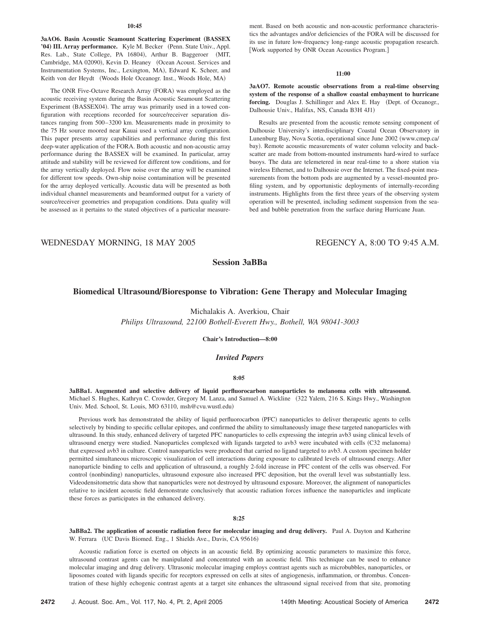3aAO6. Basin Acoustic Seamount Scattering Experiment (BASSEX '04) **III. Array performance.** Kyle M. Becker (Penn. State Univ., Appl. Res. Lab., State College, PA 16804), Arthur B. Baggeroer (MIT, Cambridge, MA 02090), Kevin D. Heaney (Ocean Acoust. Services and Instrumentation Systems, Inc., Lexington, MA), Edward K. Scheer, and Keith von der Heydt (Woods Hole Oceanogr. Inst., Woods Hole, MA)

The ONR Five-Octave Research Array (FORA) was employed as the acoustic receiving system during the Basin Acoustic Seamount Scattering Experiment (BASSEX04). The array was primarily used in a towed configuration with receptions recorded for source/receiver separation distances ranging from 500–3200 km. Measurements made in proximity to the 75 Hz source moored near Kauai used a vertical array configuration. This paper presents array capabilities and performance during this first deep-water application of the FORA. Both acoustic and non-acoustic array performance during the BASSEX will be examined. In particular, array attitude and stability will be reviewed for different tow conditions, and for the array vertically deployed. Flow noise over the array will be examined for different tow speeds. Own-ship noise contamination will be presented for the array deployed vertically. Acoustic data will be presented as both individual channel measurements and beamformed output for a variety of source/receiver geometries and propagation conditions. Data quality will be assessed as it pertains to the stated objectives of a particular measurement. Based on both acoustic and non-acoustic performance characteristics the advantages and/or deficiencies of the FORA will be discussed for its use in future low-frequency long-range acoustic propagation research. Work supported by ONR Ocean Acoustics Program.

## **11:00**

**3aAO7. Remote acoustic observations from a real-time observing system of the response of a shallow coastal embayment to hurricane** forcing. Douglas J. Schillinger and Alex E. Hay (Dept. of Oceanogr., Dalhousie Univ., Halifax, NS, Canada B3H 4J1-

Results are presented from the acoustic remote sensing component of Dalhousie University's interdisciplinary Coastal Ocean Observatory in Lunenburg Bay, Nova Scotia, operational since June 2002 (www.cmep.ca/ bay). Remote acoustic measurements of water column velocity and backscatter are made from bottom-mounted instruments hard-wired to surface buoys. The data are telemetered in near real-time to a shore station via wireless Ethernet, and to Dalhousie over the Internet. The fixed-point measurements from the bottom pods are augmented by a vessel-mounted profiling system, and by opportunistic deployments of internally-recording instruments. Highlights from the first three years of the observing system operation will be presented, including sediment suspension from the seabed and bubble penetration from the surface during Hurricane Juan.

# WEDNESDAY MORNING, 18 MAY 2005 REGENCY A, 8:00 TO 9:45 A.M.

# **Session 3aBBa**

## **Biomedical UltrasoundÕBioresponse to Vibration: Gene Therapy and Molecular Imaging**

Michalakis A. Averkiou, Chair *Philips Ultrasound, 22100 Bothell-Everett Hwy., Bothell, WA 98041-3003*

### **Chair's Introduction—8:00**

## *Invited Papers*

## **8:05**

**3aBBa1. Augmented and selective delivery of liquid perfluorocarbon nanoparticles to melanoma cells with ultrasound.** Michael S. Hughes, Kathryn C. Crowder, Gregory M. Lanza, and Samuel A. Wickline 322 Yalem, 216 S. Kings Hwy., Washington Univ. Med. School, St. Louis, MO 63110, msh@cvu.wustl.edu-

Previous work has demonstrated the ability of liquid perfluorocarbon (PFC) nanoparticles to deliver therapeutic agents to cells selectively by binding to specific cellular epitopes, and confirmed the ability to simultaneously image these targeted nanoparticles with ultrasound. In this study, enhanced delivery of targeted PFC nanoparticles to cells expressing the integrin avb3 using clinical levels of ultrasound energy were studied. Nanoparticles complexed with ligands targeted to avb3 were incubated with cells (C32 melanoma) that expressed avb3 in culture. Control nanoparticles were produced that carried no ligand targeted to avb3. A custom specimen holder permitted simultaneous microscopic visualization of cell interactions during exposure to calibrated levels of ultrasound energy. After nanoparticle binding to cells and application of ultrasound, a roughly 2-fold increase in PFC content of the cells was observed. For control (nonbinding) nanoparticles, ultrasound exposure also increased PFC deposition, but the overall level was substantially less. Videodensitometric data show that nanoparticles were not destroyed by ultrasound exposure. Moreover, the alignment of nanoparticles relative to incident acoustic field demonstrate conclusively that acoustic radiation forces influence the nanoparticles and implicate these forces as participates in the enhanced delivery.

## **8:25**

**3aBBa2. The application of acoustic radiation force for molecular imaging and drug delivery.** Paul A. Dayton and Katherine W. Ferrara (UC Davis Biomed. Eng., 1 Shields Ave., Davis, CA 95616)

Acoustic radiation force is exerted on objects in an acoustic field. By optimizing acoustic parameters to maximize this force, ultrasound contrast agents can be manipulated and concentrated with an acoustic field. This technique can be used to enhance molecular imaging and drug delivery. Ultrasonic molecular imaging employs contrast agents such as microbubbles, nanoparticles, or liposomes coated with ligands specific for receptors expressed on cells at sites of angiogenesis, inflammation, or thrombus. Concentration of these highly echogenic contrast agents at a target site enhances the ultrasound signal received from that site, promoting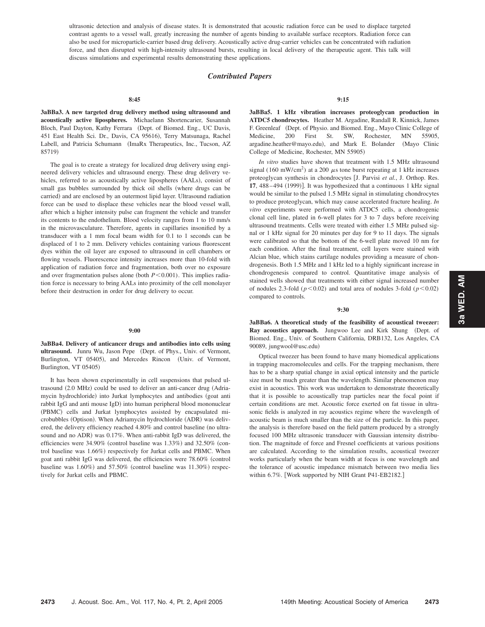ultrasonic detection and analysis of disease states. It is demonstrated that acoustic radiation force can be used to displace targeted contrast agents to a vessel wall, greatly increasing the number of agents binding to available surface receptors. Radiation force can also be used for microparticle-carrier based drug delivery. Acoustically active drug-carrier vehicles can be concentrated with radiation force, and then disrupted with high-intensity ultrasound bursts, resulting in local delivery of the therapeutic agent. This talk will discuss simulations and experimental results demonstrating these applications.

## *Contributed Papers*

**8:45**

**3aBBa3. A new targeted drug delivery method using ultrasound and acoustically active lipospheres.** Michaelann Shortencarier, Susannah Bloch, Paul Dayton, Kathy Ferrara (Dept. of Biomed. Eng., UC Davis, 451 East Health Sci. Dr., Davis, CA 95616), Terry Matsunaga, Rachel Labell, and Patricia Schumann (ImaRx Therapeutics, Inc., Tucson, AZ 85719)

The goal is to create a strategy for localized drug delivery using engineered delivery vehicles and ultrasound energy. These drug delivery vehicles, referred to as acoustically active lipospheres (AALs), consist of small gas bubbles surrounded by thick oil shells (where drugs can be carried) and are enclosed by an outermost lipid layer. Ultrasound radiation force can be used to displace these vehicles near the blood vessel wall, after which a higher intensity pulse can fragment the vehicle and transfer its contents to the endothelium. Blood velocity ranges from 1 to 10 mm/s in the microvasculature. Therefore, agents in capillaries insonified by a transducer with a 1 mm focal beam width for 0.1 to 1 seconds can be displaced of 1 to 2 mm. Delivery vehicles containing various fluorescent dyes within the oil layer are exposed to ultrasound in cell chambers or flowing vessels. Fluorescence intensity increases more than 10-fold with application of radiation force and fragmentation, both over no exposure and over fragmentation pulses alone (both  $P \le 0.001$ ). This implies radiation force is necessary to bring AALs into proximity of the cell monolayer before their destruction in order for drug delivery to occur.

#### **9:00**

**3aBBa4. Delivery of anticancer drugs and antibodies into cells using** ultrasound. Junru Wu, Jason Pepe (Dept. of Phys., Univ. of Vermont, Burlington, VT 05405), and Mercedes Rincon (Univ. of Vermont, Burlington, VT 05405-

It has been shown experimentally in cell suspensions that pulsed ultrasound (2.0 MHz) could be used to deliver an anti-cancer drug (Adriamycin hydrochloride) into Jurkat lymphocytes and antibodies (goat anti rabbit IgG and anti mouse IgD) into human peripheral blood mononuclear (PBMC) cells and Jurkat lymphocytes assisted by encapsulated microbubbles (Optison). When Adriamycin hydrochloride (ADR) was delivered, the delivery efficiency reached 4.80% and control baseline (no ultrasound and no ADR) was 0.17%. When anti-rabbit IgD was delivered, the efficiencies were  $34.90\%$  (control baseline was  $1.33\%$ ) and  $32.50\%$  (control baseline was 1.66%) respectively for Jurkat cells and PBMC. When goat anti rabbit IgG was delivered, the efficiencies were 78.60% (control baseline was  $1.60\%$ ) and  $57.50\%$  (control baseline was  $11.30\%$ ) respectively for Jurkat cells and PBMC.

**9:15**

**3aBBa5. 1 kHz vibration increases proteoglycan production in ATDC5 chondrocytes.** Heather M. Argadine, Randall R. Kinnick, James F. Greenleaf (Dept. of Physio. and Biomed. Eng., Mayo Clinic College of Medicine, 200 First St. SW, Rochester, MN 55905, argadine.heather@mayo.edu), and Mark E. Bolander (Mayo Clinic College of Medicine, Rochester, MN 55905)

*In vitro* studies have shown that treatment with 1.5 MHz ultrasound signal (160 mW/cm<sup>2</sup>) at a 200  $\mu$ s tone burst repeating at 1 kHz increases proteoglycan synthesis in chondrocytes J. Parvisi *et al.*, J. Orthop. Res. 17, 488-494 (1999)]. It was hypothesized that a continuous 1 kHz signal would be similar to the pulsed 1.5 MHz signal in stimulating chondrocytes to produce proteoglycan, which may cause accelerated fracture healing. *In vitro* experiments were performed with ATDC5 cells, a chondrogenic clonal cell line, plated in 6-well plates for 3 to 7 days before receiving ultrasound treatments. Cells were treated with either 1.5 MHz pulsed signal or 1 kHz signal for 20 minutes per day for 9 to 11 days. The signals were calibrated so that the bottom of the 6-well plate moved 10 nm for each condition. After the final treatment, cell layers were stained with Alcian blue, which stains cartilage nodules providing a measure of chondrogenesis. Both 1.5 MHz and 1 kHz led to a highly significant increase in chondrogenesis compared to control. Quantitative image analysis of stained wells showed that treatments with either signal increased number of nodules 2.3-fold  $(p<0.02)$  and total area of nodules 3-fold  $(p<0.02)$ compared to controls.

## **9:30**

**3aBBa6. A theoretical study of the feasibility of acoustical tweezer:** Ray acoustics approach. Jungwoo Lee and Kirk Shung (Dept. of Biomed. Eng., Univ. of Southern California, DRB132, Los Angeles, CA 90089, jungwool@usc.edu)

Optical tweezer has been found to have many biomedical applications in trapping macromolecules and cells. For the trapping mechanism, there has to be a sharp spatial change in axial optical intensity and the particle size must be much greater than the wavelength. Similar phenomenon may exist in acoustics. This work was undertaken to demonstrate theoretically that it is possible to acoustically trap particles near the focal point if certain conditions are met. Acoustic force exerted on fat tissue in ultrasonic fields is analyzed in ray acoustics regime where the wavelength of acoustic beam is much smaller than the size of the particle. In this paper, the analysis is therefore based on the field pattern produced by a strongly focused 100 MHz ultrasonic transducer with Gaussian intensity distribution. The magnitude of force and Fresnel coefficients at various positions are calculated. According to the simulation results, acoustical tweezer works particularly when the beam width at focus is one wavelength and the tolerance of acoustic impedance mismatch between two media lies within 6.7%. [Work supported by NIH Grant P41-EB2182.]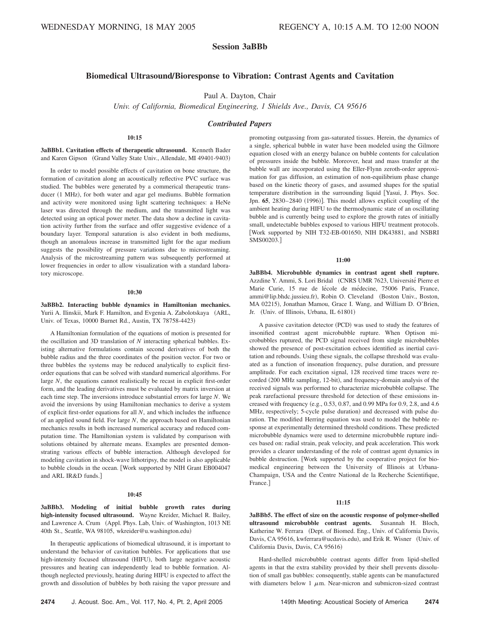# **Session 3aBBb**

## **Biomedical UltrasoundÕBioresponse to Vibration: Contrast Agents and Cavitation**

Paul A. Dayton, Chair

*Univ. of California, Biomedical Engineering, 1 Shields Ave., Davis, CA 95616*

## *Contributed Papers*

#### **10:15**

**3aBBb1. Cavitation effects of therapeutic ultrasound.** Kenneth Bader and Karen Gipson (Grand Valley State Univ., Allendale, MI 49401-9403)

In order to model possible effects of cavitation on bone structure, the formation of cavitation along an acoustically reflective PVC surface was studied. The bubbles were generated by a commerical therapeutic transducer (1 MHz), for both water and agar gel mediums. Bubble formation and activity were monitored using light scattering techniques: a HeNe laser was directed through the medium, and the transmitted light was detected using an optical power meter. The data show a decline in cavitation activity further from the surface and offer suggestive evidence of a boundary layer. Temporal saturation is also evident in both mediums, though an anomalous increase in transmitted light for the agar medium suggests the possibility of pressure variations due to microstreaming. Analysis of the microstreaming pattern was subsequently performed at lower frequencies in order to allow visualization with a standard laboratory microscope.

## **10:30**

**3aBBb2. Interacting bubble dynamics in Hamiltonian mechanics.** Yurii A. Ilinskii, Mark F. Hamilton, and Evgenia A. Zabolotskaya (ARL, Univ. of Texas, 10000 Burnet Rd., Austin, TX 78758-4423-

A Hamiltonian formulation of the equations of motion is presented for the oscillation and 3D translation of *N* interacting spherical bubbles. Existing alternative formulations contain second derivatives of both the bubble radius and the three coordinates of the position vector. For two or three bubbles the systems may be reduced analytically to explicit firstorder equations that can be solved with standard numerical algorithms. For large *N*, the equations cannot realistically be recast in explicit first-order form, and the leading derivatives must be evaluated by matrix inversion at each time step. The inversions introduce substantial errors for large *N*. We avoid the inversions by using Hamiltonian mechanics to derive a system of explicit first-order equations for all *N*, and which includes the influence of an applied sound field. For large *N*, the approach based on Hamiltonian mechanics results in both increased numerical accuracy and reduced computation time. The Hamiltonian system is validated by comparison with solutions obtained by alternate means. Examples are presented demonstrating various effects of bubble interaction. Although developed for modeling cavitation in shock-wave lithotripsy, the model is also applicable to bubble clouds in the ocean. Work supported by NIH Grant EB004047 and ARL IR&D funds.

### **10:45**

**3aBBb3. Modeling of initial bubble growth rates during high-intensity focused ultrasound.** Wayne Kreider, Michael R. Bailey, and Lawrence A. Crum (Appl. Phys. Lab, Univ. of Washington, 1013 NE 40th St., Seattle, WA 98105, wkreider@u.washington.edu-

In therapeutic applications of biomedical ultrasound, it is important to understand the behavior of cavitation bubbles. For applications that use high-intensity focused ultrasound (HIFU), both large negative acoustic pressures and heating can independently lead to bubble formation. Although neglected previously, heating during HIFU is expected to affect the growth and dissolution of bubbles by both raising the vapor pressure and promoting outgassing from gas-saturated tissues. Herein, the dynamics of a single, spherical bubble in water have been modeled using the Gilmore equation closed with an energy balance on bubble contents for calculation of pressures inside the bubble. Moreover, heat and mass transfer at the bubble wall are incorporated using the Eller-Flynn zeroth-order approximation for gas diffusion, an estimation of non-equilibrium phase change based on the kinetic theory of gases, and assumed shapes for the spatial temperature distribution in the surrounding liquid Yasui, J. Phys. Soc. Jpn. 65, 2830–2840 (1996)]. This model allows explicit coupling of the ambient heating during HIFU to the thermodynamic state of an oscillating bubble and is currently being used to explore the growth rates of initially small, undetectable bubbles exposed to various HIFU treatment protocols. Work supported by NIH T32-EB-001650, NIH DK43881, and NSBRI SMS00203.]

#### **11:00**

**3aBBb4. Microbubble dynamics in contrast agent shell rupture.** Azzdine Y. Ammi, S. Lori Bridal (CNRS UMR 7623, Université Pierre et Marie Curie, 15 rue de lécole de médecine, 75006 Paris, France, ammi@lip.bhdc.jussieu.fr), Robin O. Cleveland (Boston Univ., Boston, MA 02215), Jonathan Mamou, Grace I. Wang, and William D. O'Brien, Jr. (Univ. of Illinois, Urbana, IL 61801)

A passive cavitation detector (PCD) was used to study the features of insonified contrast agent microbubble rupture. When Optison microbubbles ruptured, the PCD signal received from single microbubbles showed the presence of post-excitation echoes identified as inertial cavitation and rebounds. Using these signals, the collapse threshold was evaluated as a function of insonation frequency, pulse duration, and pressure amplitude. For each excitation signal, 128 received time traces were recorded (200 MHz sampling, 12-bit), and frequency-domain analysis of the received signals was performed to characterize microbubble collapse. The peak rarefactional pressure threshold for detection of these emissions increased with frequency (e.g., 0.53, 0.87, and 0.99 MPa for 0.9, 2.8, and 4.6 MHz, respectively; 5-cycle pulse duration) and decreased with pulse duration. The modified Herring equation was used to model the bubble response at experimentally determined threshold conditions. These predicted microbubble dynamics were used to determine microbubble rupture indices based on: radial strain, peak velocity, and peak acceleration. This work provides a clearer understanding of the role of contrast agent dynamics in bubble destruction. Work supported by the cooperative project for biomedical engineering between the University of Illinois at Urbana-Champaign, USA and the Centre National de la Recherche Scientifique, France.]

#### **11:15**

**3aBBb5. The effect of size on the acoustic response of polymer-shelled ultrasound microbubble contrast agents.** Susannah H. Bloch, Katherine W. Ferrara (Dept. of Biomed. Eng., Univ. of California Davis, Davis, CA 95616, kwferrara@ucdavis.edu), and Erik R. Wisner (Univ. of California Davis, Davis, CA 95616)

Hard-shelled microbubble contrast agents differ from lipid-shelled agents in that the extra stability provided by their shell prevents dissolution of small gas bubbles: consequently, stable agents can be manufactured with diameters below 1  $\mu$ m. Near-micron and submicron-sized contrast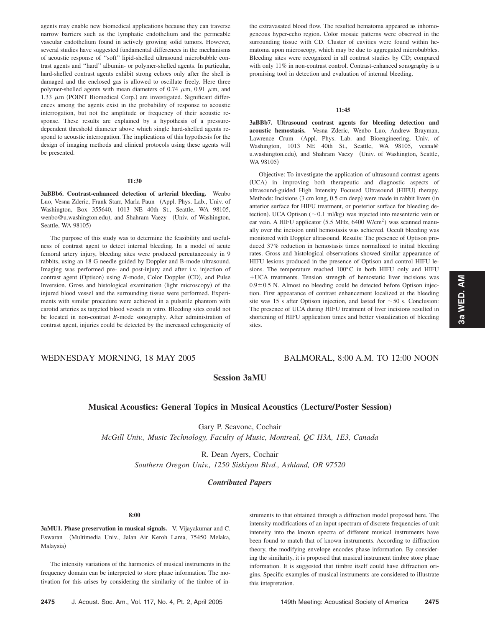agents may enable new biomedical applications because they can traverse narrow barriers such as the lymphatic endothelium and the permeable vascular endothelium found in actively growing solid tumors. However, several studies have suggested fundamental differences in the mechanisms of acoustic response of ''soft'' lipid-shelled ultrasound microbubble contrast agents and ''hard'' albumin- or polymer-shelled agents. In particular, hard-shelled contrast agents exhibit strong echoes only after the shell is damaged and the enclosed gas is allowed to oscillate freely. Here three polymer-shelled agents with mean diameters of 0.74  $\mu$ m, 0.91  $\mu$ m, and 1.33  $\mu$ m (POINT Biomedical Corp.) are investigated. Significant differences among the agents exist in the probability of response to acoustic interrogation, but not the amplitude or frequency of their acoustic response. These results are explained by a hypothesis of a pressuredependent threshold diameter above which single hard-shelled agents respond to acoustic interrogation. The implications of this hypothesis for the design of imaging methods and clinical protocols using these agents will be presented.

### **11:30**

**3aBBb6. Contrast-enhanced detection of arterial bleeding.** Wenbo Luo, Vesna Zderic, Frank Starr, Marla Paun (Appl. Phys. Lab., Univ. of Washington, Box 355640, 1013 NE 40th St., Seattle, WA 98105, wenbo@u.washington.edu), and Shahram Vaezy (Univ. of Washington, Seattle, WA 98105)

The purpose of this study was to determine the feasibility and usefulness of contrast agent to detect internal bleeding. In a model of acute femoral artery injury, bleeding sites were produced percutaneously in 9 rabbits, using an 18 G needle guided by Doppler and B-mode ultrasound. Imaging was performed pre- and post-injury and after i.v. injection of contrast agent (Optison) using *B*-mode, Color Doppler (CD), and Pulse Inversion. Gross and histological examination (light microscopy) of the injured blood vessel and the surrounding tissue were performed. Experiments with similar procedure were achieved in a pulsatile phantom with carotid arteries as targeted blood vessels in vitro. Bleeding sites could not be located in non-contrast *B*-mode sonography. After administration of contrast agent, injuries could be detected by the increased echogenicity of

WEDNESDAY MORNING, 18 MAY 2005 BALMORAL, 8:00 A.M. TO 12:00 NOON

the extravasated blood flow. The resulted hematoma appeared as inhomogeneous hyper-echo region. Color mosaic patterns were observed in the surrounding tissue with CD. Cluster of cavities were found within hematoma upon microscopy, which may be due to aggregated microbubbles. Bleeding sites were recognized in all contrast studies by CD; compared with only 11% in non-contrast control. Contrast-enhanced sonography is a promising tool in detection and evaluation of internal bleeding.

#### **11:45**

**3aBBb7. Ultrasound contrast agents for bleeding detection and acoustic hemostasis.** Vesna Zderic, Wenbo Luo, Andrew Brayman, Lawrence Crum (Appl. Phys. Lab. and Bioengineering, Univ. of Washington, 1013 NE 40th St., Seattle, WA 98105, vesna@ u.washington.edu), and Shahram Vaezy (Univ. of Washington, Seattle, WA 98105)

Objective: To investigate the application of ultrasound contrast agents (UCA) in improving both therapeutic and diagnostic aspects of ultrasound-guided High Intensity Focused Ultrasound (HIFU) therapy. Methods: Incisions (3 cm long, 0.5 cm deep) were made in rabbit livers (in anterior surface for HIFU treatment, or posterior surface for bleeding detection). UCA Optison ( $\sim$  0.1 ml/kg) was injected into mesenteric vein or ear vein. A HIFU applicator (5.5 MHz, 6400 W/cm<sup>2</sup>) was scanned manually over the incision until hemostasis was achieved. Occult bleeding was monitored with Doppler ultrasound. Results: The presence of Optison produced 37% reduction in hemostasis times normalized to initial bleeding rates. Gross and histological observations showed similar appearance of HIFU lesions produced in the presence of Optison and control HIFU lesions. The temperature reached 100°C in both HIFU only and HIFU UCA treatments. Tension strength of hemostatic liver incisions was  $0.9\pm0.5$  N. Almost no bleeding could be detected before Optison injection. First appearance of contrast enhancement localized at the bleeding site was 15 s after Optison injection, and lasted for  $\sim$  50 s. Conclusion: The presence of UCA during HIFU treatment of liver incisions resulted in shortening of HIFU application times and better visualization of bleeding sites.

# **Session 3aMU**

## **Musical Acoustics: General Topics in Musical Acoustics (Lecture/Poster Session)**

Gary P. Scavone, Cochair *McGill Univ., Music Technology, Faculty of Music, Montreal, QC H3A, 1E3, Canada*

> R. Dean Ayers, Cochair *Southern Oregon Univ., 1250 Siskiyou Blvd., Ashland, OR 97520*

## *Contributed Papers*

**8:00**

**3aMU1. Phase preservation in musical signals.** V. Vijayakumar and C. Eswaran Multimedia Univ., Jalan Air Keroh Lama, 75450 Melaka, Malaysia)

The intensity variations of the harmonics of musical instruments in the frequency domain can be interpreted to store phase information. The motivation for this arises by considering the similarity of the timbre of instruments to that obtained through a diffraction model proposed here. The intensity modifications of an input spectrum of discrete frequencies of unit intensity into the known spectra of different musical instruments have been found to match that of known instruments. According to diffraction theory, the modifying envelope encodes phase information. By considering the similarity, it is proposed that musical instrument timbre store phase information. It is suggested that timbre itself could have diffraction origins. Specific examples of musical instruments are considered to illustrate this intepretation.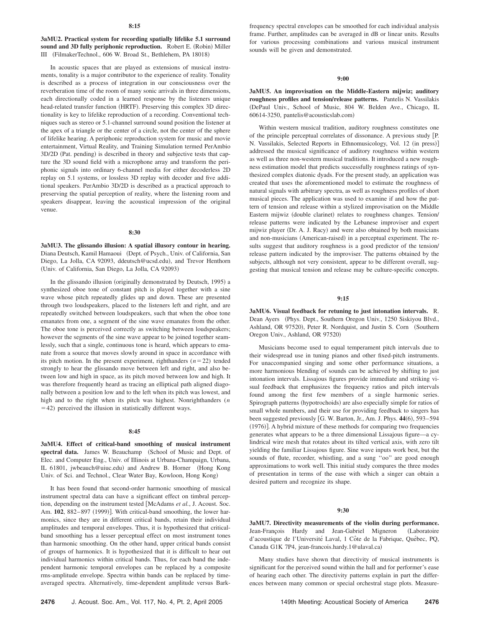**3aMU2. Practical system for recording spatially lifelike 5.1 surround** sound and 3D fully periphonic reproduction. Robert E. (Robin) Miller III (FilmakerTechnol., 606 W. Broad St., Bethlehem, PA 18018)

In acoustic spaces that are played as extensions of musical instruments, tonality is a major contributor to the experience of reality. Tonality is described as a process of integration in our consciousness over the reverberation time of the room of many sonic arrivals in three dimensions, each directionally coded in a learned response by the listeners unique head-related transfer function (HRTF). Preserving this complex 3D directionality is key to lifelike reproduction of a recording. Conventional techniques such as stereo or 5.1-channel surround sound position the listener at the apex of a triangle or the center of a circle, not the center of the sphere of lifelike hearing. A periphonic reproduction system for music and movie entertainment, Virtual Reality, and Training Simulation termed PerAmbio 3D/2D (Pat. pending) is described in theory and subjective tests that capture the 3D sound field with a microphone array and transform the periphonic signals into ordinary 6-channel media for either decoderless 2D replay on 5.1 systems, or lossless 3D replay with decoder and five additional speakers. PerAmbio 3D/2D is described as a practical approach to preserving the spatial perception of reality, where the listening room and speakers disappear, leaving the acoustical impression of the original venue.

#### **8:30**

**3aMU3. The glissando illusion: A spatial illusory contour in hearing.** Diana Deutsch, Kamil Hamaoui (Dept. of Psych., Univ. of California, San Diego, La Jolla, CA 92093, ddeutsch@ucsd.edu), and Trevor Henthorn (Univ. of California, San Diego, La Jolla, CA 92093)

In the glissando illusion (originally demonstrated by Deutsch, 1995) a synthesized oboe tone of constant pitch is played together with a sine wave whose pitch repeatedly glides up and down. These are presented through two loudspeakers, placed to the listeners left and right, and are repeatedly switched between loudspeakers, such that when the oboe tone emanates from one, a segment of the sine wave emanates from the other. The oboe tone is perceived correctly as switching between loudspeakers; however the segments of the sine wave appear to be joined together seamlessly, such that a single, continuous tone is heard, which appears to emanate from a source that moves slowly around in space in accordance with its pitch motion. In the present experiment, righthanders  $(n=22)$  tended strongly to hear the glissando move between left and right, and also between low and high in space, as its pitch moved between low and high. It was therefore frequently heard as tracing an elliptical path aligned diagonally between a position low and to the left when its pitch was lowest, and high and to the right when its pitch was highest. Nonrighthanders (*n* 42) perceived the illusion in statistically different ways.

## **8:45**

**3aMU4. Effect of critical-band smoothing of musical instrument** spectral data. James W. Beauchamp (School of Music and Dept. of Elec. and Computer Eng., Univ. of Illinois at Urbana-Champaign, Urbana, IL 61801, jwbeauch@uiuc.edu) and Andrew B. Horner (Hong Kong Univ. of Sci. and Technol., Clear Water Bay, Kowloon, Hong Kong-

It has been found that second-order harmonic smoothing of musical instrument spectral data can have a significant effect on timbral perception, depending on the instrument tested [McAdams et al., J. Acoust. Soc. Am. 102, 882–897 (1999)]. With critical-band smoothing, the lower harmonics, since they are in different critical bands, retain their individual amplitudes and temporal envelopes. Thus, it is hypothesized that criticalband smoothing has a lesser perceptual effect on most instrument tones than harmonic smoothing. On the other hand, upper critical bands consist of groups of harmonics. It is hypothesized that it is difficult to hear out individual harmonics within critical bands. Thus, for each band the independent harmonic temporal envelopes can be replaced by a composite rms-amplitude envelope. Spectra within bands can be replaced by timeaveraged spectra. Alternatively, time-dependent amplitude versus Barkfrequency spectral envelopes can be smoothed for each individual analysis frame. Further, amplitudes can be averaged in dB or linear units. Results for various processing combinations and various musical instrument sounds will be given and demonstrated.

#### **9:00**

**3aMU5. An improvisation on the Middle-Eastern mijwiz; auditory** roughness profiles and tension/release patterns. Pantelis N. Vassilakis DePaul Univ., School of Music, 804 W. Belden Ave., Chicago, IL 60614-3250, pantelis@acousticslab.com-

Within western musical tradition, auditory roughness constitutes one of the principle perceptual correlates of dissonance. A previous study P. N. Vassilakis, Selected Reports in Ethnomusicology, Vol. 12 (in press)] addressed the musical significance of auditory roughness within western as well as three non-western musical traditions. It introduced a new roughness estimation model that predicts successfully roughness ratings of synthesized complex diatonic dyads. For the present study, an application was created that uses the aforementioned model to estimate the roughness of natural signals with arbitrary spectra, as well as roughness profiles of short musical pieces. The application was used to examine if and how the pattern of tension and release within a stylized improvisation on the Middle Eastern mijwiz (double clarinet) relates to roughness changes. Tension/ release patterns were indicated by the Lebanese improviser and expert mijwiz player (Dr. A. J. Racy) and were also obtained by both musicians and non-musicians (American-raised) in a perceptual experiment. The results suggest that auditory roughness is a good predictor of the tension/ release pattern indicated by the improviser. The patterns obtained by the subjects, although not very consistent, appear to be different overall, suggesting that musical tension and release may be culture-specific concepts.

#### **9:15**

**3aMU6. Visual feedback for retuning to just intonation intervals.** R. Dean Ayers (Phys. Dept., Southern Oregon Univ., 1250 Siskiyou Blvd., Ashland, OR 97520), Peter R. Nordquist, and Justin S. Corn (Southern Oregon Univ., Ashland, OR 97520)

Musicians become used to equal temperament pitch intervals due to their widespread use in tuning pianos and other fixed-pitch instruments. For unaccompanied singing and some other performance situations, a more harmonious blending of sounds can be achieved by shifting to just intonation intervals. Lissajous figures provide immediate and striking visual feedback that emphasizes the frequency ratios and pitch intervals found among the first few members of a single harmonic series. Spirograph patterns (hypotrochoids) are also especially simple for ratios of small whole numbers, and their use for providing feedback to singers has been suggested previously [G. W. Barton, Jr., Am. J. Phys. 44(6), 593–594 (1976)]. A hybrid mixture of these methods for comparing two frequencies generates what appears to be a three dimensional Lissajous figure—a cylindrical wire mesh that rotates about its tilted vertical axis, with zero tilt yielding the familiar Lissajous figure. Sine wave inputs work best, but the sounds of flute, recorder, whistling, and a sung ''oo'' are good enough approximations to work well. This initial study compares the three modes of presentation in terms of the ease with which a singer can obtain a desired pattern and recognize its shape.

## **9:30**

**3aMU7. Directivity measurements of the violin during performance.** Jean-François Hardy and Jean-Gabriel Migneron (Laboratoire d'acoustique de l'Université Laval, 1 Côte de la Fabrique, Québec, PQ, Canada G1K 7P4, jean-francois.hardy.1@ulaval.ca-

Many studies have shown that directivity of musical instruments is significant for the perceived sound within the hall and for performer's ease of hearing each other. The directivity patterns explain in part the differences between many common or special orchestral stage plots. Measure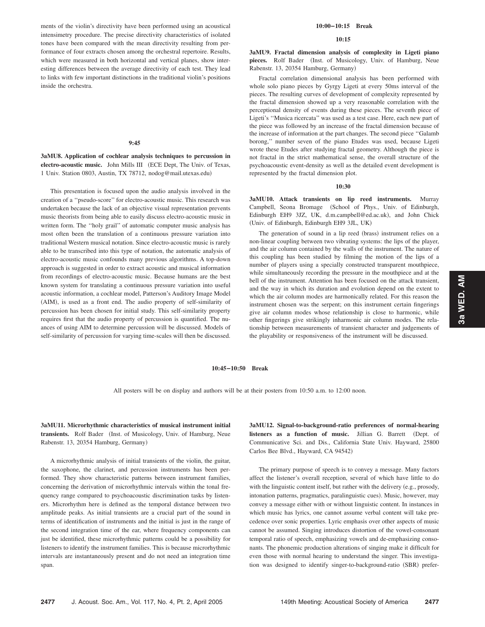ments of the violin's directivity have been performed using an acoustical intensimetry procedure. The precise directivity characteristics of isolated tones have been compared with the mean directivity resulting from performance of four extracts chosen among the orchestral repertoire. Results, which were measured in both horizontal and vertical planes, show interesting differences between the average directivity of each test. They lead to links with few important distinctions in the traditional violin's positions inside the orchestra.

## **9:45**

**3aMU8. Application of cochlear analysis techniques to percussion in** electro-acoustic music. John Mills III (ECE Dept, The Univ. of Texas, 1 Univ. Station 0803, Austin, TX 78712, nodog@mail.utexas.edu-

This presentation is focused upon the audio analysis involved in the creation of a ''pseudo-score'' for electro-acoustic music. This research was undertaken because the lack of an objective visual representation prevents music theorists from being able to easily discuss electro-acoustic music in written form. The ''holy grail'' of automatic computer music analysis has most often been the translation of a continuous pressure variation into traditional Western musical notation. Since electro-acoustic music is rarely able to be transcribed into this type of notation, the automatic analysis of electro-acoustic music confounds many previous algorithms. A top-down approach is suggested in order to extract acoustic and musical information from recordings of electro-acoustic music. Because humans are the best known system for translating a continuous pressure variation into useful acoustic information, a cochlear model, Patterson's Auditory Image Model (AIM), is used as a front end. The audio property of self-similarity of percussion has been chosen for initial study. This self-similarity property requires first that the audio property of percussion is quantified. The nuances of using AIM to determine percussion will be discussed. Models of self-similarity of percussion for varying time-scales will then be discussed.

## **10:00–10:15 Break**

#### **10:15**

**3aMU9. Fractal dimension analysis of complexity in Ligeti piano** pieces. Rolf Bader (Inst. of Musicology, Univ. of Hamburg, Neue Rabenstr. 13, 20354 Hamburg, Germany)

Fractal correlation dimensional analysis has been performed with whole solo piano pieces by Gyrgy Ligeti at every 50ms interval of the pieces. The resulting curves of development of complexity represented by the fractal dimension showed up a very reasonable correlation with the perceptional density of events during these pieces. The seventh piece of Ligeti's ''Musica ricercata'' was used as a test case. Here, each new part of the piece was followed by an increase of the fractal dimension because of the increase of information at the part changes. The second piece ''Galamb borong,'' number seven of the piano Etudes was used, because Ligeti wrote these Etudes after studying fractal geometry. Although the piece is not fractal in the strict mathematical sense, the overall structure of the psychoacoustic event-density as well as the detailed event development is represented by the fractal dimension plot.

#### **10:30**

**3aMU10. Attack transients on lip reed instruments.** Murray Campbell, Seona Bromage (School of Phys., Univ. of Edinburgh, Edinburgh EH9 3JZ, UK, d.m.campbell@ed.ac.uk), and John Chick Univ. of Edinburgh, Edinburgh EH9 3JL, UK-

The generation of sound in a lip reed (brass) instrument relies on a non-linear coupling between two vibrating systems: the lips of the player, and the air column contained by the walls of the instrument. The nature of this coupling has been studied by filming the motion of the lips of a number of players using a specially constructed transparent mouthpiece, while simultaneously recording the pressure in the mouthpiece and at the bell of the instrument. Attention has been focused on the attack transient, and the way in which its duration and evolution depend on the extent to which the air column modes are harmonically related. For this reason the instrument chosen was the serpent; on this instrument certain fingerings give air column modes whose relationship is close to harmonic, while other fingerings give strikingly inharmonic air column modes. The relationship between measurements of transient character and judgements of the playability or responsiveness of the instrument will be discussed.

#### **10:45–10:50 Break**

All posters will be on display and authors will be at their posters from 10:50 a.m. to 12:00 noon.

**3aMU11. Microrhythmic characteristics of musical instrument initial** transients. Rolf Bader (Inst. of Musicology, Univ. of Hamburg, Neue Rabenstr. 13, 20354 Hamburg, Germany)

A microrhythmic analysis of initial transients of the violin, the guitar, the saxophone, the clarinet, and percussion instruments has been performed. They show characteristic patterns between instrument families, concerning the derivation of microrhythmic intervals within the tonal frequency range compared to psychoacoustic discrimination tasks by listeners. Microrhythm here is defined as the temporal distance between two amplitude peaks. As initial transients are a crucial part of the sound in terms of identification of instruments and the initial is just in the range of the second integration time of the ear, where frequency components can just be identified, these microrhythmic patterns could be a possibility for listeners to identify the instrument families. This is because microrhythmic intervals are instantaneously present and do not need an integration time span.

**3aMU12. Signal-to-background-ratio preferences of normal-hearing** listeners as a function of music. Jillian G. Barrett (Dept. of Communicative Sci. and Dis., California State Univ. Hayward, 25800 Carlos Bee Blvd., Hayward, CA 94542)

The primary purpose of speech is to convey a message. Many factors affect the listener's overall reception, several of which have little to do with the linguistic content itself, but rather with the delivery (e.g., prosody, intonation patterns, pragmatics, paralinguistic cues). Music, however, may convey a message either with or without linguistic content. In instances in which music has lyrics, one cannot assume verbal content will take precedence over sonic properties. Lyric emphasis over other aspects of music cannot be assumed. Singing introduces distortion of the vowel-consonant temporal ratio of speech, emphasizing vowels and de-emphasizing consonants. The phonemic production alterations of singing make it difficult for even those with normal hearing to understand the singer. This investigation was designed to identify singer-to-background-ratio (SBR) prefer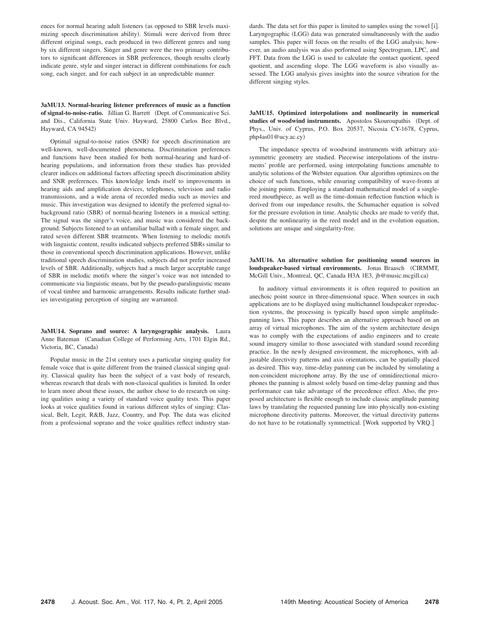ences for normal hearing adult listeners (as opposed to SBR levels maximizing speech discrimination ability). Stimuli were derived from three different original songs, each produced in two different genres and sung by six different singers. Singer and genre were the two primary contributors to significant differences in SBR preferences, though results clearly indicate genre, style and singer interact in different combinations for each song, each singer, and for each subject in an unpredictable manner.

**3aMU13. Normal-hearing listener preferences of music as a function** of signal-to-noise-ratio. Jillian G. Barrett (Dept. of Communicative Sci. and Dis., California State Univ. Hayward, 25800 Carlos Bee Blvd., Hayward, CA 94542)

Optimal signal-to-noise ratios (SNR) for speech discrimination are well-known, well-documented phenomena. Discrimination preferences and functions have been studied for both normal-hearing and hard-ofhearing populations, and information from these studies has provided clearer indices on additional factors affecting speech discrimination ability and SNR preferences. This knowledge lends itself to improvements in hearing aids and amplification devices, telephones, television and radio transmissions, and a wide arena of recorded media such as movies and music. This investigation was designed to identify the preferred signal-tobackground ratio (SBR) of normal-hearing listeners in a musical setting. The signal was the singer's voice, and music was considered the background. Subjects listened to an unfamiliar ballad with a female singer, and rated seven different SBR treatments. When listening to melodic motifs with linguistic content, results indicated subjects preferred SBRs similar to those in conventional speech discrimination applications. However, unlike traditional speech discrimination studies, subjects did not prefer increased levels of SBR. Additionally, subjects had a much larger acceptable range of SBR in melodic motifs where the singer's voice was not intended to communicate via linguistic means, but by the pseudo-paralinguistic means of vocal timbre and harmonic arrangements. Results indicate further studies investigating perception of singing are warranted.

**3aMU14. Soprano and source: A laryngographic analysis.** Laura Anne Bateman (Canadian College of Performing Arts, 1701 Elgin Rd., Victoria, BC, Canada)

Popular music in the 21st century uses a particular singing quality for female voice that is quite different from the trained classical singing quality. Classical quality has been the subject of a vast body of research, whereas research that deals with non-classical qualities is limited. In order to learn more about these issues, the author chose to do research on singing qualities using a variety of standard voice quality tests. This paper looks at voice qualities found in various different styles of singing: Classical, Belt, Legit, R&B, Jazz, Country, and Pop. The data was elicited from a professional soprano and the voice qualities reflect industry standards. The data set for this paper is limited to samples using the vowel [i]. Laryngographic (LGG) data was generated simultaneously with the audio samples. This paper will focus on the results of the LGG analysis; however, an audio analysis was also performed using Spectrogram, LPC, and FFT. Data from the LGG is used to calculate the contact quotient, speed quotient, and ascending slope. The LGG waveform is also visually assessed. The LGG analysis gives insights into the source vibration for the different singing styles.

**3aMU15. Optimized interpolations and nonlinearity in numerical** studies of woodwind instruments. Apostolos Skouroupathis (Dept. of Phys., Univ. of Cyprus, P.O. Box 20537, Nicosia CY-1678, Cyprus, php4as01@ucy.ac.cy-

The impedance spectra of woodwind instruments with arbitrary axisymmetric geometry are studied. Piecewise interpolations of the instruments' profile are performed, using interpolating functions amenable to analytic solutions of the Webster equation. Our algorithm optimizes on the choice of such functions, while ensuring compatibility of wave-fronts at the joining points. Employing a standard mathematical model of a singlereed mouthpiece, as well as the time-domain reflection function which is derived from our impedance results, the Schumacher equation is solved for the pressure evolution in time. Analytic checks are made to verify that, despite the nonlinearity in the reed model and in the evolution equation, solutions are unique and singularity-free.

**3aMU16. An alternative solution for positioning sound sources in loudspeaker-based virtual environments.** Jonas Braasch CIRMMT, McGill Univ., Montreal, QC, Canada H3A 1E3, jb@music.mcgill.ca-

In auditory virtual environments it is often required to position an anechoic point source in three-dimensional space. When sources in such applications are to be displayed using multichannel loudspeaker reproduction systems, the processing is typically based upon simple amplitudepanning laws. This paper describes an alternative approach based on an array of virtual microphones. The aim of the system architecture design was to comply with the expectations of audio engineers and to create sound imagery similar to those associated with standard sound recording practice. In the newly designed environment, the microphones, with adjustable directivity patterns and axis orientations, can be spatially placed as desired. This way, time-delay panning can be included by simulating a non-coincident microphone array. By the use of omnidirectional microphones the panning is almost solely based on time-delay panning and thus performance can take advantage of the precedence effect. Also, the proposed architecture is flexible enough to include classic amplitude panning laws by translating the requested panning law into physically non-existing microphone directivity patterns. Moreover, the virtual directivity patterns do not have to be rotationally symmetrical. Work supported by VRQ.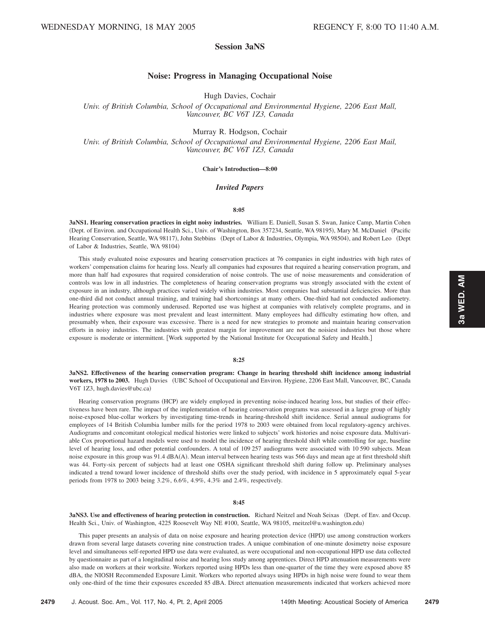# **Session 3aNS**

## **Noise: Progress in Managing Occupational Noise**

Hugh Davies, Cochair

*Univ. of British Columbia, School of Occupational and Environmental Hygiene, 2206 East Mall, Vancouver, BC V6T 1Z3, Canada*

Murray R. Hodgson, Cochair

*Univ. of British Columbia, School of Occupational and Environmental Hygiene, 2206 East Mail, Vancouver, BC V6T 1Z3, Canada*

**Chair's Introduction—8:00**

## *Invited Papers*

## **8:05**

**3aNS1. Hearing conservation practices in eight noisy industries.** William E. Daniell, Susan S. Swan, Janice Camp, Martin Cohen (Dept. of Environ. and Occupational Health Sci., Univ. of Washington, Box 357234, Seattle, WA 98195), Mary M. McDaniel (Pacific Hearing Conservation, Seattle, WA 98117), John Stebbins (Dept of Labor & Industries, Olympia, WA 98504), and Robert Leo (Dept of Labor & Industries, Seattle, WA 98104)

This study evaluated noise exposures and hearing conservation practices at 76 companies in eight industries with high rates of workers' compensation claims for hearing loss. Nearly all companies had exposures that required a hearing conservation program, and more than half had exposures that required consideration of noise controls. The use of noise measurements and consideration of controls was low in all industries. The completeness of hearing conservation programs was strongly associated with the extent of exposure in an industry, although practices varied widely within industries. Most companies had substantial deficiencies. More than one-third did not conduct annual training, and training had shortcomings at many others. One-third had not conducted audiometry. Hearing protection was commonly underused. Reported use was highest at companies with relatively complete programs, and in industries where exposure was most prevalent and least intermittent. Many employees had difficulty estimating how often, and presumably when, their exposure was excessive. There is a need for new strategies to promote and maintain hearing conservation efforts in noisy industries. The industries with greatest margin for improvement are not the noisiest industries but those where exposure is moderate or intermittent. Work supported by the National Institute for Occupational Safety and Health.

## **8:25**

**3aNS2. Effectiveness of the hearing conservation program: Change in hearing threshold shift incidence among industrial workers, 1978 to 2003.** Hugh Davies UBC School of Occupational and Environ. Hygiene, 2206 East Mall, Vancouver, BC, Canada V6T 1Z3, hugh.davies@ubc.ca)

Hearing conservation programs (HCP) are widely employed in preventing noise-induced hearing loss, but studies of their effectiveness have been rare. The impact of the implementation of hearing conservation programs was assessed in a large group of highly noise-exposed blue-collar workers by investigating time-trends in hearing-threshold shift incidence. Serial annual audiograms for employees of 14 British Columbia lumber mills for the period 1978 to 2003 were obtained from local regulatory-agency archives. Audiograms and concomitant otological medical histories were linked to subjects' work histories and noise exposure data. Multivariable Cox proportional hazard models were used to model the incidence of hearing threshold shift while controlling for age, baseline level of hearing loss, and other potential confounders. A total of 109 257 audiograms were associated with 10 590 subjects. Mean noise exposure in this group was 91.4 dBA(A). Mean interval between hearing tests was 566 days and mean age at first threshold shift was 44. Forty-six percent of subjects had at least one OSHA significant threshold shift during follow up. Preliminary analyses indicated a trend toward lower incidence of threshold shifts over the study period, with incidence in 5 approximately equal 5-year periods from 1978 to 2003 being 3.2%, 6.6%, 4.9%, 4.3% and 2.4%, respectively.

#### **8:45**

**3aNS3.** Use and effectiveness of hearing protection in construction. Richard Neitzel and Noah Seixas (Dept. of Env. and Occup. Health Sci., Univ. of Washington, 4225 Roosevelt Way NE #100, Seattle, WA 98105, rneitzel@u.washington.edu-

This paper presents an analysis of data on noise exposure and hearing protection device (HPD) use among construction workers drawn from several large datasets covering nine construction trades. A unique combination of one-minute dosimetry noise exposure level and simultaneous self-reported HPD use data were evaluated, as were occupational and non-occupational HPD use data collected by questionnaire as part of a longitudinal noise and hearing loss study among apprentices. Direct HPD attenuation measurements were also made on workers at their worksite. Workers reported using HPDs less than one-quarter of the time they were exposed above 85 dBA, the NIOSH Recommended Exposure Limit. Workers who reported always using HPDs in high noise were found to wear them only one-third of the time their exposures exceeded 85 dBA. Direct attenuation measurements indicated that workers achieved more

**3a WED. AM**

3a WED. AM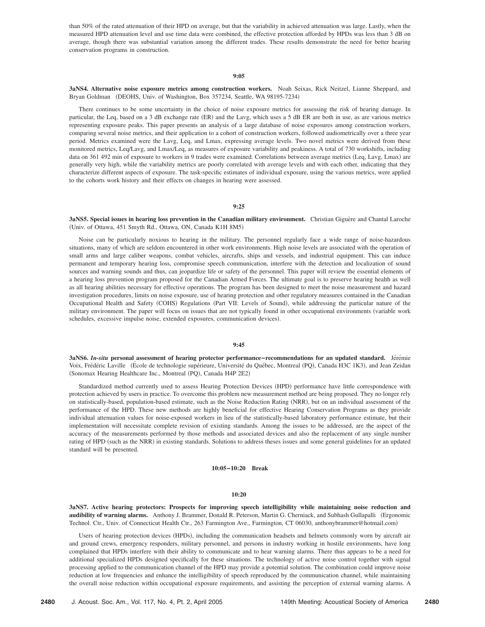than 50% of the rated attenuation of their HPD on average, but that the variability in achieved attenuation was large. Lastly, when the measured HPD attenuation level and use time data were combined, the effective protection afforded by HPDs was less than 3 dB on average, though there was substantial variation among the different trades. These results demonstrate the need for better hearing conservation programs in construction.

#### **9:05**

**3aNS4. Alternative noise exposure metrics among construction workers.** Noah Seixas, Rick Neitzel, Lianne Sheppard, and Bryan Goldman (DEOHS, Univ. of Washington, Box 357234, Seattle, WA 98195-7234)

There continues to be some uncertainty in the choice of noise exposure metrics for assessing the risk of hearing damage. In particular, the Leq, based on a 3 dB exchange rate (ER) and the Lavg, which uses a 5 dB ER are both in use, as are various metrics representing exposure peaks. This paper presents an analysis of a large database of noise exposures among construction workers, comparing several noise metrics, and their application to a cohort of construction workers, followed audiometrically over a three year period. Metrics examined were the Lavg, Leq, and Lmax, expressing average levels. Two novel metrics were derived from these monitored metrics, Leq/Lavg, and Lmax/Leq, as measures of exposure variability and peakiness. A total of 730 workshifts, including data on 361 492 min of exposure to workers in 9 trades were examined. Correlations between average metrics (Leq, Lavg, Lmax) are generally very high, while the variability metrics are poorly correlated with average levels and with each other, indicating that they characterize different aspects of exposure. The task-specific estimates of individual exposure, using the various metrics, were applied to the cohorts work history and their effects on changes in hearing were assessed.

#### **9:25**

**3aNS5. Special issues in hearing loss prevention in the Canadian military environment.** Christian Giguère and Chantal Laroche Univ. of Ottawa, 451 Smyth Rd., Ottawa, ON, Canada K1H 8M5-

Noise can be particularly noxious to hearing in the military. The personnel regularly face a wide range of noise-hazardous situations, many of which are seldom encountered in other work environments. High noise levels are associated with the operation of small arms and large caliber weapons, combat vehicles, aircrafts, ships and vessels, and industrial equipment. This can induce permanent and temporary hearing loss, compromise speech communication, interfere with the detection and localization of sound sources and warning sounds and thus, can jeopardize life or safety of the personnel. This paper will review the essential elements of a hearing loss prevention program proposed for the Canadian Armed Forces. The ultimate goal is to preserve hearing health as well as all hearing abilities necessary for effective operations. The program has been designed to meet the noise measurement and hazard investigation procedures, limits on noise exposure, use of hearing protection and other regulatory measures contained in the Canadian Occupational Health and Safety (COHS) Regulations (Part VII: Levels of Sound), while addressing the particular nature of the military environment. The paper will focus on issues that are not typically found in other occupational environments (variable work schedules, excessive impulse noise, extended exposures, communication devices).

## **9:45**

**3aNS6.** *In-situ* personal assessment of hearing protector performance–recommendations for an updated standard. Jérémie Voix, Frédéric Laville (École de technologie supérieure, Université du Québec, Montreal (PQ), Canada H3C 1K3), and Jean Zeidan (Sonomax Hearing Healthcare Inc., Montreal (PQ), Canada H4P 2E2)

Standardized method currently used to assess Hearing Protection Devices (HPD) performance have little correspondence with protection achieved by users in practice. To overcome this problem new measurement method are being proposed. They no longer rely on statistically-based, population-based estimate, such as the Noise Reduction Rating (NRR), but on an individual assessment of the performance of the HPD. These new methods are highly beneficial for effective Hearing Conservation Programs as they provide individual attenuation values for noise-exposed workers in lieu of the statistically-based laboratory performance estimate, but their implementation will necessitate complete revision of existing standards. Among the issues to be addressed, are the aspect of the accuracy of the measurements performed by those methods and associated devices and also the replacement of any single number rating of HPD (such as the NRR) in existing standards. Solutions to address theses issues and some general guidelines for an updated standard will be presented.

#### **10:05–10:20 Break**

#### **10:20**

**3aNS7. Active hearing protectors: Prospects for improving speech intelligibility while maintaining noise reduction and audibility of warning alarms.** Anthony J. Brammer, Donald R. Peterson, Martin G. Cherniack, and Subhash Gullapalli Ergonomic Technol. Ctr., Univ. of Connecticut Health Ctr., 263 Farmington Ave., Farmington, CT 06030, anthonybrammer@hotmail.com-

Users of hearing protection devices (HPDs), including the communication headsets and helmets commonly worn by aircraft air and ground crews, emergency responders, military personnel, and persons in industry working in hostile environments, have long complained that HPDs interfere with their ability to communicate and to hear warning alarms. There thus appears to be a need for additional specialized HPDs designed specifically for these situations. The technology of active noise control together with signal processing applied to the communication channel of the HPD may provide a potential solution. The combination could improve noise reduction at low frequencies and enhance the intelligibility of speech reproduced by the communication channel, while maintaining the overall noise reduction within occupational exposure requirements, and assisting the perception of external warning alarms. A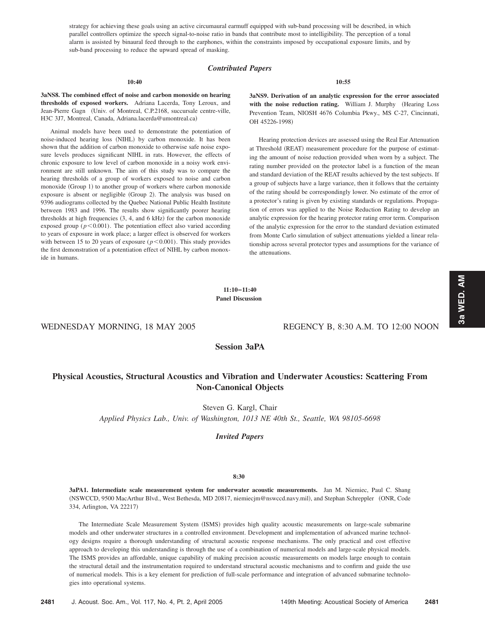strategy for achieving these goals using an active circumaural earmuff equipped with sub-band processing will be described, in which parallel controllers optimize the speech signal-to-noise ratio in bands that contribute most to intelligibility. The perception of a tonal alarm is assisted by binaural feed through to the earphones, within the constraints imposed by occupational exposure limits, and by sub-band processing to reduce the upward spread of masking.

## *Contributed Papers*

#### **10:40**

**3aNS8. The combined effect of noise and carbon monoxide on hearing thresholds of exposed workers.** Adriana Lacerda, Tony Leroux, and Jean-Pierre Gagn (Univ. of Montreal, C.P.2168, succursale centre-ville, H3C 3J7, Montreal, Canada, Adriana.lacerda@umontreal.ca)

Animal models have been used to demonstrate the potentiation of noise-induced hearing loss (NIHL) by carbon monoxide. It has been shown that the addition of carbon monoxide to otherwise safe noise exposure levels produces significant NIHL in rats. However, the effects of chronic exposure to low level of carbon monoxide in a noisy work environment are still unknown. The aim of this study was to compare the hearing thresholds of a group of workers exposed to noise and carbon monoxide (Group 1) to another group of workers where carbon monoxide exposure is absent or negligible (Group 2). The analysis was based on 9396 audiograms collected by the Quebec National Public Health Institute between 1983 and 1996. The results show significantly poorer hearing thresholds at high frequencies (3, 4, and 6 kHz) for the carbon monoxide exposed group  $(p<0.001)$ . The potentiation effect also varied according to years of exposure in work place; a larger effect is observed for workers with between 15 to 20 years of exposure  $(p<0.001)$ . This study provides the first demonstration of a potentiation effect of NIHL by carbon monoxide in humans.

**10:55**

**3aNS9. Derivation of an analytic expression for the error associated** with the noise reduction rating. William J. Murphy (Hearing Loss Prevention Team, NIOSH 4676 Columbia Pkwy., MS C-27, Cincinnati, OH 45226-1998)

Hearing protection devices are assessed using the Real Ear Attenuation at Threshold (REAT) measurement procedure for the purpose of estimating the amount of noise reduction provided when worn by a subject. The rating number provided on the protector label is a function of the mean and standard deviation of the REAT results achieved by the test subjects. If a group of subjects have a large variance, then it follows that the certainty of the rating should be correspondingly lower. No estimate of the error of a protector's rating is given by existing standards or regulations. Propagation of errors was applied to the Noise Reduction Rating to develop an analytic expression for the hearing protector rating error term. Comparison of the analytic expression for the error to the standard deviation estimated from Monte Carlo simulation of subject attenuations yielded a linear relationship across several protector types and assumptions for the variance of the attenuations.

**11:10–11:40 Panel Discussion**

# WEDNESDAY MORNING, 18 MAY 2005 REGENCY B, 8:30 A.M. TO 12:00 NOON

**Session 3aPA**

# **Physical Acoustics, Structural Acoustics and Vibration and Underwater Acoustics: Scattering From Non-Canonical Objects**

Steven G. Kargl, Chair

*Applied Physics Lab., Univ. of Washington, 1013 NE 40th St., Seattle, WA 98105-6698*

## *Invited Papers*

## **8:30**

**3aPA1. Intermediate scale measurement system for underwater acoustic measurements.** Jan M. Niemiec, Paul C. Shang (NSWCCD, 9500 MacArthur Blvd., West Bethesda, MD 20817, niemiecjm@nswccd.navy.mil), and Stephan Schreppler (ONR, Code 334, Arlington, VA 22217)

The Intermediate Scale Measurement System (ISMS) provides high quality acoustic measurements on large-scale submarine models and other underwater structures in a controlled environment. Development and implementation of advanced marine technology designs require a thorough understanding of structural acoustic response mechanisms. The only practical and cost effective approach to developing this understanding is through the use of a combination of numerical models and large-scale physical models. The ISMS provides an affordable, unique capability of making precision acoustic measurements on models large enough to contain the structural detail and the instrumentation required to understand structural acoustic mechanisms and to confirm and guide the use of numerical models. This is a key element for prediction of full-scale performance and integration of advanced submarine technologies into operational systems.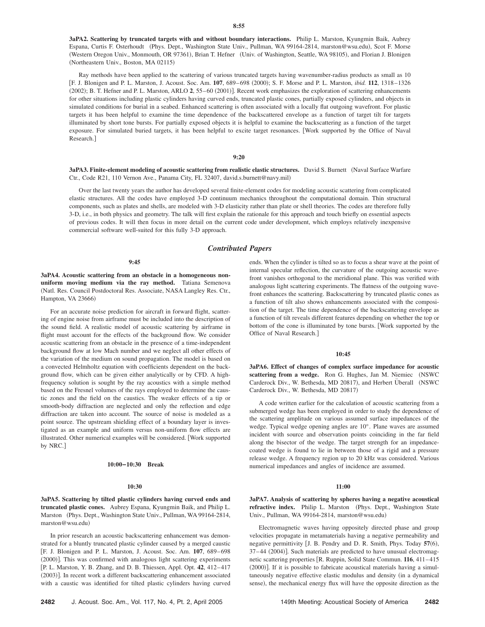**3aPA2. Scattering by truncated targets with and without boundary interactions.** Philip L. Marston, Kyungmin Baik, Aubrey Espana, Curtis F. Osterhoudt (Phys. Dept., Washington State Univ., Pullman, WA 99164-2814, marston@wsu.edu), Scot F. Morse (Western Oregon Univ., Monmouth, OR 97361), Brian T. Hefner (Univ. of Washington, Seattle, WA 98105), and Florian J. Blonigen (Northeastern Univ., Boston, MA 02115)

Ray methods have been applied to the scattering of various truncated targets having wavenumber-radius products as small as 10 F. J. Blonigen and P. L. Marston, J. Acoust. Soc. Am. **107**, 689–698 2000-; S. F. Morse and P. L. Marston, *ibid.* **112**, 1318–1326 (2002); B. T. Hefner and P. L. Marston, ARLO 2, 55–60 (2001)]. Recent work emphasizes the exploration of scattering enhancements for other situations including plastic cylinders having curved ends, truncated plastic cones, partially exposed cylinders, and objects in simulated conditions for burial in a seabed. Enhanced scattering is often associated with a locally flat outgoing wavefront. For plastic targets it has been helpful to examine the time dependence of the backscattered envelope as a function of target tilt for targets illuminated by short tone bursts. For partially exposed objects it is helpful to examine the backscattering as a function of the target exposure. For simulated buried targets, it has been helpful to excite target resonances. Work supported by the Office of Naval Research.

## **9:20**

3aPA3. Finite-element modeling of acoustic scattering from realistic elastic structures. David S. Burnett (Naval Surface Warfare Ctr., Code R21, 110 Vernon Ave., Panama City, FL 32407, david.s.burnett@navy.mil-

Over the last twenty years the author has developed several finite-element codes for modeling acoustic scattering from complicated elastic structures. All the codes have employed 3-D continuum mechanics throughout the computational domain. Thin structural components, such as plates and shells, are modeled with 3-D elasticity rather than plate or shell theories. The codes are therefore fully 3-D, i.e., in both physics and geometry. The talk will first explain the rationale for this approach and touch briefly on essential aspects of previous codes. It will then focus in more detail on the current code under development, which employs relatively inexpensive commercial software well-suited for this fully 3-D approach.

## *Contributed Papers*

#### **9:45**

**3aPA4. Acoustic scattering from an obstacle in a homogeneous nonuniform moving medium via the ray method.** Tatiana Semenova Natl. Res. Council Postdoctoral Res. Associate, NASA Langley Res. Ctr., Hampton, VA 23666)

For an accurate noise prediction for aircraft in forward flight, scattering of engine noise from airframe must be included into the description of the sound field. A realistic model of acoustic scattering by airframe in flight must account for the effects of the background flow. We consider acoustic scattering from an obstacle in the presence of a time-independent background flow at low Mach number and we neglect all other effects of the variation of the medium on sound propagation. The model is based on a convected Helmholtz equation with coefficients dependent on the background flow, which can be given either analytically or by CFD. A highfrequency solution is sought by the ray acoustics with a simple method based on the Fresnel volumes of the rays employed to determine the caustic zones and the field on the caustics. The weaker effects of a tip or smooth-body diffraction are neglected and only the reflection and edge diffraction are taken into account. The source of noise is modeled as a point source. The upstream shielding effect of a boundary layer is investigated as an example and uniform versus non-uniform flow effects are illustrated. Other numerical examples will be considered. [Work supported by NRC.

#### **10:00–10:30 Break**

#### **10:30**

**3aPA5. Scattering by tilted plastic cylinders having curved ends and truncated plastic cones.** Aubrey Espana, Kyungmin Baik, and Philip L. Marston (Phys. Dept., Washington State Univ., Pullman, WA 99164-2814, marston@wsu.edu-

In prior research an acoustic backscattering enhancement was demonstrated for a bluntly truncated plastic cylinder caused by a merged caustic F. J. Blonigen and P. L. Marston, J. Acoust. Soc. Am. **107**, 689–698 (2000)]. This was confirmed with analogous light scattering experiments P. L. Marston, Y. B. Zhang, and D. B. Thiessen, Appl. Opt. **42**, 412–417 (2003)]. In recent work a different backscattering enhancement associated with a caustic was identified for tilted plastic cylinders having curved ends. When the cylinder is tilted so as to focus a shear wave at the point of internal specular reflection, the curvature of the outgoing acoustic wavefront vanishes orthogonal to the meridional plane. This was verified with analogous light scattering experiments. The flatness of the outgoing wavefront enhances the scattering. Backscattering by truncated plastic cones as a function of tilt also shows enhancements associated with the composition of the target. The time dependence of the backscattering envelope as a function of tilt reveals different features depending on whether the top or bottom of the cone is illuminated by tone bursts. Work supported by the Office of Naval Research.

#### **10:45**

**3aPA6. Effect of changes of complex surface impedance for acoustic** scattering from a wedge. Ron G. Hughes, Jan M. Niemiec (NSWC) Carderock Div., W. Bethesda, MD 20817), and Herbert Überall (NSWC Carderock Div., W. Bethesda, MD 20817)

A code written earlier for the calculation of acoustic scattering from a submerged wedge has been employed in order to study the dependence of the scattering amplitude on various assumed surface impedances of the wedge. Typical wedge opening angles are 10°. Plane waves are assumed incident with source and observation points coinciding in the far field along the bisector of the wedge. The target strength for an impedancecoated wedge is found to lie in between those of a rigid and a pressure release wedge. A frequency region up to 20 kHz was considered. Various numerical impedances and angles of incidence are assumed.

#### **11:00**

**3aPA7. Analysis of scattering by spheres having a negative acoustical** refractive index. Philip L. Marston (Phys. Dept., Washington State Univ., Pullman, WA 99164-2814, marston@wsu.edu-

Electromagnetic waves having oppositely directed phase and group velocities propagate in metamaterials having a negative permeability and negative permittivity [J. B. Pendry and D. R. Smith, Phys. Today 57(6), 37–44 (2004)]. Such materials are predicted to have unusual electromagnetic scattering properties [R. Ruppin, Solid State Commun. 116, 411-415 (2000)]. If it is possible to fabricate acoustical materials having a simultaneously negative effective elastic modulus and density (in a dynamical sense), the mechanical energy flux will have the opposite direction as the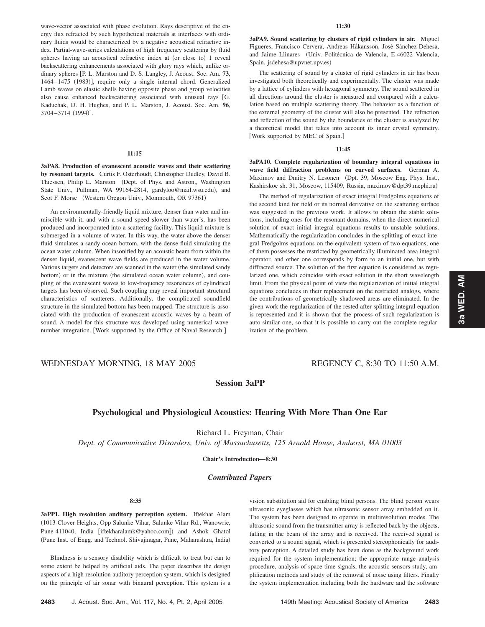wave-vector associated with phase evolution. Rays descriptive of the energy flux refracted by such hypothetical materials at interfaces with ordinary fluids would be characterized by a negative acoustical refractive index. Partial-wave-series calculations of high frequency scattering by fluid spheres having an acoustical refractive index at (or close to) 1 reveal backscattering enhancements associated with glory rays which, unlike ordinary spheres [P. L. Marston and D. S. Langley, J. Acoust. Soc. Am. 73, 1464–1475 (1983)], require only a single internal chord. Generalized Lamb waves on elastic shells having opposite phase and group velocities also cause enhanced backscattering associated with unusual rays G. Kaduchak, D. H. Hughes, and P. L. Marston, J. Acoust. Soc. Am. **96**, 3704–3714 (1994)].

## **11:15**

**3aPA8. Production of evanescent acoustic waves and their scattering by resonant targets.** Curtis F. Osterhoudt, Christopher Dudley, David B. Thiessen, Philip L. Marston (Dept. of Phys. and Astron., Washington State Univ., Pullman, WA 99164-2814, gardyloo@mail.wsu.edu), and Scot F. Morse (Western Oregon Univ., Monmouth, OR 97361)

An environmentally-friendly liquid mixture, denser than water and immiscible with it, and with a sound speed slower than water's, has been produced and incorporated into a scattering facility. This liquid mixture is submerged in a volume of water. In this way, the water above the denser fluid simulates a sandy ocean bottom, with the dense fluid simulating the ocean water column. When insonified by an acoustic beam from within the denser liquid, evanescent wave fields are produced in the water volume. Various targets and detectors are scanned in the water (the simulated sandy bottom) or in the mixture (the simulated ocean water column), and coupling of the evanescent waves to low-frequency resonances of cylindrical targets has been observed. Such coupling may reveal important structural characteristics of scatterers. Additionally, the complicated soundfield structure in the simulated bottom has been mapped. The structure is associated with the production of evanescent acoustic waves by a beam of sound. A model for this structure was developed using numerical wavenumber integration. [Work supported by the Office of Naval Research.]

# WEDNESDAY MORNING, 18 MAY 2005 REGENCY C, 8:30 TO 11:50 A.M.

## **11:30**

**3aPA9. Sound scattering by clusters of rigid cylinders in air.** Miguel Figueres, Francisco Cervera, Andreas Håkansson, José Sánchez-Dehesa, and Jaime Llinares (Univ. Politécnica de Valencia, E-46022 Valencia, Spain, jsdehesa@upvnet.upv.es)

The scattering of sound by a cluster of rigid cylinders in air has been investigated both theoretically and experimentally. The cluster was made by a lattice of cylinders with hexagonal symmetry. The sound scattered in all directions around the cluster is measured and compared with a calculation based on multiple scattering theory. The behavior as a function of the external geometry of the cluster will also be presented. The refraction and reflection of the sound by the boundaries of the cluster is analyzed by a theoretical model that takes into account its inner crystal symmetry. Work supported by MEC of Spain.

#### **11:45**

**3aPA10. Complete regularization of boundary integral equations in wave field diffraction problems on curved surfaces.** German A. Maximov and Dmitry N. Lesonen (Dpt. 39, Moscow Eng. Phys. Inst., Kashirskoe sh. 31, Moscow, 115409, Russia, maximov@dpt39.mephi.ru)

The method of regularization of exact integral Fredgolms equations of the second kind for field or its normal derivative on the scattering surface was suggested in the previous work. It allows to obtain the stable solutions, including ones for the resonant domains, when the direct numerical solution of exact initial integral equations results to unstable solutions. Mathematically the regularization concludes in the splitting of exact integral Fredgolms equations on the equivalent system of two equations, one of them possesses the restricted by geometrically illuminated area integral operator, and other one corresponds by form to an initial one, but with diffracted source. The solution of the first equation is considered as regularized one, which coincides with exact solution in the short wavelength limit. From the physical point of view the regularization of initial integral equations concludes in their replacement on the restricted analogs, where the contributions of geometrically shadowed areas are eliminated. In the given work the regularization of the rested after splitting integral equation is represented and it is shown that the process of such regularization is auto-similar one, so that it is possible to carry out the complete regularization of the problem.

# **Session 3aPP**

# **Psychological and Physiological Acoustics: Hearing With More Than One Ear**

Richard L. Freyman, Chair

*Dept. of Communicative Disorders, Univ. of Massachusetts, 125 Arnold House, Amherst, MA 01003*

**Chair's Introduction—8:30**

## *Contributed Papers*

## **8:35**

**3aPP1. High resolution auditory perception system.** Iftekhar Alam 1013-Clover Heights, Opp Salunke Vihar, Salunke Vihar Rd., Wanowrie, Pune-411040, India [iftekharalamk@yahoo.com]) and Ashok Ghatol Pune Inst. of Engg. and Technol. Shivajinagar, Pune, Maharashtra, India-

Blindness is a sensory disability which is difficult to treat but can to some extent be helped by artificial aids. The paper describes the design aspects of a high resolution auditory perception system, which is designed on the principle of air sonar with binaural perception. This system is a vision substitution aid for enabling blind persons. The blind person wears ultrasonic eyeglasses which has ultrasonic sensor array embedded on it. The system has been designed to operate in multiresolution modes. The ultrasonic sound from the transmitter array is reflected back by the objects, falling in the beam of the array and is received. The received signal is converted to a sound signal, which is presented stereophonically for auditory perception. A detailed study has been done as the background work required for the system implementation; the appropriate range analysis procedure, analysis of space-time signals, the acoustic sensors study, amplification methods and study of the removal of noise using filters. Finally the system implementation including both the hardware and the software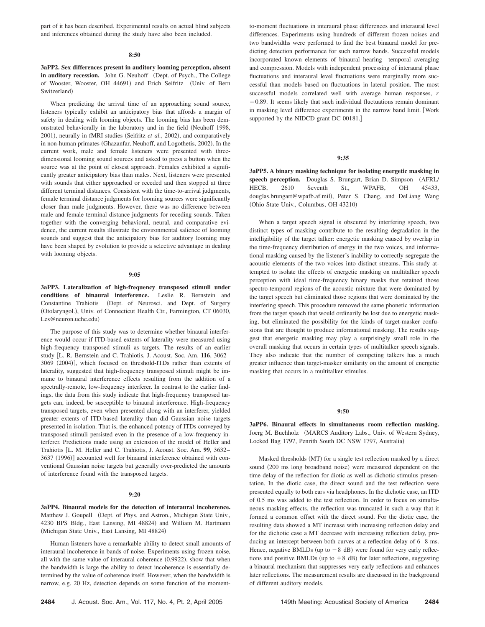part of it has been described. Experimental results on actual blind subjects and inferences obtained during the study have also been included.

#### **8:50**

**3aPP2. Sex differences present in auditory looming perception, absent** in auditory recession. John G. Neuhoff (Dept. of Psych., The College of Wooster, Wooster, OH 44691) and Erich Seifritz (Univ. of Bern Switzerland)

When predicting the arrival time of an approaching sound source, listeners typically exhibit an anticipatory bias that affords a margin of safety in dealing with looming objects. The looming bias has been demonstrated behaviorally in the laboratory and in the field (Neuhoff 1998, 2001), neurally in fMRI studies (Seifritz et al., 2002), and comparatively in non-human primates (Ghazanfar, Neuhoff, and Logothetis, 2002). In the current work, male and female listeners were presented with threedimensional looming sound sources and asked to press a button when the source was at the point of closest approach. Females exhibited a significantly greater anticipatory bias than males. Next, listeners were presented with sounds that either approached or receded and then stopped at three different terminal distances. Consistent with the time-to-arrival judgments, female terminal distance judgments for looming sources were significantly closer than male judgments. However, there was no difference between male and female terminal distance judgments for receding sounds. Taken together with the converging behavioral, neural, and comparative evidence, the current results illustrate the environmental salience of looming sounds and suggest that the anticipatory bias for auditory looming may have been shaped by evolution to provide a selective advantage in dealing with looming objects.

#### **9:05**

**3aPP3. Lateralization of high-frequency transposed stimuli under conditions of binaural interference.** Leslie R. Bernstein and Constantine Trahiotis (Dept. of Neurosci. and Dept. of Surgery (Otolaryngol.), Univ. of Connecticut Health Ctr., Farmington, CT 06030, Les@neuron.uchc.edu-

The purpose of this study was to determine whether binaural interference would occur if ITD-based extents of laterality were measured using high-frequency transposed stimuli as targets. The results of an earlier study L. R. Bernstein and C. Trahiotis, J. Acoust. Soc. Am. **116**, 3062– 3069 (2004)], which focused on threshold-ITDs rather than extents of laterality, suggested that high-frequency transposed stimuli might be immune to binaural interference effects resulting from the addition of a spectrally-remote, low-frequency interferer. In contrast to the earlier findings, the data from this study indicate that high-frequency transposed targets can, indeed, be susceptible to binaural interference. High-frequency transposed targets, even when presented along with an interferer, yielded greater extents of ITD-based laterality than did Gaussian noise targets presented in isolation. That is, the enhanced potency of ITDs conveyed by transposed stimuli persisted even in the presence of a low-frequency interferer. Predictions made using an extension of the model of Heller and Trahiotis L. M. Heller and C. Trahiotis, J. Acoust. Soc. Am. **99**, 3632– 3637 (1996)] accounted well for binaural interference obtained with conventional Gaussian noise targets but generally over-predicted the amounts of interference found with the transposed targets.

## **9:20**

**3aPP4. Binaural models for the detection of interaural incoherence.** Matthew J. Goupell (Dept. of Phys. and Astron., Michigan State Univ., 4230 BPS Bldg., East Lansing, MI 48824) and William M. Hartmann (Michigan State Univ., East Lansing, MI 48824)

Human listeners have a remarkable ability to detect small amounts of interaural incoherence in bands of noise. Experiments using frozen noise, all with the same value of interaural coherence (0.9922), show that when the bandwidth is large the ability to detect incoherence is essentially determined by the value of coherence itself. However, when the bandwidth is narrow, e.g. 20 Hz, detection depends on some function of the momentto-moment fluctuations in interaural phase differences and interaural level differences. Experiments using hundreds of different frozen noises and two bandwidths were performed to find the best binaural model for predicting detection performance for such narrow bands. Successful models incorporated known elements of binaural hearing—temporal averaging and compression. Models with independent processing of interaural phase fluctuations and interaural level fluctuations were marginally more successful than models based on fluctuations in lateral position. The most successful models correlated well with average human responses, *r*  $= 0.89$ . It seems likely that such individual fluctuations remain dominant in masking level difference experiments in the narrow band limit. Work supported by the NIDCD grant DC 00181.]

#### **9:35**

**3aPP5. A binary masking technique for isolating energetic masking in** speech perception. Douglas S. Brungart, Brian D. Simpson (AFRL/ HECB, 2610 Seventh St., WPAFB, OH 45433, douglas.brungart@wpafb.af.mil), Peter S. Chang, and DeLiang Wang Ohio State Univ., Columbus, OH 43210-

When a target speech signal is obscured by interfering speech, two distinct types of masking contribute to the resulting degradation in the intelligibility of the target talker: energetic masking caused by overlap in the time-frequency distribution of energy in the two voices, and informational masking caused by the listener's inability to correctly segregate the acoustic elements of the two voices into distinct streams. This study attempted to isolate the effects of energetic masking on multitalker speech perception with ideal time-frequency binary masks that retained those spectro-temporal regions of the acoustic mixture that were dominated by the target speech but eliminated those regions that were dominated by the interfering speech. This procedure removed the same phonetic information from the target speech that would ordinarily be lost due to energetic masking, but eliminated the possibility for the kinds of target-masker confusions that are thought to produce informational masking. The results suggest that energetic masking may play a surprisingly small role in the overall masking that occurs in certain types of multitalker speech signals. They also indicate that the number of competing talkers has a much greater influence than target-masker similarity on the amount of energetic masking that occurs in a multitalker stimulus.

#### **9:50**

**3aPP6. Binaural effects in simultaneous room reflection masking.** Joerg M. Buchholz (MARCS Auditory Labs., Univ. of Western Sydney, Locked Bag 1797, Penrith South DC NSW 1797, Australia)

Masked thresholds (MT) for a single test reflection masked by a direct sound (200 ms long broadband noise) were measured dependent on the time delay of the reflection for diotic as well as dichotic stimulus presentation. In the diotic case, the direct sound and the test reflection were presented equally to both ears via headphones. In the dichotic case, an ITD of 0.5 ms was added to the test reflection. In order to focus on simultaneous masking effects, the reflection was truncated in such a way that it formed a common offset with the direct sound. For the diotic case, the resulting data showed a MT increase with increasing reflection delay and for the dichotic case a MT decrease with increasing reflection delay, producing an intercept between both curves at a reflection delay of 6–8 ms. Hence, negative BMLDs (up to  $-8$  dB) were found for very early reflections and positive BMLDs (up to  $+8$  dB) for later reflections, suggesting a binaural mechanism that suppresses very early reflections and enhances later reflections. The measurement results are discussed in the background of different auditory models.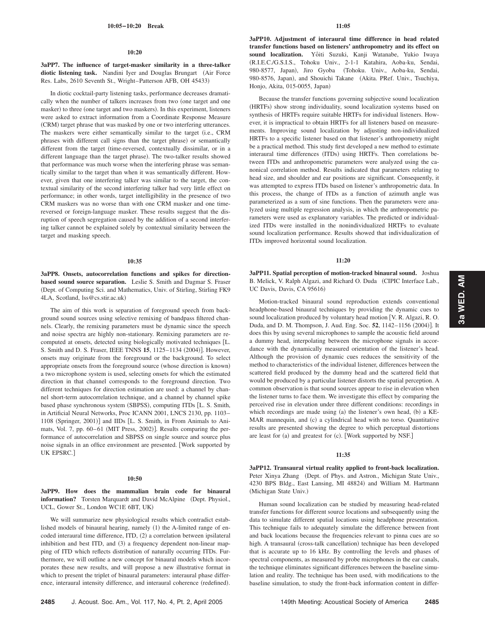#### **10:20**

**3aPP7. The influence of target-masker similarity in a three-talker** diotic listening task. Nandini Iyer and Douglas Brungart (Air Force Res. Labs, 2610 Seventh St., Wright–Patterson AFB, OH 45433)

In diotic cocktail-party listening tasks, performance decreases dramatically when the number of talkers increases from two (one target and one masker) to three (one target and two maskers). In this experiment, listeners were asked to extract information from a Coordinate Response Measure (CRM) target phrase that was masked by one or two interfering utterances. The maskers were either semantically similar to the target (i.e., CRM phrases with different call signs than the target phrase) or semantically different from the target (time-reversed, contextually dissimilar, or in a different language than the target phrase). The two-talker results showed that performance was much worse when the interfering phrase was semantically similar to the target than when it was semantically different. However, given that one interfering talker was similar to the target, the contextual similarity of the second interfering talker had very little effect on performance; in other words, target intelligibility in the presence of two CRM maskers was no worse than with one CRM masker and one timereversed or foreign-language masker. These results suggest that the disruption of speech segregation caused by the addition of a second interfering talker cannot be explained solely by contextual similarity between the target and masking speech.

#### **10:35**

**3aPP8. Onsets, autocorrelation functions and spikes for directionbased sound source separation.** Leslie S. Smith and Dagmar S. Fraser Dept. of Computing Sci. and Mathematics, Univ. of Stirling, Stirling FK9 4LA, Scotland, lss@cs.stir.ac.uk-

The aim of this work is separation of foreground speech from background sound sources using selective remixing of bandpass filtered channels. Clearly, the remixing parameters must be dynamic since the speech and noise spectra are highly non-stationary. Remixing parameters are recomputed at onsets, detected using biologically motivated techniques L. S. Smith and D. S. Fraser, IEEE TNNS **15**, 1125–1134 (2004)]. However, onsets may originate from the foreground or the background. To select appropriate onsets from the foreground source (whose direction is known) a two microphone system is used, selecting onsets for which the estimated direction in that channel corresponds to the foreground direction. Two different techniques for direction estimation are used: a channel by channel short-term autocorrelation technique, and a channel by channel spike based phase synchronous system (SBPSS), computing ITDs [L. S. Smith, in Artificial Neural Networks, Proc ICANN 2001, LNCS 2130, pp. 1103– 1108 (Springer, 2001)] and IIDs [L. S. Smith, in From Animals to Animats, Vol. 7, pp. 60–61 (MIT Press, 2002)]. Results comparing the performance of autocorrelation and SBPSS on single source and source plus noise signals in an office environment are presented. Work supported by UK EPSRC.

#### **10:50**

**3aPP9. How does the mammalian brain code for binaural information?** Torsten Marquardt and David McAlpine (Dept. Physiol., UCL, Gower St., London WC1E 6BT, UK-

We will summarize new physiological results which contradict established models of binaural hearing, namely (1) the A-limited range of encoded interaural time difference, ITD, (2) a correlation between ipsilateral inhibition and best ITD, and (3) a frequency dependent non-linear mapping of ITD which reflects distribution of naturally occurring ITDs. Furthermore, we will outline a new concept for binaural models which incorporates these new results, and will propose a new illustrative format in which to present the triplet of binaural parameters: interaural phase difference, interaural intensity difference, and interaural coherence (redefined).

**3aPP10. Adjustment of interaural time difference in head related transfer functions based on listeners' anthropometry and its effect on** sound localization. Yôiti Suzuki, Kanji Watanabe, Yukio Iwaya R.I.E.C./G.S.I.S., Tohoku Univ., 2-1-1 Katahira, Aoba-ku, Sendai, 980-8577, Japan), Jiro Gyoba (Tohoku. Univ., Aoba-ku, Sendai, 980-8576, Japan), and Shouichi Takane (Akita. PRef. Univ., Tsuchiya, Honjo, Akita, 015-0055, Japan-

Because the transfer functions governing subjective sound localization (HRTFs) show strong individuality, sound localization systems based on synthesis of HRTFs require suitable HRTFs for individual listeners. However, it is impractical to obtain HRTFs for all listeners based on measurements. Improving sound localization by adjusting non-individualized HRTFs to a specific listener based on that listener's anthropometry might be a practical method. This study first developed a new method to estimate interaural time differences (ITDs) using HRTFs. Then correlations between ITDs and anthropometric parameters were analyzed using the canonical correlation method. Results indicated that parameters relating to head size, and shoulder and ear positions are significant. Consequently, it was attempted to express ITDs based on listener's anthropometric data. In this process, the change of ITDs as a function of azimuth angle was parameterized as a sum of sine functions. Then the parameters were analyzed using multiple regression analysis, in which the anthropometric parameters were used as explanatory variables. The predicted or individualized ITDs were installed in the nonindividualized HRTFs to evaluate sound localization performance. Results showed that individualization of ITDs improved horizontal sound localization.

## **11:20**

**3aPP11. Spatial perception of motion-tracked binaural sound.** Joshua B. Melick, V. Ralph Algazi, and Richard O. Duda (CIPIC Interface Lab., UC Davis, Davis, CA 95616)

Motion-tracked binaural sound reproduction extends conventional headphone-based binaural techniques by providing the dynamic cues to sound localization produced by voluntary head motion [V. R. Algazi, R. O. Duda, and D. M. Thompson, J. Aud. Eng. Soc. 52, 1142–1156 (2004)]. It does this by using several microphones to sample the acoustic field around a dummy head, interpolating between the microphone signals in accordance with the dynamically measured orientation of the listener's head. Although the provision of dynamic cues reduces the sensitivity of the method to characteristics of the individual listener, differences between the scattered field produced by the dummy head and the scattered field that would be produced by a particular listener distorts the spatial perception. A common observation is that sound sources appear to rise in elevation when the listener turns to face them. We investigate this effect by comparing the perceived rise in elevation under three different conditions: recordings in which recordings are made using (a) the listener's own head, (b) a KE-MAR mannequin, and (c) a cylindrical head with no torso. Quantitative results are presented showing the degree to which perceptual distortions are least for (a) and greatest for (c). [Work supported by NSF.]

#### **11:35**

**3aPP12. Transaural virtual reality applied to front-back localization.** Peter Xinya Zhang (Dept. of Phys. and Astron., Michigan State Univ., 4230 BPS Bldg., East Lansing, MI 48824) and William M. Hartmann (Michigan State Univ.)

Human sound localization can be studied by measuring head-related transfer functions for different source locations and subsequently using the data to simulate different spatial locations using headphone presentation. This technique fails to adequately simulate the difference between front and back locations because the frequencies relevant to pinna cues are so high. A transaural (cross-talk cancellation) technique has been developed that is accurate up to 16 kHz. By controlling the levels and phases of spectral components, as measured by probe microphones in the ear canals, the technique eliminates significant differences between the baseline simulation and reality. The technique has been used, with modifications to the baseline simulation, to study the front-back information content in differ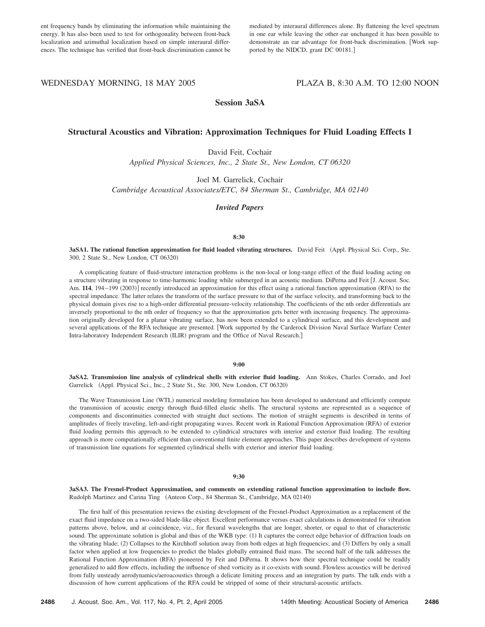ent frequency bands by eliminating the information while maintaining the energy. It has also been used to test for orthogonality between front-back localization and azimuthal localization based on simple interaural differences. The technique has verified that front-back discrimination cannot be

mediated by interaural differences alone. By flattening the level spectrum in one ear while leaving the other ear unchanged it has been possible to demonstrate an ear advantage for front-back discrimination. Work supported by the NIDCD, grant DC 00181.

# WEDNESDAY MORNING, 18 MAY 2005 PLAZA B, 8:30 A.M. TO 12:00 NOON

## **Session 3aSA**

## **Structural Acoustics and Vibration: Approximation Techniques for Fluid Loading Effects I**

David Feit, Cochair

*Applied Physical Sciences, Inc., 2 State St., New London, CT 06320*

Joel M. Garrelick, Cochair

*Cambridge Acoustical Associates/ETC, 84 Sherman St., Cambridge, MA 02140*

*Invited Papers*

## **8:30**

**3aSA1. The rational function approximation for fluid loaded vibrating structures.** David Feit (Appl. Physical Sci. Corp., Ste. 300, 2 State St., New London, CT 06320)

A complicating feature of fluid-structure interaction problems is the non-local or long-range effect of the fluid loading acting on a structure vibrating in response to time-harmonic loading while submerged in an acoustic medium. DiPerna and Feit J. Acoust. Soc. Am. 114, 194–199 (2003)] recently introduced an approximation for this effect using a rational function approximation (RFA) to the spectral impedance. The latter relates the transform of the surface pressure to that of the surface velocity, and transforming back to the physical domain gives rise to a high-order differential pressure-velocity relationship. The coefficients of the nth order differentials are inversely proportional to the nth order of frequency so that the approximation gets better with increasing frequency. The approximation originally developed for a planar vibrating surface, has now been extended to a cylindrical surface, and this development and several applications of the RFA technique are presented. Work supported by the Carderock Division Naval Surface Warfare Center Intra-laboratory Independent Research (ILIR) program and the Office of Naval Research.]

#### **9:00**

**3aSA2. Transmission line analysis of cylindrical shells with exterior fluid loading.** Ann Stokes, Charles Corrado, and Joel Garrelick (Appl. Physical Sci., Inc., 2 State St., Ste. 300, New London, CT 06320)

The Wave Transmission Line (WTL) numerical modeling formulation has been developed to understand and efficiently compute the transmission of acoustic energy through fluid-filled elastic shells. The structural systems are represented as a sequence of components and discontinuities connected with straight duct sections. The motion of straight segments is described in terms of amplitudes of freely traveling, left-and-right propagating waves. Recent work in Rational Function Approximation (RFA) of exterior fluid loading permits this approach to be extended to cylindrical structures with interior and exterior fluid loading. The resulting approach is more computationally efficient than conventional finite element approaches. This paper describes development of systems of transmission line equations for segmented cylindrical shells with exterior and interior fluid loading.

### **9:30**

**3aSA3. The Fresnel-Product Approximation, and comments on extending rational function approximation to include flow.** Rudolph Martinez and Carina Ting (Anteon Corp., 84 Sherman St., Cambridge, MA 02140)

The first half of this presentation reviews the existing development of the Fresnel-Product Approximation as a replacement of the exact fluid impedance on a two-sided blade-like object. Excellent performance versus exact calculations is demonstrated for vibration patterns above, below, and at coincidence, viz., for flexural wavelengths that are longer, shorter, or equal to that of characteristic sound. The approximate solution is global and thus of the WKB type: (1) It captures the correct edge behavior of diffraction loads on the vibrating blade; (2) Collapses to the Kirchhoff solution away from both edges at high frequencies; and (3) Differs by only a small factor when applied at low frequencies to predict the blades globally entrained fluid mass. The second half of the talk addresses the Rational Function Approximation (RFA) pioneered by Feit and DiPerna. It shows how their spectral technique could be readily generalized to add flow effects, including the influence of shed vorticity as it co-exists with sound. Flowless acoustics will be derived from fully unsteady aerodynamics/aeroacoustics through a delicate limiting process and an integration by parts. The talk ends with a discussion of how current applications of the RFA could be stripped of some of their structural-acoustic artifacts.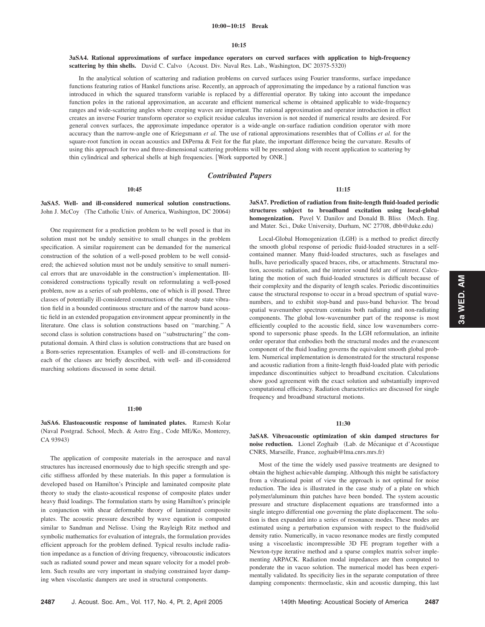#### **10:00–10:15 Break**

#### **10:15**

**3aSA4. Rational approximations of surface impedance operators on curved surfaces with application to high-frequency scattering by thin shells.** David C. Calvo (Acoust. Div. Naval Res. Lab., Washington, DC 20375-5320)

In the analytical solution of scattering and radiation problems on curved surfaces using Fourier transforms, surface impedance functions featuring ratios of Hankel functions arise. Recently, an approach of approximating the impedance by a rational function was introduced in which the squared transform variable is replaced by a differential operator. By taking into account the impedance function poles in the rational approximation, an accurate and efficient numerical scheme is obtained applicable to wide-frequency ranges and wide-scattering angles where creeping waves are important. The rational approximation and operator introduction in effect creates an inverse Fourier transform operator so explicit residue calculus inversion is not needed if numerical results are desired. For general convex surfaces, the approximate impedance operator is a wide-angle on-surface radiation condition operator with more accuracy than the narrow-angle one of Kriegsmann *et al.* The use of rational approximations resembles that of Collins *et al.* for the square-root function in ocean acoustics and DiPerna & Feit for the flat plate, the important difference being the curvature. Results of using this approach for two and three-dimensional scattering problems will be presented along with recent application to scattering by thin cylindrical and spherical shells at high frequencies. [Work supported by ONR.]

## *Contributed Papers*

**10:45**

**3aSA5. Well- and ill-considered numerical solution constructions.** John J. McCoy (The Catholic Univ. of America, Washington, DC 20064)

One requirement for a prediction problem to be well posed is that its solution must not be unduly sensitive to small changes in the problem specification. A similar requirement can be demanded for the numerical construction of the solution of a well-posed problem to be well considered; the achieved solution must not be unduly sensitive to small numerical errors that are unavoidable in the construction's implementation. Illconsidered constructions typically result on reformulating a well-posed problem, now as a series of sub problems, one of which is ill posed. Three classes of potentially ill-considered constructions of the steady state vibration field in a bounded continuous structure and of the narrow band acoustic field in an extended propagation environment appear prominently in the literature. One class is solution constructions based on ''marching.'' A second class is solution constructions based on ''substructuring'' the computational domain. A third class is solution constructions that are based on a Born-series representation. Examples of well- and ill-constructions for each of the classes are briefly described, with well- and ill-considered marching solutions discussed in some detail.

#### **11:00**

**3aSA6. Elastoacoustic response of laminated plates.** Ramesh Kolar Naval Postgrad. School, Mech. & Astro Eng., Code ME/Ko, Monterey, CA 93943)

The application of composite materials in the aerospace and naval structures has increased enormously due to high specific strength and specific stiffness afforded by these materials. In this paper a formulation is developed based on Hamilton's Principle and laminated composite plate theory to study the elasto-acoustical response of composite plates under heavy fluid loadings. The formulation starts by using Hamilton's principle in conjunction with shear deformable theory of laminated composite plates. The acoustic pressure described by wave equation is computed similar to Sandman and Nelisse. Using the Rayleigh Ritz method and symbolic mathematics for evaluation of integrals, the formulation provides efficient approach for the problem defined. Typical results include radiation impedance as a function of driving frequency, vibroacoustic indicators such as radiated sound power and mean square velocity for a model problem. Such results are very important in studying constrained layer damping when viscolastic dampers are used in structural components.

**11:15**

**3aSA7. Prediction of radiation from finite-length fluid-loaded periodic structures subject to broadband excitation using local-global** homogenization. Pavel V. Danilov and Donald B. Bliss (Mech. Eng. and Mater. Sci., Duke University, Durham, NC 27708, dbb@duke.edu)

Local-Global Homogenization (LGH) is a method to predict directly the smooth global response of periodic fluid-loaded structures in a selfcontained manner. Many fluid-loaded structures, such as fuselages and hulls, have periodically spaced braces, ribs, or attachments. Structural motion, acoustic radiation, and the interior sound field are of interest. Calculating the motion of such fluid-loaded structures is difficult because of their complexity and the disparity of length scales. Periodic discontinuities cause the structural response to occur in a broad spectrum of spatial wavenumbers, and to exhibit stop-band and pass-band behavior. The broad spatial wavenumber spectrum contains both radiating and non-radiating components. The global low-wavenumber part of the response is most efficiently coupled to the acoustic field, since low wavenumbers correspond to supersonic phase speeds. In the LGH reformulation, an infinite order operator that embodies both the structural modes and the evanescent component of the fluid loading governs the equivalent smooth global problem. Numerical implementation is demonstrated for the structural response and acoustic radiation from a finite-length fluid-loaded plate with periodic impedance discontinuities subject to broadband excitation. Calculations show good agreement with the exact solution and substantially improved computational efficiency. Radiation characteristics are discussed for single frequency and broadband structural motions.

## **11:30**

**3aSA8. Vibroacoustic optimization of skin damped structures for** noise reduction. Lionel Zoghaib (Lab. de Mécanique et d'Acoustique CNRS, Marseille, France, zoghaib@lma.cnrs.mrs.fr-

Most of the time the widely used passive treatments are designed to obtain the highest achievable damping. Although this might be satisfactory from a vibrational point of view the approach is not optimal for noise reduction. The idea is illustrated in the case study of a plate on which polymer/aluminum thin patches have been bonded. The system acoustic pressure and structure displacement equations are transformed into a single integro differential one governing the plate displacement. The solution is then expanded into a series of resonance modes. These modes are estimated using a perturbation expansion with respect to the fluid/solid density ratio. Numerically, in vacuo resonance modes are firstly computed using a viscoelastic incompressible 3D FE program together with a Newton-type iterative method and a sparse complex matrix solver implementing ARPACK. Radiation modal impedances are then computed to ponderate the in vacuo solution. The numerical model has been experimentally validated. Its specificity lies in the separate computation of three damping components: thermoelastic, skin and acoustic damping, this last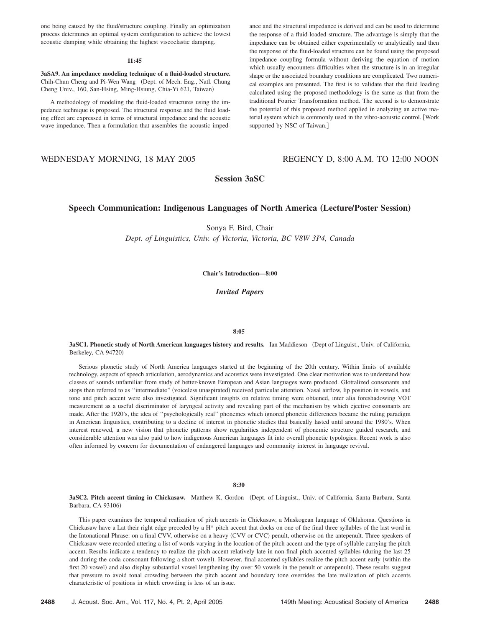one being caused by the fluid/structure coupling. Finally an optimization process determines an optimal system configuration to achieve the lowest acoustic damping while obtaining the highest viscoelastic damping.

#### **11:45**

**3aSA9. An impedance modeling technique of a fluid-loaded structure.** Chih-Chun Cheng and Pi-Wen Wang (Dept. of Mech. Eng., Natl. Chung Cheng Univ., 160, San-Hsing, Ming-Hsiung, Chia-Yi 621, Taiwan-

A methodology of modeling the fluid-loaded structures using the impedance technique is proposed. The structural response and the fluid loading effect are expressed in terms of structural impedance and the acoustic wave impedance. Then a formulation that assembles the acoustic impedance and the structural impedance is derived and can be used to determine the response of a fluid-loaded structure. The advantage is simply that the impedance can be obtained either experimentally or analytically and then the response of the fluid-loaded structure can be found using the proposed impedance coupling formula without deriving the equation of motion which usually encounters difficulties when the structure is in an irregular shape or the associated boundary conditions are complicated. Two numerical examples are presented. The first is to validate that the fluid loading calculated using the proposed methodology is the same as that from the traditional Fourier Transformation method. The second is to demonstrate the potential of this proposed method applied in analyzing an active material system which is commonly used in the vibro-acoustic control. Work supported by NSC of Taiwan.]

## WEDNESDAY MORNING, 18 MAY 2005 REGENCY D, 8:00 A.M. TO 12:00 NOON

**Session 3aSC**

## **Speech Communication: Indigenous Languages of North America (Lecture/Poster Session)**

Sonya F. Bird, Chair

*Dept. of Linguistics, Univ. of Victoria, Victoria, BC V8W 3P4, Canada*

**Chair's Introduction—8:00**

*Invited Papers*

#### **8:05**

**3aSC1. Phonetic study of North American languages history and results.** Ian Maddieson Dept of Linguist., Univ. of California, Berkeley, CA 94720)

Serious phonetic study of North America languages started at the beginning of the 20th century. Within limits of available technology, aspects of speech articulation, aerodynamics and acoustics were investigated. One clear motivation was to understand how classes of sounds unfamiliar from study of better-known European and Asian languages were produced. Glottalized consonants and stops then referred to as "intermediate" (voiceless unaspirated) received particular attention. Nasal airflow, lip position in vowels, and tone and pitch accent were also investigated. Significant insights on relative timing were obtained, inter alia foreshadowing VOT measurement as a useful discriminator of laryngeal activity and revealing part of the mechanism by which ejective consonants are made. After the 1920's, the idea of ''psychologically real'' phonemes which ignored phonetic differences became the ruling paradigm in American linguistics, contributing to a decline of interest in phonetic studies that basically lasted until around the 1980's. When interest renewed, a new vision that phonetic patterns show regularities independent of phonemic structure guided research, and considerable attention was also paid to how indigenous American languages fit into overall phonetic typologies. Recent work is also often informed by concern for documentation of endangered languages and community interest in language revival.

#### **8:30**

3aSC2. Pitch accent timing in Chickasaw. Matthew K. Gordon (Dept. of Linguist., Univ. of California, Santa Barbara, Santa Barbara, CA 93106)

This paper examines the temporal realization of pitch accents in Chickasaw, a Muskogean language of Oklahoma. Questions in Chickasaw have a Lat their right edge preceded by a H\* pitch accent that docks on one of the final three syllables of the last word in the Intonational Phrase: on a final CVV, otherwise on a heavy (CVV or CVC) penult, otherwise on the antepenult. Three speakers of Chickasaw were recorded uttering a list of words varying in the location of the pitch accent and the type of syllable carrying the pitch accent. Results indicate a tendency to realize the pitch accent relatively late in non-final pitch accented syllables during the last 25 and during the coda consonant following a short vowel). However, final accented syllables realize the pitch accent early (within the first 20 vowel) and also display substantial vowel lengthening (by over 50 vowels in the penult or antepenult). These results suggest that pressure to avoid tonal crowding between the pitch accent and boundary tone overrides the late realization of pitch accents characteristic of positions in which crowding is less of an issue.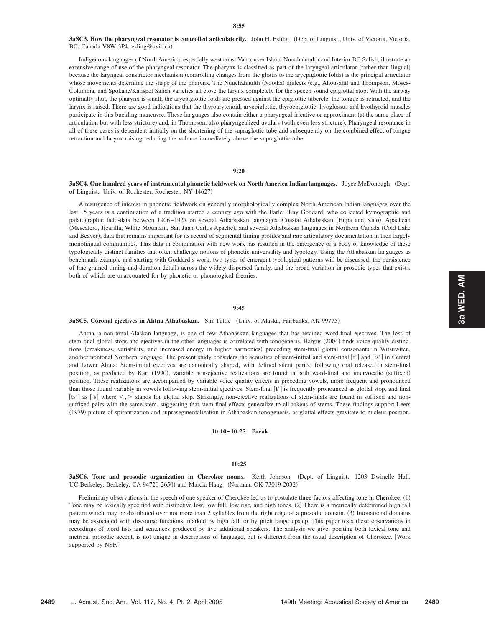3aSC3. How the pharyngeal resonator is controlled articulatorily. John H. Esling (Dept of Linguist., Univ. of Victoria, Victoria, BC, Canada V8W 3P4, esling@uvic.ca)

Indigenous languages of North America, especially west coast Vancouver Island Nuuchahnulth and Interior BC Salish, illustrate an extensive range of use of the pharyngeal resonator. The pharynx is classified as part of the laryngeal articulator (rather than lingual) because the laryngeal constrictor mechanism (controlling changes from the glottis to the aryepiglottic folds) is the principal articulator whose movements determine the shape of the pharynx. The Nuuchahnulth (Nootka) dialects (e.g., Ahousaht) and Thompson, Moses-Columbia, and Spokane/Kalispel Salish varieties all close the larynx completely for the speech sound epiglottal stop. With the airway optimally shut, the pharynx is small; the aryepiglottic folds are pressed against the epiglottic tubercle, the tongue is retracted, and the larynx is raised. There are good indications that the thyroarytenoid, aryepiglottic, thyroepiglottic, hyoglossus and hyothyroid muscles participate in this buckling maneuvre. These languages also contain either a pharyngeal fricative or approximant (at the same place of articulation but with less stricture) and, in Thompson, also pharyngealized uvulars (with even less stricture). Pharyngeal resonance in all of these cases is dependent initially on the shortening of the supraglottic tube and subsequently on the combined effect of tongue retraction and larynx raising reducing the volume immediately above the supraglottic tube.

## **9:20**

**3aSC4. One hundred years of instrumental phonetic fieldwork on North America Indian languages.** Joyce McDonough (Dept. of Linguist., Univ. of Rochester, Rochester, NY 14627)

A resurgence of interest in phonetic fieldwork on generally morphologically complex North American Indian languages over the last 15 years is a continuation of a tradition started a century ago with the Earle Pliny Goddard, who collected kymographic and palatographic field-data between 1906–1927 on several Athabaskan languages: Coastal Athabaskan (Hupa and Kato), Apachean (Mescalero, Jicarilla, White Mountain, San Juan Carlos Apache), and several Athabaskan languages in Northern Canada (Cold Lake and Beaver); data that remains important for its record of segmental timing profiles and rare articulatory documentation in then largely monolingual communities. This data in combination with new work has resulted in the emergence of a body of knowledge of these typologically distinct families that often challenge notions of phonetic universality and typology. Using the Athabaskan languages as benchmark example and starting with Goddard's work, two types of emergent typological patterns will be discussed; the persistence of fine-grained timing and duration details across the widely dispersed family, and the broad variation in prosodic types that exists, both of which are unaccounted for by phonetic or phonological theories.

### **9:45**

#### **3aSC5. Coronal ejectives in Ahtna Athabaskan.** Siri Tuttle (Univ. of Alaska, Fairbanks, AK 99775)

Ahtna, a non-tonal Alaskan language, is one of few Athabaskan languages that has retained word-final ejectives. The loss of stem-final glottal stops and ejectives in the other languages is correlated with tonogenesis. Hargus (2004) finds voice quality distinctions (creakiness, variability, and increased energy in higher harmonics) preceding stem-final glottal consonants in Witsuwiten, another nontonal Northern language. The present study considers the acoustics of stem-initial and stem-final [t'] and [ts'] in Central and Lower Ahtna. Stem-initial ejectives are canonically shaped, with defined silent period following oral release. In stem-final position, as predicted by Kari (1990), variable non-ejective realizations are found in both word-final and intervocalic (suffixed) position. These realizations are accompanied by variable voice quality effects in preceding vowels, more frequent and pronounced than those found variably in vowels following stem-initial ejectives. Stem-final [t'] is frequently pronounced as glottal stop, and final [ts'] as ['s] where <,> stands for glottal stop. Strikingly, non-ejective realizations of stem-finals are found in suffixed and nonsuffixed pairs with the same stem, suggesting that stem-final effects generalize to all tokens of stems. These findings support Leers 1979- picture of spirantization and suprasegmentalization in Athabaskan tonogenesis, as glottal effects gravitate to nucleus position.

## **10:10–10:25 Break**

#### **10:25**

**3aSC6. Tone and prosodic organization in Cherokee nouns.** Keith Johnson (Dept. of Linguist., 1203 Dwinelle Hall, UC-Berkeley, Berkeley, CA 94720-2650) and Marcia Haag (Norman, OK 73019-2032)

Preliminary observations in the speech of one speaker of Cherokee led us to postulate three factors affecting tone in Cherokee. (1) Tone may be lexically specified with distinctive low, low fall, low rise, and high tones. (2) There is a metrically determined high fall pattern which may be distributed over not more than 2 syllables from the right edge of a prosodic domain. (3) Intonational domains may be associated with discourse functions, marked by high fall, or by pitch range upstep. This paper tests these observations in recordings of word lists and sentences produced by five additional speakers. The analysis we give, positing both lexical tone and metrical prosodic accent, is not unique in descriptions of language, but is different from the usual description of Cherokee. Work supported by NSF.]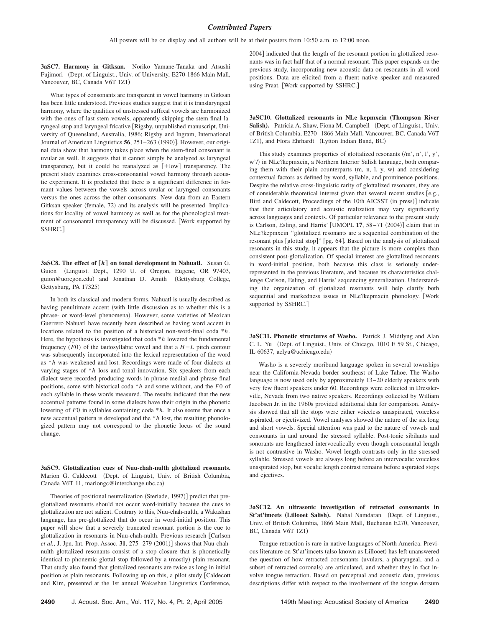## *Contributed Papers*

All posters will be on display and all authors will be at their posters from 10:50 a.m. to 12:00 noon.

**3aSC7. Harmony in Gitksan.** Noriko Yamane-Tanaka and Atsushi Fujimori (Dept. of Linguist., Univ. of University, E270-1866 Main Mall, Vancouver, BC, Canada V6T 1Z1-

What types of consonants are transparent in vowel harmony in Gitksan has been little understood. Previous studies suggest that it is translaryngeal harmony, where the qualities of unstressed suffixal vowels are harmonized with the ones of last stem vowels, apparently skipping the stem-final laryngeal stop and laryngeal fricative [Rigsby, unpublished manuscript, University of Queensland, Australia, 1986; Rigsby and Ingram, International Journal of American Linguistics 56, 251–263 (1990)]. However, our original data show that harmony takes place when the stem-final consonant is uvular as well. It suggests that it cannot simply be analyzed as laryngeal transparency, but it could be reanalyzed as  $[+low]$  transparency. The present study examines cross-consonantal vowel harmony through acoustic experiment. It is predicted that there is a significant difference in formant values between the vowels across uvular or laryngeal consonants versus the ones across the other consonants. New data from an Eastern Gitksan speaker (female, 72) and its analysis will be presented. Implications for locality of vowel harmony as well as for the phonological treatment of consonantal transparency will be discussed. Work supported by SSHRC.]

**3aSC8.** The effect of  $\lceil h \rceil$  on tonal development in Nahuatl. Susan G. Guion Linguist. Dept., 1290 U. of Oregon, Eugene, OR 97403, guion@uoregon.edu) and Jonathan D. Amith (Gettysburg College, Gettysburg, PA 17325)

In both its classical and modern forms, Nahuatl is usually described as having penultimate accent (with little discussion as to whether this is a phrase- or word-level phenomena). However, some varieties of Mexican Guerrero Nahuatl have recently been described as having word accent in locations related to the position of a historical non-word-final coda \**h*. Here, the hypothesis is investigated that coda \**h* lowered the fundamental frequency ( $F0$ ) of the tautosyllabic vowel and that a  $H-L$  pitch contour was subsequently incorporated into the lexical representation of the word as \**h* was weakened and lost. Recordings were made of four dialects at varying stages of \**h* loss and tonal innovation. Six speakers from each dialect were recorded producing words in phrase medial and phrase final positions, some with historical coda \**h* and some without, and the *F*0 of each syllable in these words measured. The results indicated that the new accentual patterns found in some dialects have their origin in the phonetic lowering of *F*0 in syllables containing coda \**h*. It also seems that once a new accentual pattern is developed and the \**h* lost, the resulting phonologized pattern may not correspond to the phonetic locus of the sound change.

**3aSC9. Glottalization cues of Nuu-chah-nulth glottalized resonants.** Marion G. Caldecott (Dept. of Linguist, Univ. of British Columbia, Canada V6T 11, mariongc@interchange.ubc.ca)

Theories of positional neutralization (Steriade, 1997)] predict that preglottalized resonants should not occur word-initially because the cues to glottalization are not salient. Contrary to this, Nuu-chah-nulth, a Wakashan language, has pre-glottalized that do occur in word-initial position. This paper will show that a severely truncated resonant portion is the cue to glottalization in resonants in Nuu-chah-nulth. Previous research Carlson *et al.*, J. Jpn. Int. Prop. Assoc. 31, 275–279 (2001)] shows that Nuu-chahnulth glottalized resonants consist of a stop closure that is phonetically identical to phonemic glottal stop followed by a (mostly) plain resonant. That study also found that glottalized resonants are twice as long in initial position as plain resonants. Following up on this, a pilot study Caldecott and Kim, presented at the 1st annual Wakashan Linguistics Conference,

2004] indicated that the length of the resonant portion in glottalized resonants was in fact half that of a normal resonant. This paper expands on the previous study, incorporating new acoustic data on resonants in all word positions. Data are elicited from a fluent native speaker and measured using Praat. [Work supported by SSHRC.]

3aSC10. Glottalized resonants in NLe kepmxcin (Thompson River Salish). Patricia A. Shaw, Fiona M. Campbell (Dept. of Linguist., Univ. of British Columbia, E270–1866 Main Mall, Vancouver, BC, Canada V6T 1Z1), and Flora Ehrhardt (Lytton Indian Band, BC)

This study examines properties of glottalized resonants  $(m, n', l', y',$ w'/) in NLe?kepmxcin, a Northern Interior Salish language, both comparing them with their plain counterparts  $(m, n, 1, y, w)$  and considering contextual factors as defined by word, syllable, and prominence positions. Despite the relative cross-linguistic rarity of glottalized resonants, they are of considerable theoretical interest given that several recent studies [e.g., Bird and Caldecott, Proceedings of the 10th AICSST (in press)] indicate that their articulatory and acoustic realization may vary significantly across languages and contexts. Of particular relevance to the present study is Carlson, Esling, and Harris' [UMOPL 17, 58-71 (2004)] claim that in NLe?kepmxcin ''glottalized resonants are a sequential combination of the resonant plus [glottal stop]" [pg. 64]. Based on the analysis of glottalized resonants in this study, it appears that the picture is more complex than consistent post-glottalization. Of special interest are glottalized resonants in word-initial position, both because this class is seriously underrepresented in the previous literature, and because its characteristics challenge Carlson, Esling, and Harris' sequencing generalization. Understanding the organization of glottalized resonants will help clarify both sequential and markedness issues in NLe?kepmxcin phonology. Work supported by SSHRC.]

**3aSC11. Phonetic structures of Washo.** Patrick J. Midtlyng and Alan C. L. Yu (Dept. of Linguist., Univ. of Chicago, 1010 E 59 St., Chicago, IL 60637, aclyu@uchicago.edu)

Washo is a severely moribund language spoken in several townships near the California-Nevada border southeast of Lake Tahoe. The Washo language is now used only by approximately 13–20 elderly speakers with very few fluent speakers under 60. Recordings were collected in Dresslerville, Nevada from two native speakers. Recordings collected by William Jacobsen Jr. in the 1960s provided additional data for comparison. Analysis showed that all the stops were either voiceless unaspirated, voiceless aspirated, or ejectivized. Vowel analyses showed the nature of the six long and short vowels. Special attention was paid to the nature of vowels and consonants in and around the stressed syllable. Post-tonic sibilants and sonorants are lengthened intervocalically even though consonantal length is not contrastive in Washo. Vowel length contrasts only in the stressed syllable. Stressed vowels are always long before an intervocalic voiceless unaspirated stop, but vocalic length contrast remains before aspirated stops and ejectives.

**3aSC12. An ultrasonic investigation of retracted consonants in St'at'imcets** (Lillooet Salish). Nahal Namdaran (Dept. of Linguist., Univ. of British Columbia, 1866 Main Mall, Buchanan E270, Vancouver, BC, Canada V6T 1Z1)

Tongue retraction is rare in native languages of North America. Previous literature on St'at'imcets (also known as Lillooet) has left unanswered the question of how retracted consonants (uvulars, a pharyngeal, and a subset of retracted coronals) are articulated, and whether they in fact involve tongue retraction. Based on perceptual and acoustic data, previous descriptions differ with respect to the involvement of the tongue dorsum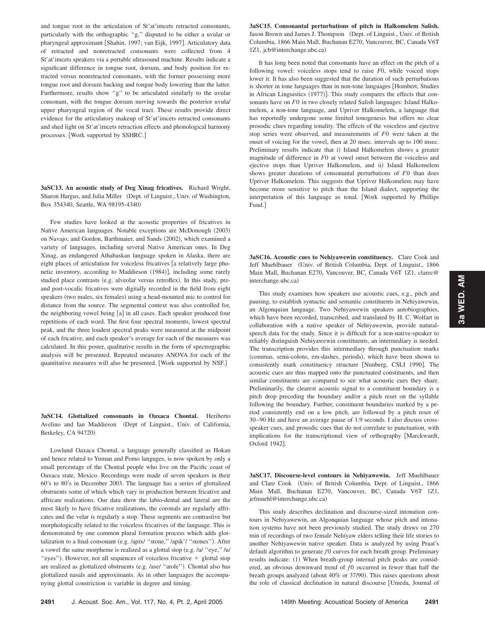and tongue root in the articulation of St'at'imcets retracted consonants, particularly with the orthographic "g," disputed to be either a uvular or pharyngeal approximant [Shahin, 1997; van Eijk, 1997]. Articulatory data of retracted and nonretracted consonants were collected from 4 St'at'imcets speakers via a portable ultrasound machine. Results indicate a significant difference in tongue root, dorsum, and body position for retracted versus nonretracted consonants, with the former possessing more tongue root and dorsum backing and tongue body lowering than the latter. Furthermore, results show "g" to be articulated similarly to the uvular consonant, with the tongue dorsum moving towards the posterior uvula/ upper pharyngeal region of the vocal tract. These results provide direct evidence for the articulatory makeup of St'at'imcets retracted consonants and shed light on St'at'imcets retraction effects and phonological harmony processes. Work supported by SSHRC.

**3aSC13. An acoustic study of Deg Xinag fricatives.** Richard Wright, Sharon Hargus, and Julia Miller (Dept. of Linguist., Univ. of Washington, Box 354340, Seattle, WA 98195-4340)

Few studies have looked at the acoustic properties of fricatives in Native American languages. Notable exceptions are McDonough (2003) on Navajo, and Gordon, Barthmaier, and Sands (2002), which examined a variety of languages, including several Native American ones. In Deg Xinag, an endangered Athabaskan language spoken in Alaska, there are eight places of articulation for voiceless fricatives  $\lceil a \rceil$  relatively large phonetic inventory, according to Maddieson (1984)], including some rarely studied place contrasts (e.g. alveolar versus retroflex). In this study, preand post-vocalic fricatives were digitally recorded in the field from eight speakers (two males, six females) using a head-mounted mic to control for distance from the source. The segmental context was also controlled for, the neighboring vowel being [a] in all cases. Each speaker produced four repetitions of each word. The first four spectral moments, lowest spectral peak, and the three loudest spectral peaks were measured at the midpoint of each fricative, and each speaker's average for each of the measures was calculated. In this poster, qualitative results in the form of spectrographic analysis will be presented. Repeated measures ANOVA for each of the quantitative measures will also be presented. Work supported by NSF.

**3aSC14. Glottalized consonants in Oaxaca Chontal.** Heriberto Avelino and Ian Maddieson (Dept of Linguist., Univ. of California, Berkeley, CA 94720)

Lowland Oaxaca Chontal, a language generally classified as Hokan and hence related to Yuman and Pomo languges, is now spoken by only a small percentage of the Chontal people who live on the Pacific coast of Oaxaca state, Mexico. Recordings were made of seven speakers in their 60's to 80's in December 2003. The language has a series of glottalized obstruents some of which which vary in production between fricative and affricate realizations. Our data show the labio-dental and lateral are the most likely to have fricative realizations, the coronals are regularly affricates and the velar is regularly a stop. These segments are contrastive but morphologically related to the voiceless fricatives of the language. This is demonstrated by one common plural formation process which adds glottalization to a final consonant (e.g. /apix/ "stone," /apik'/ "stones"). After a vowel the same morpheme is realized as a glottal stop (e.g. /u/ "eye," /u/ "eyes"). However, not all sequences of voiceless fricative + glottal stop are realized as glottalized obstruents (e.g. /ase/ "atole"). Chontal also has glottalized nasals and approximants. As in other languages the accompanying glottal constriction is variable in degree and timing.

**3aSC15. Consonantal perturbations of pitch in Halkomelem Salish.** Jason Brown and James J. Thompson (Dept. of Linguist., Univ. of British Columbia, 1866 Main Mall, Buchanan E270, Vancouver, BC, Canada V6T 1Z1, jcb@interchange.ubc.ca)

It has long been noted that consonants have an effect on the pitch of a following vowel: voiceless stops tend to raise *F*0, while voiced stops lower it. It has also been suggested that the duration of such perturbations is shorter in tone languages than in non-tone languages [Hombert, Studies in African Linguistics (1977)]. This study compares the effects that consonants have on *F*0 in two closely related Salish languages: Island Halkomelem, a non-tone language, and Upriver Halkomelem, a language that has reportedly undergone some limited tonogenesis but offers no clear prosodic clues regarding tonality. The effects of the voiceless and ejective stop series were observed, and measurements of *F*0 were taken at the onset of voicing for the vowel, then at 20 msec. intervals up to 100 msec. Preliminary results indicate that i) Island Halkomelem shows a greater magnitude of difference in *F*0 at vowel onset between the voiceless and ejective stops than Upriver Halkomelem, and ii) Island Halkomelem shows greater durations of consonantal perturbations of *F*0 than does Upriver Halkomelem. This suggests that Upriver Halkomelem may have become more sensitive to pitch than the Island dialect, supporting the interpretation of this language as tonal. Work supported by Phillips Fund.]

**3aSC16. Acoustic cues to Nehiyawewin constituency.** Clare Cook and Jeff Muehlbauer (Univ. of British Columbia, Dept. of Linguist., 1866 Main Mall, Buchanan E270, Vancouver, BC, Canada V6T 1Z1, clarec@ interchange.ubc.ca)

This study examines how speakers use acoustic cues, e.g., pitch and pausing, to establish syntactic and semantic constituents in Nehiyawewin, an Algonquian language. Two Nehiyawewin speakers autobiographies, which have been recorded, transcribed, and translated by H. C. Wolfart in collaboration with a native speaker of Nehiyawewin, provide naturalspeech data for the study. Since it is difficult for a non-native-speaker to reliably distinguish Nehiyawewin constituents, an intermediary is needed. The transcription provides this intermediary through punctuation marks (commas, semi-colons, em-dashes, periods), which have been shown to consistently mark constituency structure [Nunberg, CSLI 1990]. The acoustic cues are thus mapped onto the punctuated constituents, and then similar constituents are compared to see what acoustic cues they share. Preliminarily, the clearest acoustic signal to a constituent boundary is a pitch drop preceding the boundary and/or a pitch reset on the syllable following the boundary. Further, constituent boundaries marked by a period consistently end on a low pitch, are followed by a pitch reset of 30–90 Hz and have an average pause of 1.9 seconds. I also discuss crossspeaker cues, and prosodic cues that do not correlate to punctuation, with implications for the transcriptional view of orthography [Marckwardt, Oxford 1942].

**3aSC17. Discourse-level contours in Nehiyawewin.** Jeff Muehlbauer and Clare Cook Univ. of British Columbia, Dept. of Linguist., 1866 Main Mall, Buchanan E270, Vancouver, BC, Canada V6T 1Z1, jefmuehl@interchange.ubc.ca)

This study describes declination and discourse-sized intonation contours in Nehiyawewin, an Algonquian language whose pitch and intonation systems have not been previously studied. The study draws on 270 min of recordings of two female Nehiyaw elders telling their life stories to another Nehiyawewin native speaker. Data is analyzed by using Praat's default algorithm to generate *f* 0 curves for each breath group. Preliminary results indicate: (1) When breath-group internal pitch peaks are considered, an obvious downward trend of  $f0$  occurred in fewer than half the breath groups analyzed (about 40% or 37/90). This raises questions about the role of classical declination in natural discourse [Umeda, Journal of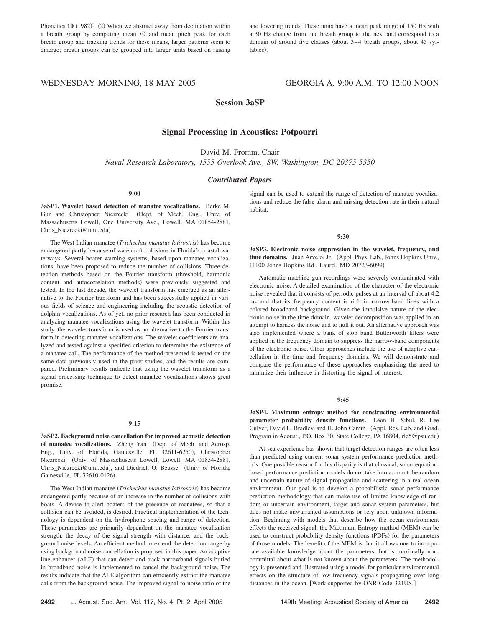Phonetics 10 (1982)]. (2) When we abstract away from declination within a breath group by computing mean  $f0$  and mean pitch peak for each breath group and tracking trends for these means, larger patterns seem to emerge; breath groups can be grouped into larger units based on raising

and lowering trends. These units have a mean peak range of 150 Hz with a 30 Hz change from one breath group to the next and correspond to a domain of around five clauses (about  $3-4$  breath groups, about  $45$  syllables).

# WEDNESDAY MORNING, 18 MAY 2005 GEORGIA A, 9:00 A.M. TO 12:00 NOON

# **Session 3aSP**

## **Signal Processing in Acoustics: Potpourri**

David M. Fromm, Chair

*Naval Research Laboratory, 4555 Overlook Ave., SW, Washington, DC 20375-5350*

## *Contributed Papers*

## **9:00**

**3aSP1. Wavelet based detection of manatee vocalizations.** Berke M. Gur and Christopher Niezrecki Dept. of Mech. Eng., Univ. of Massachusetts Lowell, One University Ave., Lowell, MA 01854-2881, Chris\_Niezrecki@uml.edu-

The West Indian manatee (Trichechus manatus latirostris) has become endangered partly because of watercraft collisions in Florida's coastal waterways. Several boater warning systems, based upon manatee vocalizations, have been proposed to reduce the number of collisions. Three detection methods based on the Fourier transform (threshold, harmonic content and autocorrelation methods) were previously suggested and tested. In the last decade, the wavelet transform has emerged as an alternative to the Fourier transform and has been successfully applied in various fields of science and engineering including the acoustic detection of dolphin vocalizations. As of yet, no prior research has been conducted in analyzing manatee vocalizations using the wavelet transform. Within this study, the wavelet transform is used as an alternative to the Fourier transform in detecting manatee vocalizations. The wavelet coefficients are analyzed and tested against a specified criterion to determine the existence of a manatee call. The performance of the method presented is tested on the same data previously used in the prior studies, and the results are compared. Preliminary results indicate that using the wavelet transform as a signal processing technique to detect manatee vocalizations shows great promise.

#### **9:15**

**3aSP2. Background noise cancellation for improved acoustic detection** of manatee vocalizations. Zheng Yan (Dept. of Mech. and Aerosp. Eng., Univ. of Florida, Gainesville, FL 32611-6250), Christopher Niezrecki Univ. of Massachusetts Lowell, Lowell, MA 01854-2881, Chris\_Niezrecki@uml.edu), and Diedrich O. Beusse (Univ. of Florida, Gainesville, FL 32610-0126-

The West Indian manatee (Trichechus manatus latirostris) has become endangered partly because of an increase in the number of collisions with boats. A device to alert boaters of the presence of manatees, so that a collision can be avoided, is desired. Practical implementation of the technology is dependent on the hydrophone spacing and range of detection. These parameters are primarily dependent on the manatee vocalization strength, the decay of the signal strength with distance, and the background noise levels. An efficient method to extend the detection range by using background noise cancellation is proposed in this paper. An adaptive line enhancer (ALE) that can detect and track narrowband signals buried in broadband noise is implemented to cancel the background noise. The results indicate that the ALE algorithm can efficiently extract the manatee calls from the background noise. The improved signal-to-noise ratio of the

signal can be used to extend the range of detection of manatee vocalizations and reduce the false alarm and missing detection rate in their natural habitat.

## **9:30**

**3aSP3. Electronic noise suppression in the wavelet, frequency, and** time domains. Juan Arvelo, Jr. (Appl. Phys. Lab., Johns Hopkins Univ., 11100 Johns Hopkins Rd., Laurel, MD 20723-6099-

Automatic machine gun recordings were severely contaminated with electronic noise. A detailed examination of the character of the electronic noise revealed that it consists of periodic pulses at an interval of about 4.2 ms and that its frequency content is rich in narrow-band lines with a colored broadband background. Given the impulsive nature of the electronic noise in the time domain, wavelet decomposition was applied in an attempt to harness the noise and to null it out. An alternative approach was also implemented where a bank of stop band Butterworth filters were applied in the frequency domain to suppress the narrow-band components of the electronic noise. Other approaches include the use of adaptive cancellation in the time and frequency domains. We will demonstrate and compare the performance of these approaches emphasizing the need to minimize their influence in distorting the signal of interest.

## **9:45**

**3aSP4. Maximum entropy method for constructing environmental parameter probability density functions.** Leon H. Sibul, R. Lee Culver, David L. Bradley, and H. John Camin (Appl. Res. Lab. and Grad. Program in Acoust., P.O. Box 30, State College, PA 16804, rlc5@psu.edu)

At-sea experience has shown that target detection ranges are often less than predicted using current sonar system performance prediction methods. One possible reason for this disparity is that classical, sonar equationbased performance prediction models do not take into account the random and uncertain nature of signal propagation and scattering in a real ocean environment. Our goal is to develop a probabilistic sonar performance prediction methodology that can make use of limited knowledge of random or uncertain environment, target and sonar system parameters, but does not make unwarranted assumptions or rely upon unknown information. Beginning with models that describe how the ocean environment effects the received signal, the Maximum Entropy method (MEM) can be used to construct probability density functions (PDFs) for the parameters of those models. The benefit of the MEM is that it allows one to incorporate available knowledge about the parameters, but is maximally noncommittal about what is not known about the parameters. The methodology is presented and illustrated using a model for particular environmental effects on the structure of low-frequency signals propagating over long distances in the ocean. Work supported by ONR Code 321US.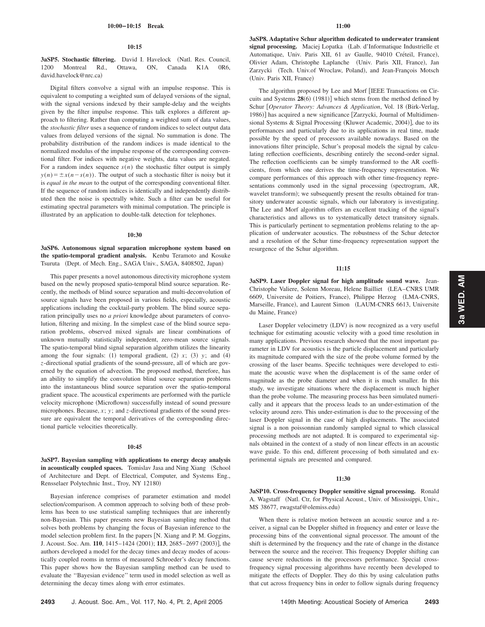### **10:15**

3aSP5. Stochastic filtering. David I. Havelock (Natl. Res. Council, 1200 Montreal Rd., Ottawa, ON, Canada K1A 0R6, david.havelock@nrc.ca)

Digital filters convolve a signal with an impulse response. This is equivalent to computing a weighted sum of delayed versions of the signal, with the signal versions indexed by their sample-delay and the weights given by the filter impulse response. This talk explores a different approach to filtering. Rather than computing a weighted sum of data values, the *stochastic filter* uses a sequence of random indices to select output data values from delayed versions of the signal. No summation is done. The probability distribution of the random indices is made identical to the normalized modulus of the impulse response of the corresponding conventional filter. For indices with negative weights, data values are negated. For a random index sequence  $s(n)$  the stochastic filter output is simply  $y(n) = \pm x(n - s(n))$ . The output of such a stochastic filter is noisy but it is *equal in the mean* to the output of the corresponding conventional filter. If the sequence of random indices is identically and independently distributed then the noise is spectrally white. Such a filter can be useful for estimating spectral parameters with minimal computation. The principle is illustrated by an application to double-talk detection for telephones.

#### **10:30**

**3aSP6. Autonomous signal separation microphone system based on the spatio-temporal gradient analysis.** Kenbu Teramoto and Kosuke Tsuruta (Dept. of Mech. Eng., SAGA Univ., SAGA, 8408502, Japan)

This paper presents a novel autonomous directivity microphone system based on the newly proposed spatio-temporal blind source separation. Recently, the methods of blind source separation and multi-deconvolution of source signals have been proposed in various fields, especially, acoustic applications including the cocktail-party problem. The blind source separation principally uses no *a priori* knowledge about parameters of convolution, filtering and mixing. In the simplest case of the blind source separation problems, observed mixed signals are linear combinations of unknown mutually statistically independent, zero-mean source signals. The spatio-temporal blind signal separation algorithm utilizes the linearity among the four signals: (1) temporal gradient, (2)  $x$ ; (3)  $y$ ; and (4) *z*-directional spatial gradients of the sound-pressure, all of which are governed by the equation of advection. The proposed method, therefore, has an ability to simplify the convolution blind source separation problems into the instantaneous blind source separation over the spatio-temporal gradient space. The acoustical experiments are performed with the particle velocity microphone (Microflown) successfully instead of sound pressure microphones. Because, *x*; *y*; and *z*-directional gradients of the sound pressure are equivalent the temporal derivatives of the corresponding directional particle velocities theoretically.

## **10:45**

**3aSP7. Bayesian sampling with applications to energy decay analysis** in acoustically coupled spaces. Tomislav Jasa and Ning Xiang (School of Architecture and Dept. of Electrical, Computer, and Systems Eng., Rensselaer Polytechnic Inst., Troy, NY 12180-

Bayesian inference comprises of parameter estimation and model selection/comparison. A common approach to solving both of these problems has been to use statistical sampling techniques that are inherently non-Bayesian. This paper presents new Bayesian sampling method that solves both problems by changing the focus of Bayesian inference to the model selection problem first. In the papers [N. Xiang and P. M. Goggins, J. Acoust. Soc. Am. 110, 1415–1424 (2001); 113, 2685–2697 (2003)], the authors developed a model for the decay times and decay modes of acoustically coupled rooms in terms of measured Schroeder's decay functions. This paper shows how the Bayesian sampling method can be used to evaluate the ''Bayesian evidence'' term used in model selection as well as determining the decay times along with error estimates.

**3aSP8. Adaptative Schur algorithm dedicated to underwater transient** signal processing. Maciej Lopatka (Lab. d'Informatique Industrielle et Automatique, Univ. Paris XII, 61 av Gaulle, 94010 Créteil, France), Olivier Adam, Christophe Laplanche (Univ. Paris XII, France), Jan Zarzycki (Tech. Univ.of Wroclaw, Poland), and Jean-François Motsch (Univ. Paris XII, France)

The algorithm proposed by Lee and Morf IEEE Transactions on Circuits and Systems 28(6) (1981)] which stems from the method defined by Schur *[Operator Theory: Advances & Application*, Vol. 18 (Birk-Verlag, 1986)] has acquired a new significance [Zarzycki, Journal of Multidimensional Systems & Signal Processing (Kluwer Academic, 2004)], due to its performances and particularly due to its applications in real time, made possible by the speed of processors available nowadays. Based on the innovations filter principle, Schur's proposal models the signal by calculating reflection coefficients, describing entirely the second-order signal. The reflection coefficients can be simply transformed to the AR coefficients, from which one derives the time-frequency representation. We compare performances of this approach with other time-frequency representations commonly used in the signal processing (spectrogram, AR, wavelet transform); we subsequently present the results obtained for transitory underwater acoustic signals, which our laboratory is investigating. The Lee and Morf algorithm offers an excellent tracking of the signal's characteristics and allows us to systematically detect transitory signals. This is particularly pertinent to segmentation problems relating to the application of underwater acoustics. The robustness of the Schur detector and a resolution of the Schur time-frequency representation support the resurgence of the Schur algorithm.

#### **11:15**

**3aSP9. Laser Doppler signal for high amplitude sound wave.** Jean-Christophe Valiere, Solenn Moreau, Helene Bailliet (LEA–CNRS UMR 6609, Universite de Poitiers, France), Philippe Herzog (LMA-CNRS, Marseille, France), and Laurent Simon (LAUM-CNRS 6613, Universite du Maine, France)

Laser Doppler velocimetry (LDV) is now recognized as a very useful technique for estimating acoustic velocity with a good time resolution in many applications. Previous research showed that the most important parameter in LDV for acoustics is the particle displacement and particularly its magnitude compared with the size of the probe volume formed by the crossing of the laser beams. Specific techniques were developed to estimate the acoustic wave when the displacement is of the same order of magnitude as the probe diameter and when it is much smaller. In this study, we investigate situations where the displacement is much higher than the probe volume. The measuring process has been simulated numerically and it appears that the process leads to an under-estimation of the velocity around zero. This under-estimation is due to the processing of the laser Doppler signal in the case of high displacements. The associated signal is a non poissonnian randomly sampled signal to which classical processing methods are not adapted. It is compared to experimental signals obtained in the context of a study of non linear effects in an acoustic wave guide. To this end, different processing of both simulated and experimental signals are presented and compared.

## **11:30**

**3aSP10. Cross-frequency Doppler sensitive signal processing.** Ronald A. Wagstaff (Natl. Ctr, for Physical Acoust., Univ. of Mississippi, Univ., MS 38677, rwagstaf@olemiss.edu)

When there is relative motion between an acoustic source and a receiver, a signal can be Doppler shifted in frequency and enter or leave the processing bins of the conventional signal processor. The amount of the shift is determined by the frequency and the rate of change in the distance between the source and the receiver. This frequency Doppler shifting can cause severe reductions in the processors performance. Special crossfrequency signal processing algorithms have recently been developed to mitigate the effects of Doppler. They do this by using calculation paths that cut across frequency bins in order to follow signals during frequency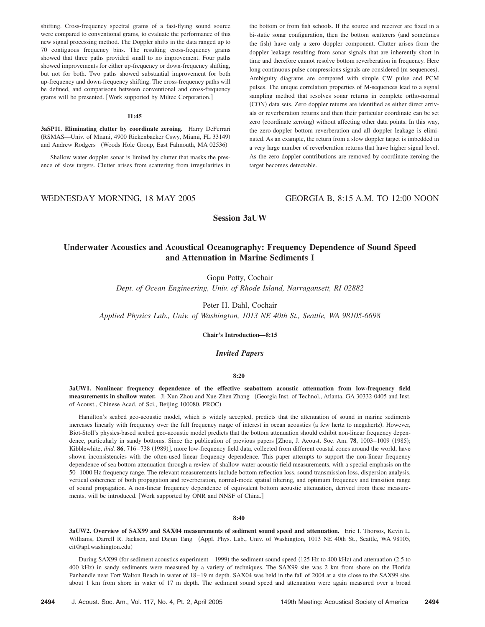shifting. Cross-frequency spectral grams of a fast-flying sound source were compared to conventional grams, to evaluate the performance of this new signal processing method. The Doppler shifts in the data ranged up to 70 contiguous frequency bins. The resulting cross-frequency grams showed that three paths provided small to no improvement. Four paths showed improvements for either up-frequency or down-frequency shifting, but not for both. Two paths showed substantial improvement for both up-frequency and down-frequency shifting. The cross-frequency paths will be defined, and comparisons between conventional and cross-frequency grams will be presented. Work supported by Miltec Corporation.

#### **11:45**

**3aSP11. Eliminating clutter by coordinate zeroing.** Harry DeFerrari (RSMAS-Univ. of Miami, 4900 Rickenbacker Cswy, Miami, FL 33149) and Andrew Rodgers (Woods Hole Group, East Falmouth, MA 02536)

Shallow water doppler sonar is limited by clutter that masks the presence of slow targets. Clutter arises from scattering from irregularities in the bottom or from fish schools. If the source and receiver are fixed in a bi-static sonar configuration, then the bottom scatterers (and sometimes the fish) have only a zero doppler component. Clutter arises from the doppler leakage resulting from sonar signals that are inherently short in time and therefore cannot resolve bottom reverberation in frequency. Here long continuous pulse compressions signals are considered (m-sequences). Ambiguity diagrams are compared with simple CW pulse and PCM pulses. The unique correlation properties of M-sequences lead to a signal sampling method that resolves sonar returns in complete ortho-normal (CON) data sets. Zero doppler returns are identified as either direct arrivals or reverberation returns and then their particular coordinate can be set zero (coordinate zeroing) without affecting other data points. In this way, the zero-doppler bottom reverberation and all doppler leakage is eliminated. As an example, the return from a slow doppler target is imbedded in a very large number of reverberation returns that have higher signal level. As the zero doppler contributions are removed by coordinate zeroing the target becomes detectable.

## WEDNESDAY MORNING, 18 MAY 2005 GEORGIA B, 8:15 A.M. TO 12:00 NOON

# **Session 3aUW**

# **Underwater Acoustics and Acoustical Oceanography: Frequency Dependence of Sound Speed and Attenuation in Marine Sediments I**

Gopu Potty, Cochair

*Dept. of Ocean Engineering, Univ. of Rhode Island, Narragansett, RI 02882*

Peter H. Dahl, Cochair

*Applied Physics Lab., Univ. of Washington, 1013 NE 40th St., Seattle, WA 98105-6698*

**Chair's Introduction—8:15**

## *Invited Papers*

#### **8:20**

**3aUW1. Nonlinear frequency dependence of the effective seabottom acoustic attenuation from low-frequency field measurements in shallow water.** Ji-Xun Zhou and Xue-Zhen Zhang Georgia Inst. of Technol., Atlanta, GA 30332-0405 and Inst. of Acoust., Chinese Acad. of Sci., Beijing 100080, PROC)

Hamilton's seabed geo-acoustic model, which is widely accepted, predicts that the attenuation of sound in marine sediments increases linearly with frequency over the full frequency range of interest in ocean acoustics (a few hertz to megahertz). However, Biot-Stoll's physics-based seabed geo-acoustic model predicts that the bottom attenuation should exhibit non-linear frequency dependence, particularly in sandy bottoms. Since the publication of previous papers [Zhou, J. Acoust. Soc. Am. **78**, 1003–1009 (1985); Kibblewhite, *ibid.* 86, 716–738 (1989)], more low-frequency field data, collected from different coastal zones around the world, have shown inconsistencies with the often-used linear frequency dependence. This paper attempts to support the non-linear frequency dependence of sea bottom attenuation through a review of shallow-water acoustic field measurements, with a special emphasis on the 50–1000 Hz frequency range. The relevant measurements include bottom reflection loss, sound transmission loss, dispersion analysis, vertical coherence of both propagation and reverberation, normal-mode spatial filtering, and optimum frequency and transition range of sound propagation. A non-linear frequency dependence of equivalent bottom acoustic attenuation, derived from these measurements, will be introduced. Work supported by ONR and NNSF of China.

#### **8:40**

**3aUW2. Overview of SAX99 and SAX04 measurements of sediment sound speed and attenuation.** Eric I. Thorsos, Kevin L. Williams, Darrell R. Jackson, and Dajun Tang (Appl. Phys. Lab., Univ. of Washington, 1013 NE 40th St., Seattle, WA 98105, eit@apl.washington.edu)

During SAX99 (for sediment acoustics experiment—1999) the sediment sound speed (125 Hz to 400 kHz) and attenuation (2.5 to 400 kHz- in sandy sediments were measured by a variety of techniques. The SAX99 site was 2 km from shore on the Florida Panhandle near Fort Walton Beach in water of 18–19 m depth. SAX04 was held in the fall of 2004 at a site close to the SAX99 site, about 1 km from shore in water of 17 m depth. The sediment sound speed and attenuation were again measured over a broad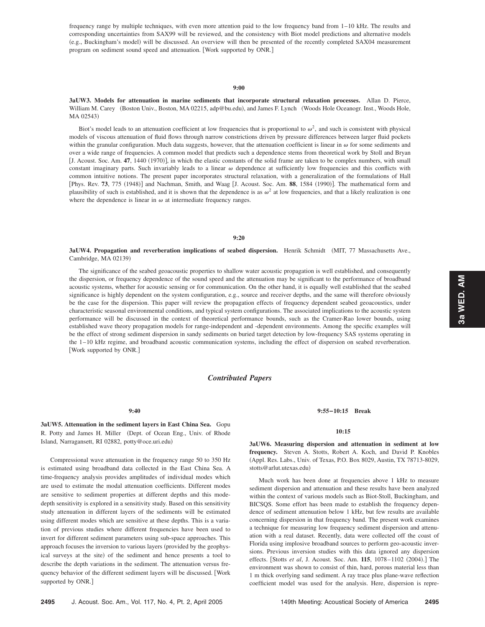frequency range by multiple techniques, with even more attention paid to the low frequency band from 1–10 kHz. The results and corresponding uncertainties from SAX99 will be reviewed, and the consistency with Biot model predictions and alternative models (e.g., Buckingham's model) will be discussed. An overview will then be presented of the recently completed SAX04 measurement program on sediment sound speed and attenuation. [Work supported by ONR.]

## **9:00**

**3aUW3. Models for attenuation in marine sediments that incorporate structural relaxation processes.** Allan D. Pierce, William M. Carey (Boston Univ., Boston, MA 02215, adp@bu.edu), and James F. Lynch (Woods Hole Oceanogr. Inst., Woods Hole, MA 02543)

Biot's model leads to an attenuation coefficient at low frequencies that is proportional to  $\omega^2$ , and such is consistent with physical models of viscous attenuation of fluid flows through narrow constrictions driven by pressure differences between larger fluid pockets within the granular configuration. Much data suggests, however, that the attenuation coefficient is linear in  $\omega$  for some sediments and over a wide range of frequencies. A common model that predicts such a dependence stems from theoretical work by Stoll and Bryan [J. Acoust. Soc. Am. 47, 1440 (1970)], in which the elastic constants of the solid frame are taken to be complex numbers, with small constant imaginary parts. Such invariably leads to a linear  $\omega$  dependence at sufficiently low frequencies and this conflicts with common intuitive notions. The present paper incorporates structural relaxation, with a generalization of the formulations of Hall [Phys. Rev. **73**, 775 (1948)] and Nachman, Smith, and Waag [J. Acoust. Soc. Am. 88, 1584 (1990)]. The mathematical form and plausibility of such is established, and it is shown that the dependence is as  $\omega^2$  at low frequencies, and that a likely realization is one where the dependence is linear in  $\omega$  at intermediate frequency ranges.

#### **9:20**

**3aUW4. Propagation and reverberation implications of seabed dispersion.** Henrik Schmidt (MIT, 77 Massachusetts Ave., Cambridge, MA 02139)

The significance of the seabed geoacoustic properties to shallow water acoustic propagation is well established, and consequently the dispersion, or frequency dependence of the sound speed and the attenuation may be significant to the performance of broadband acoustic systems, whether for acoustic sensing or for communication. On the other hand, it is equally well established that the seabed significance is highly dependent on the system configuration, e.g., source and receiver depths, and the same will therefore obviously be the case for the dispersion. This paper will review the propagation effects of frequency dependent seabed geoacoustics, under characteristic seasonal environmental conditions, and typical system configurations. The associated implications to the acoustic system performance will be discussed in the context of theoretical performance bounds, such as the Cramer-Rao lower bounds, using established wave theory propagation models for range-independent and -dependent environments. Among the specific examples will be the effect of strong sediment dispersion in sandy sediments on buried target detection by low-frequency SAS systems operating in the 1–10 kHz regime, and broadband acoustic communication systems, including the effect of dispersion on seabed reverberation. Work supported by ONR.

## *Contributed Papers*

**9:40**

**3aUW5. Attenuation in the sediment layers in East China Sea.** Gopu R. Potty and James H. Miller (Dept. of Ocean Eng., Univ. of Rhode Island, Narragansett, RI 02882, potty@oce.uri.edu-

Compressional wave attenuation in the frequency range 50 to 350 Hz is estimated using broadband data collected in the East China Sea. A time-frequency analysis provides amplitudes of individual modes which are used to estimate the modal attenuation coefficients. Different modes are sensitive to sediment properties at different depths and this modedepth sensitivity is explored in a sensitivity study. Based on this sensitivity study attenuation in different layers of the sediments will be estimated using different modes which are sensitive at these depths. This is a variation of previous studies where different frequencies have been used to invert for different sediment parameters using sub-space approaches. This approach focuses the inversion to various layers (provided by the geophysical surveys at the site) of the sediment and hence presents a tool to describe the depth variations in the sediment. The attenuation versus frequency behavior of the different sediment layers will be discussed. Work supported by ONR.]

# **9:55–10:15 Break**

## **10:15**

**3aUW6. Measuring dispersion and attenuation in sediment at low frequency.** Steven A. Stotts, Robert A. Koch, and David P. Knobles Appl. Res. Labs., Univ. of Texas, P.O. Box 8029, Austin, TX 78713-8029, stotts@arlut.utexas.edu)

Much work has been done at frequencies above 1 kHz to measure sediment dispersion and attenuation and these results have been analyzed within the context of various models such as Biot-Stoll, Buckingham, and BICSQS. Some effort has been made to establish the frequency dependence of sediment attenuation below 1 kHz, but few results are available concerning dispersion in that frequency band. The present work examines a technique for measuring low frequency sediment dispersion and attenuation with a real dataset. Recently, data were collected off the coast of Florida using implosive broadband sources to perform geo-acoustic inversions. Previous inversion studies with this data ignored any dispersion effects. [Stotts *et al*, J. Acoust. Soc. Am. **115**, 1078–1102 (2004).] The environment was shown to consist of thin, hard, porous material less than 1 m thick overlying sand sediment. A ray trace plus plane-wave reflection coefficient model was used for the analysis. Here, dispersion is repre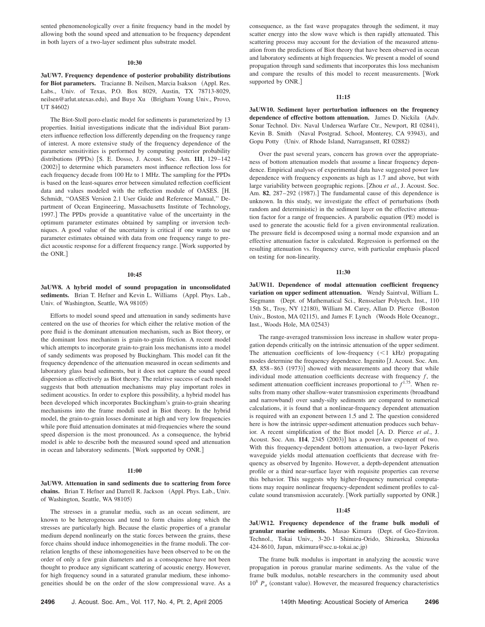sented phenomenologically over a finite frequency band in the model by allowing both the sound speed and attenuation to be frequency dependent in both layers of a two-layer sediment plus substrate model.

#### **10:30**

**3aUW7. Frequency dependence of posterior probability distributions** for Biot parameters. Tracianne B. Neilsen, Marcia Isakson (Appl. Res. Labs., Univ. of Texas, P.O. Box 8029, Austin, TX 78713-8029, neilsen@arlut.utexas.edu), and Buye Xu (Brigham Young Univ., Provo, UT 84602)

The Biot-Stoll poro-elastic model for sediments is parameterized by 13 properties. Initial investigations indicate that the individual Biot parameters influence reflection loss differently depending on the frequency range of interest. A more extensive study of the frequency dependence of the parameter sensitivities is performed by computing posterior probability distributions (PPDs) [S. E. Dosso, J. Acoust. Soc. Am. 111, 129-142 (2002)] to determine which parameters most influence reflection loss for each frequency decade from 100 Hz to 1 MHz. The sampling for the PPDs is based on the least-squares error between simulated reflection coefficient data and values modeled with the reflection module of OASES. H. Schmidt, "OASES Version 2.1 User Guide and Reference Manual," Department of Ocean Engineering, Massachusetts Institute of Technology, 1997. The PPDs provide a quantitative value of the uncertainty in the optimum parameter estimates obtained by sampling or inversion techniques. A good value of the uncertainty is critical if one wants to use parameter estimates obtained with data from one frequency range to predict acoustic response for a different frequency range. Work supported by the ONR.

#### **10:45**

**3aUW8. A hybrid model of sound propagation in unconsolidated** sediments. Brian T. Hefner and Kevin L. Williams (Appl. Phys. Lab., Univ. of Washington, Seattle, WA 98105)

Efforts to model sound speed and attenuation in sandy sediments have centered on the use of theories for which either the relative motion of the pore fluid is the dominant attenuation mechanism, such as Biot theory, or the dominant loss mechanism is grain-to-grain friction. A recent model which attempts to incorporate grain-to-grain loss mechanisms into a model of sandy sediments was proposed by Buckingham. This model can fit the frequency dependence of the attenuation measured in ocean sediments and laboratory glass bead sediments, but it does not capture the sound speed dispersion as effectively as Biot theory. The relative success of each model suggests that both attenuation mechanisms may play important roles in sediment acoustics. In order to explore this possibility, a hybrid model has been developed which incorporates Buckingham's grain-to-grain shearing mechanisms into the frame moduli used in Biot theory. In the hybrid model, the grain-to-grain losses dominate at high and very low frequencies while pore fluid attenuation dominates at mid-frequencies where the sound speed dispersion is the most pronounced. As a consequence, the hybrid model is able to describe both the measured sound speed and attenuation in ocean and laboratory sediments. [Work supported by ONR.]

#### **11:00**

**3aUW9. Attenuation in sand sediments due to scattering from force** chains. Brian T. Hefner and Darrell R. Jackson (Appl. Phys. Lab., Univ. of Washington, Seattle, WA 98105)

The stresses in a granular media, such as an ocean sediment, are known to be heterogeneous and tend to form chains along which the stresses are particularly high. Because the elastic properties of a granular medium depend nonlinearly on the static forces between the grains, these force chains should induce inhomogeneities in the frame moduli. The correlation lengths of these inhomogeneities have been observed to be on the order of only a few grain diameters and as a consequence have not been thought to produce any significant scattering of acoustic energy. However, for high frequency sound in a saturated granular medium, these inhomogeneities should be on the order of the slow compressional wave. As a consequence, as the fast wave propagates through the sediment, it may scatter energy into the slow wave which is then rapidly attenuated. This scattering process may account for the deviation of the measured attenuation from the predictions of Biot theory that have been observed in ocean and laboratory sediments at high frequencies. We present a model of sound propagation through sand sediments that incorporates this loss mechanism and compare the results of this model to recent measurements. Work supported by ONR.]

#### **11:15**

**3aUW10. Sediment layer perturbation influences on the frequency** dependence of effective bottom attenuation. James D. Nickila (Adv. Sonar Technol. Div. Naval Undersea Warfare Ctr., Newport, RI 02841), Kevin B. Smith (Naval Postgrad. School, Monterey, CA 93943), and Gopu Potty (Univ. of Rhode Island, Narragansett, RI 02882)

Over the past several years, concern has grown over the appropriateness of bottom attenuation models that assume a linear frequency dependence. Empirical analyses of experimental data have suggested power law dependence with frequency exponents as high as 1.7 and above, but with large variability between geographic regions. [Zhou et al., J. Acoust. Soc. Am. 82, 287–292 (1987).] The fundamental cause of this dependence is unknown. In this study, we investigate the effect of perturbations (both random and deterministic) in the sediment layer on the effective attenuation factor for a range of frequencies. A parabolic equation (PE) model is used to generate the acoustic field for a given environmental realization. The pressure field is decomposed using a normal mode expansion and an effective attenuation factor is calculated. Regression is performed on the resulting attenuation vs. frequency curve, with particular emphasis placed on testing for non-linearity.

## **11:30**

**3aUW11. Dependence of modal attenuation coefficient frequency variation on upper sediment attenuation.** Wendy Saintval, William L. Siegmann (Dept. of Mathematical Sci., Rensselaer Polytech. Inst., 110 15th St., Troy, NY 12180), William M. Carey, Allan D. Pierce (Boston Univ., Boston, MA 02115), and James F. Lynch (Woods Hole Oceanogr., Inst., Woods Hole, MA 02543)

The range-averaged transmission loss increase in shallow water propagation depends critically on the intrinsic attenuation of the upper sediment. The attenuation coefficients of low-frequency  $(< 1$  kHz) propagating modes determine the frequency dependence. Ingenito [J. Acoust. Soc. Am. **53**, 858–863 (1973)] showed with measurements and theory that while individual mode attenuation coefficients decrease with frequency  $f$ , the sediment attenuation coefficient increases proportional to  $f^{1.75}$ . When results from many other shallow-water transmission experiments (broadband and narrowband) over sandy-silty sediments are compared to numerical calculations, it is found that a nonlinear-frequency dependent attenuation is required with an exponent between 1.5 and 2. The question considered here is how the intrinsic upper-sediment attenuation produces such behavior. A recent simplification of the Biot model [A. D. Pierce et al., J. Acoust. Soc. Am. 114, 2345 (2003)] has a power-law exponent of two. With this frequency-dependent bottom attenuation, a two-layer Pekeris waveguide yields modal attenuation coefficients that decrease with frequency as observed by Ingenito. However, a depth-dependent attenuation profile or a third near-surface layer with requisite properties can reverse this behavior. This suggests why higher-frequency numerical computations may require nonlinear frequency-dependent sediment profiles to calculate sound transmission accurately. Work partially supported by ONR.

#### **11:45**

**3aUW12. Frequency dependence of the frame bulk moduli of** granular marine sediments. Masao Kimura (Dept. of Geo-Environ. Technol., Tokai Univ., 3-20-1 Shimizu-Orido, Shizuoka, Shizuoka 424-8610, Japan, mkimura@scc.u-tokai.ac.jp)

The frame bulk modulus is important in analyzing the acoustic wave propagation in porous granular marine sediments. As the value of the frame bulk modulus, notable researchers in the community used about  $10^8$   $P_a$  (constant value). However, the measured frequency characteristics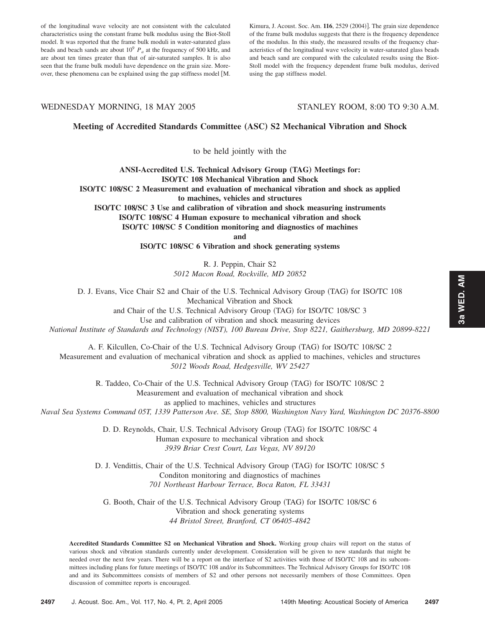of the longitudinal wave velocity are not consistent with the calculated characteristics using the constant frame bulk modulus using the Biot-Stoll model. It was reported that the frame bulk moduli in water-saturated glass beads and beach sands are about  $10^9$   $P_a$  at the frequency of 500 kHz, and are about ten times greater than that of air-saturated samples. It is also seen that the frame bulk moduli have dependence on the grain size. Moreover, these phenomena can be explained using the gap stiffness model [M.

Kimura, J. Acoust. Soc. Am. 116, 2529 (2004)]. The grain size dependence of the frame bulk modulus suggests that there is the frequency dependence of the modulus. In this study, the measured results of the frequency characteristics of the longitudinal wave velocity in water-saturated glass beads and beach sand are compared with the calculated results using the Biot-Stoll model with the frequency dependent frame bulk modulus, derived using the gap stiffness model.

# WEDNESDAY MORNING, 18 MAY 2005 STANLEY ROOM, 8:00 TO 9:30 A.M.

# **Meeting of Accredited Standards Committee (ASC) S2 Mechanical Vibration and Shock**

to be held jointly with the

ANSI-Accredited U.S. Technical Advisory Group (TAG) Meetings for: **ISO/TC 108 Mechanical Vibration and Shock** 

**ISOÕTC 108ÕSC 2 Measurement and evaluation of mechanical vibration and shock as applied**

**to machines, vehicles and structures**

**ISO/TC 108/SC 3 Use and calibration of vibration and shock measuring instruments** 

**ISOÕTC 108ÕSC 4 Human exposure to mechanical vibration and shock**

**ISO**/**TC** 108/SC 5 Condition monitoring and diagnostics of machines

**and**

**ISO/TC** 108/SC<sub>6</sub> Vibration and shock generating systems

R. J. Peppin, Chair S2 *5012 Macon Road, Rockville, MD 20852*

D. J. Evans, Vice Chair S2 and Chair of the U.S. Technical Advisory Group (TAG) for ISO/TC 108 Mechanical Vibration and Shock

and Chair of the U.S. Technical Advisory Group (TAG) for ISO/TC 108/SC 3

Use and calibration of vibration and shock measuring devices

*National Institute of Standards and Technology (NIST), 100 Bureau Drive, Stop 8221, Gaithersburg, MD 20899-8221*

A. F. Kilcullen, Co-Chair of the U.S. Technical Advisory Group (TAG) for ISO/TC 108/SC 2 Measurement and evaluation of mechanical vibration and shock as applied to machines, vehicles and structures *5012 Woods Road, Hedgesville, WV 25427*

R. Taddeo, Co-Chair of the U.S. Technical Advisory Group (TAG) for ISO/TC 108/SC 2 Measurement and evaluation of mechanical vibration and shock

as applied to machines, vehicles and structures

*Naval Sea Systems Command 05T, 1339 Patterson Ave. SE, Stop 8800, Washington Navy Yard, Washington DC 20376-8800*

D. D. Reynolds, Chair, U.S. Technical Advisory Group (TAG) for ISO/TC 108/SC 4 Human exposure to mechanical vibration and shock *3939 Briar Crest Court, Las Vegas, NV 89120*

D. J. Vendittis, Chair of the U.S. Technical Advisory Group (TAG) for ISO/TC 108/SC 5 Conditon monitoring and diagnostics of machines *701 Northeast Harbour Terrace, Boca Raton, FL 33431*

G. Booth, Chair of the U.S. Technical Advisory Group (TAG) for ISO/TC 108/SC 6 Vibration and shock generating systems *44 Bristol Street, Branford, CT 06405-4842*

**Accredited Standards Committee S2 on Mechanical Vibration and Shock.** Working group chairs will report on the status of various shock and vibration standards currently under development. Consideration will be given to new standards that might be needed over the next few years. There will be a report on the interface of S2 activities with those of ISO/TC 108 and its subcommittees including plans for future meetings of ISO/TC 108 and/or its Subcommittees. The Technical Advisory Groups for ISO/TC 108 and and its Subcommittees consists of members of S2 and other persons not necessarily members of those Committees. Open discussion of committee reports is encouraged.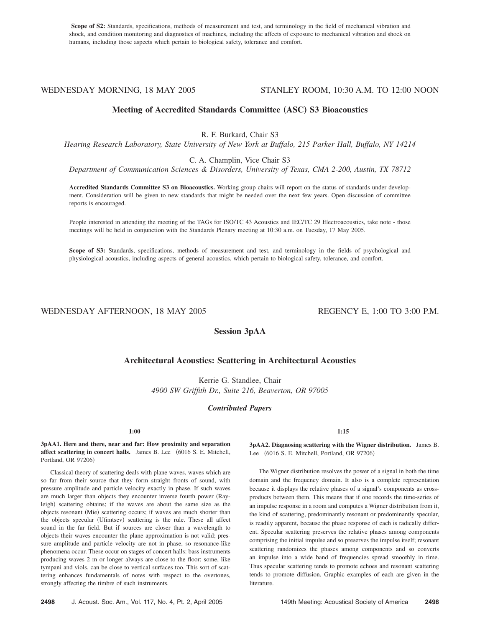Scope of S2: Standards, specifications, methods of measurement and test, and terminology in the field of mechanical vibration and shock, and condition monitoring and diagnostics of machines, including the affects of exposure to mechanical vibration and shock on humans, including those aspects which pertain to biological safety, tolerance and comfort.

# WEDNESDAY MORNING, 18 MAY 2005 STANLEY ROOM, 10:30 A.M. TO 12:00 NOON

# **Meeting of Accredited Standards Committee (ASC) S3 Bioacoustics**

R. F. Burkard, Chair S3

*Hearing Research Laboratory, State University of New York at Buffalo, 215 Parker Hall, Buffalo, NY 14214*

C. A. Champlin, Vice Chair S3

*Department of Communication Sciences & Disorders, University of Texas, CMA 2-200, Austin, TX 78712*

**Accredited Standards Committee S3 on Bioacoustics.** Working group chairs will report on the status of standards under development. Consideration will be given to new standards that might be needed over the next few years. Open discussion of committee reports is encouraged.

People interested in attending the meeting of the TAGs for ISO/TC 43 Acoustics and IEC/TC 29 Electroacoustics, take note - those meetings will be held in conjunction with the Standards Plenary meeting at 10:30 a.m. on Tuesday, 17 May 2005.

Scope of S3: Standards, specifications, methods of measurement and test, and terminology in the fields of psychological and physiological acoustics, including aspects of general acoustics, which pertain to biological safety, tolerance, and comfort.

## WEDNESDAY AFTERNOON, 18 MAY 2005 REGENCY E, 1:00 TO 3:00 P.M.

**Session 3pAA**

# **Architectural Acoustics: Scattering in Architectural Acoustics**

Kerrie G. Standlee, Chair *4900 SW Griffith Dr., Suite 216, Beaverton, OR 97005*

## *Contributed Papers*

## **1:00**

**3pAA1. Here and there, near and far: How proximity and separation** affect scattering in concert halls. James B. Lee (6016 S. E. Mitchell, Portland, OR 97206)

Classical theory of scattering deals with plane waves, waves which are so far from their source that they form straight fronts of sound, with pressure amplitude and particle velocity exactly in phase. If such waves are much larger than objects they encounter inverse fourth power (Rayleigh) scattering obtains; if the waves are about the same size as the objects resonant (Mie) scattering occurs; if waves are much shorter than the objects specular (Ufimtsev) scattering is the rule. These all affect sound in the far field. But if sources are closer than a wavelength to objects their waves encounter the plane approximation is not valid; pressure amplitude and particle velocity are not in phase, so resonance-like phenomena occur. These occur on stages of concert halls: bass instruments producing waves 2 m or longer always are close to the floor; some, like tympani and viols, can be close to vertical surfaces too. This sort of scattering enhances fundamentals of notes with respect to the overtones, strongly affecting the timbre of such instruments.

**1:15**

**3pAA2. Diagnosing scattering with the Wigner distribution.** James B. Lee (6016 S. E. Mitchell, Portland, OR 97206)

The Wigner distribution resolves the power of a signal in both the time domain and the frequency domain. It also is a complete representation because it displays the relative phases of a signal's components as crossproducts between them. This means that if one records the time-series of an impulse response in a room and computes a Wigner distribution from it, the kind of scattering, predominantly resonant or predominantly specular, is readily apparent, because the phase response of each is radically different. Specular scattering preserves the relative phases among components comprising the initial impulse and so preserves the impulse itself; resonant scattering randomizes the phases among components and so converts an impulse into a wide band of frequencies spread smoothly in time. Thus specular scattering tends to promote echoes and resonant scattering tends to promote diffusion. Graphic examples of each are given in the literature.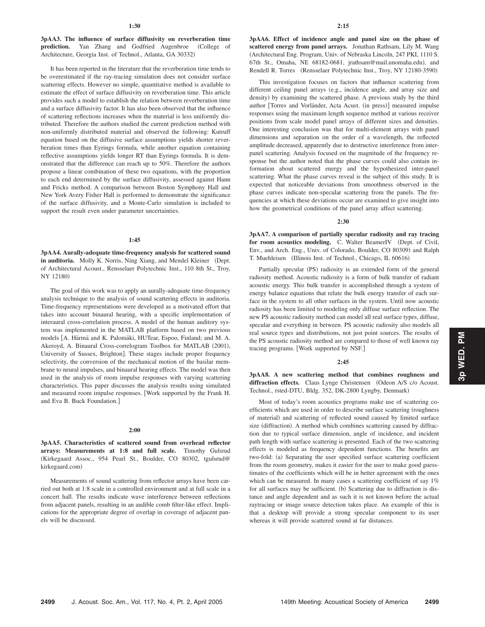**3pAA3. The influence of surface diffusivity on reverberation time prediction.** Yan Zhang and Godfried Augenbroe College of Architecture, Georgia Inst. of Technol., Atlanta, GA 30332)

It has been reported in the literature that the reverberation time tends to be overestimated if the ray-tracing simulation does not consider surface scattering effects. However no simple, quantitative method is available to estimate the effect of surface diffusivity on reverberation time. This article provides such a model to establish the relation between reverberation time and a surface diffusivity factor. It has also been observed that the influence of scattering reflections increases when the material is less uniformly distributed. Therefore the authors studied the current prediction method with non-uniformly distributed material and observed the following: Kutruff equation based on the diffusive surface assumptions yields shorter reverberation times than Eyrings formula, while another equation containing reflective assumptions yields longer RT than Eyrings formula. It is demonstrated that the difference can reach up to 50%. Therefore the authors propose a linear combination of these two equations, with the proportion to each end determined by the surface diffusivity, assessed against Hann and Fricks method. A comparison between Boston Symphony Hall and New York Avery Fisher Hall is performed to demonstrate the significance of the surface diffusivity, and a Monte-Carlo simulation is included to support the result even under parameter uncertainties.

### **1:45**

**3pAA4. Aurally-adequate time-frequency analysis for scattered sound** in auditoria. Molly K. Norris, Ning Xiang, and Mendel Kleiner (Dept. of Architectural Acoust., Rensselaer Polytechnic Inst., 110 8th St., Troy, NY 12180)

The goal of this work was to apply an aurally-adequate time-frequency analysis technique to the analysis of sound scattering effects in auditoria. Time-frequency representations were developed as a motivated effort that takes into account binaural hearing, with a specific implementation of interaural cross-correlation process. A model of the human auditory system was implemented in the MATLAB platform based on two previous models [A. Härmä and K. Palomäki, HUTear, Espoo, Finland; and M. A. Akeroyd, A. Binaural Cross-correlogram Toolbox for MATLAB (2001), University of Sussex, Brighton]. These stages include proper frequency selectivity, the conversion of the mechanical motion of the basilar membrane to neural impulses, and binaural hearing effects. The model was then used in the analysis of room impulse responses with varying scattering characteristics. This paper discusses the analysis results using simulated and measured room impulse responses. Work supported by the Frank H. and Eva B. Buck Foundation.

#### **2:00**

**3pAA5. Characteristics of scattered sound from overhead reflector arrays: Measurements at 1:8 and full scale.** Timothy Gulsrud Kirkegaard Assoc., 954 Pearl St., Boulder, CO 80302, tgulsrud@ kirkegaard.com)

Measurements of sound scattering from reflector arrays have been carried out both at 1:8 scale in a controlled environment and at full scale in a concert hall. The results indicate wave interference between reflections from adjacent panels, resulting in an audible comb filter-like effect. Implications for the appropriate degree of overlap in coverage of adjacent panels will be discussed.

**3pAA6. Effect of incidence angle and panel size on the phase of scattered energy from panel arrays.** Jonathan Rathsam, Lily M. Wang Architectural Eng. Program, Univ. of Nebraska Lincoln, 247 PKI, 1110 S. 67th St., Omaha, NE 68182-0681, jrathsam@mail.unomaha.edu), and Rendell R. Torres (Rensselaer Polytechnic Inst., Troy, NY 12180-3590)

This investigation focuses on factors that influence scattering from different ceiling panel arrays (e.g., incidence angle, and array size and density) by examining the scattered phase. A previous study by the third author [Torres and Vorländer, Acta Acust. (in press)] measured impulse responses using the maximum length sequence method at various receiver positions from scale model panel arrays of different sizes and densities. One interesting conclusion was that for multi-element arrays with panel dimensions and separation on the order of a wavelength, the reflected amplitude decreased, apparently due to destructive interference from interpanel scattering. Analysis focused on the magnitude of the frequency response but the author noted that the phase curves could also contain information about scattered energy and the hypothesized inter-panel scattering. What the phase curves reveal is the subject of this study. It is expected that noticeable deviations from smoothness observed in the phase curves indicate non-specular scattering from the panels. The frequencies at which these deviations occur are examined to give insight into how the geometrical conditions of the panel array affect scattering.

## **2:30**

**3pAA7. A comparison of partially specular radiosity and ray tracing** for room acoustics modeling. C. Walter BeamerIV (Dept. of Civil, Env., and Arch. Eng., Univ. of Colorado, Boulder, CO 80309) and Ralph T. Muehleisen (Illinois Inst. of Technol., Chicago, IL 60616)

Partially specular (PS) radiosity is an extended form of the general radiosity method. Acoustic radiosity is a form of bulk transfer of radiant acoustic energy. This bulk transfer is accomplished through a system of energy balance equations that relate the bulk energy transfer of each surface in the system to all other surfaces in the system. Until now acoustic radiosity has been limited to modeling only diffuse surface reflection. The new PS acoustic radiosity method can model all real surface types, diffuse, specular and everything in between. PS acoustic radiosity also models all real source types and distributions, not just point sources. The results of the PS acoustic radiosity method are compared to those of well known ray tracing programs. [Work supported by NSF.]

## **2:45**

**3pAA8. A new scattering method that combines roughness and** diffraction effects. Claus Lynge Christensen (Odeon A/S c/o Acoust. Technol., rsted-DTU, Bldg. 352, DK-2800 Lyngby, Denmark)

Most of today's room acoustics programs make use of scattering coefficients which are used in order to describe surface scattering (roughness of material) and scattering of reflected sound caused by limited surface size (diffraction). A method which combines scattering caused by diffraction due to typical surface dimension, angle of incidence, and incident path length with surface scattering is presented. Each of the two scattering effects is modeled as frequency dependent functions. The benefits are two-fold: (a) Separating the user specified surface scattering coefficient from the room geometry, makes it easier for the user to make good guesstimates of the coefficients which will be in better agreement with the ones which can be measured. In many cases a scattering coefficient of say 1% for all surfaces may be sufficient. (b) Scattering due to diffraction is distance and angle dependent and as such it is not known before the actual raytracing or image source detection takes place. An example of this is that a desktop will provide a strong specular component to its user whereas it will provide scattered sound at far distances.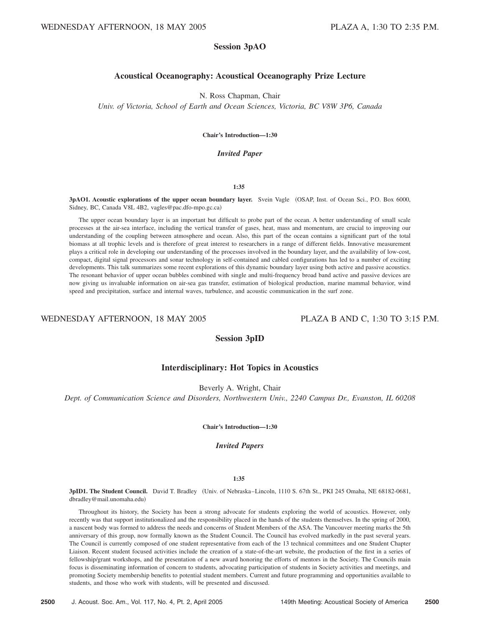# **Session 3pAO**

## **Acoustical Oceanography: Acoustical Oceanography Prize Lecture**

N. Ross Chapman, Chair

*Univ. of Victoria, School of Earth and Ocean Sciences, Victoria, BC V8W 3P6, Canada*

**Chair's Introduction—1:30**

## *Invited Paper*

## **1:35**

**3pAO1. Acoustic explorations of the upper ocean boundary layer.** Svein Vagle OSAP, Inst. of Ocean Sci., P.O. Box 6000, Sidney, BC, Canada V8L 4B2, vagles@pac.dfo-mpo.gc.ca)

The upper ocean boundary layer is an important but difficult to probe part of the ocean. A better understanding of small scale processes at the air-sea interface, including the vertical transfer of gases, heat, mass and momentum, are crucial to improving our understanding of the coupling between atmosphere and ocean. Also, this part of the ocean contains a significant part of the total biomass at all trophic levels and is therefore of great interest to researchers in a range of different fields. Innovative measurement plays a critical role in developing our understanding of the processes involved in the boundary layer, and the availability of low-cost, compact, digital signal processors and sonar technology in self-contained and cabled configurations has led to a number of exciting developments. This talk summarizes some recent explorations of this dynamic boundary layer using both active and passive acoustics. The resonant behavior of upper ocean bubbles combined with single and multi-frequency broad band active and passive devices are now giving us invaluable information on air-sea gas transfer, estimation of biological production, marine mammal behavior, wind speed and precipitation, surface and internal waves, turbulence, and acoustic communication in the surf zone.

# WEDNESDAY AFTERNOON, 18 MAY 2005 PLAZA B AND C, 1:30 TO 3:15 P.M.

# **Session 3pID**

## **Interdisciplinary: Hot Topics in Acoustics**

Beverly A. Wright, Chair

*Dept. of Communication Science and Disorders, Northwestern Univ., 2240 Campus Dr., Evanston, IL 60208*

**Chair's Introduction—1:30**

## *Invited Papers*

## **1:35**

**3pID1. The Student Council.** David T. Bradley Univ. of Nebraska–Lincoln, 1110 S. 67th St., PKI 245 Omaha, NE 68182-0681, dbradley@mail.unomaha.edu-

Throughout its history, the Society has been a strong advocate for students exploring the world of acoustics. However, only recently was that support institutionalized and the responsibility placed in the hands of the students themselves. In the spring of 2000, a nascent body was formed to address the needs and concerns of Student Members of the ASA. The Vancouver meeting marks the 5th anniversary of this group, now formally known as the Student Council. The Council has evolved markedly in the past several years. The Council is currently composed of one student representative from each of the 13 technical committees and one Student Chapter Liaison. Recent student focused activities include the creation of a state-of-the-art website, the production of the first in a series of fellowship/grant workshops, and the presentation of a new award honoring the efforts of mentors in the Society. The Councils main focus is disseminating information of concern to students, advocating participation of students in Society activities and meetings, and promoting Society membership benefits to potential student members. Current and future programming and opportunities available to students, and those who work with students, will be presented and discussed.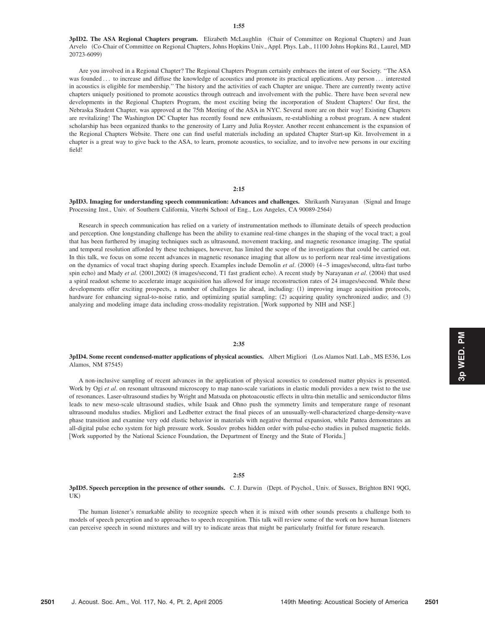**3pID2. The ASA Regional Chapters program.** Elizabeth McLaughlin (Chair of Committee on Regional Chapters) and Juan Arvelo Co-Chair of Committee on Regional Chapters, Johns Hopkins Univ., Appl. Phys. Lab., 11100 Johns Hopkins Rd., Laurel, MD 20723-6099)

Are you involved in a Regional Chapter? The Regional Chapters Program certainly embraces the intent of our Society. ''The ASA was founded ... to increase and diffuse the knowledge of acoustics and promote its practical applications. Any person... interested in acoustics is eligible for membership.'' The history and the activities of each Chapter are unique. There are currently twenty active chapters uniquely positioned to promote acoustics through outreach and involvement with the public. There have been several new developments in the Regional Chapters Program, the most exciting being the incorporation of Student Chapters! Our first, the Nebraska Student Chapter, was approved at the 75th Meeting of the ASA in NYC. Several more are on their way! Existing Chapters are revitalizing! The Washington DC Chapter has recently found new enthusiasm, re-establishing a robust program. A new student scholarship has been organized thanks to the generosity of Larry and Julia Royster. Another recent enhancement is the expansion of the Regional Chapters Website. There one can find useful materials including an updated Chapter Start-up Kit. Involvement in a chapter is a great way to give back to the ASA, to learn, promote acoustics, to socialize, and to involve new persons in our exciting field!

## **2:15**

**3pID3. Imaging for understanding speech communication: Advances and challenges.** Shrikanth Narayanan (Signal and Image Processing Inst., Univ. of Southern California, Viterbi School of Eng., Los Angeles, CA 90089-2564)

Research in speech communication has relied on a variety of instrumentation methods to illuminate details of speech production and perception. One longstanding challenge has been the ability to examine real-time changes in the shaping of the vocal tract; a goal that has been furthered by imaging techniques such as ultrasound, movement tracking, and magnetic resonance imaging. The spatial and temporal resolution afforded by these techniques, however, has limited the scope of the investigations that could be carried out. In this talk, we focus on some recent advances in magnetic resonance imaging that allow us to perform near real-time investigations on the dynamics of vocal tract shaping during speech. Examples include Demolin *et al.* (2000) (4–5 images/second, ultra-fast turbo spin echo) and Mady *et al.* (2001,2002) (8 images/second, T1 fast gradient echo). A recent study by Narayanan *et al.* (2004) that used a spiral readout scheme to accelerate image acquisition has allowed for image reconstruction rates of 24 images/second. While these developments offer exciting prospects, a number of challenges lie ahead, including: (1) improving image acquisition protocols, hardware for enhancing signal-to-noise ratio, and optimizing spatial sampling; (2) acquiring quality synchronized audio; and (3) analyzing and modeling image data including cross-modality registration. Work supported by NIH and NSF.

## **2:35**

**3pID4. Some recent condensed-matter applications of physical acoustics.** Albert Migliori Los Alamos Natl. Lab., MS E536, Los Alamos, NM 87545-

A non-inclusive sampling of recent advances in the application of physical acoustics to condensed matter physics is presented. Work by Ogi *et al*. on resonant ultrasound microscopy to map nano-scale variations in elastic moduli provides a new twist to the use of resonances. Laser-ultrasound studies by Wright and Matsuda on photoacoustic effects in ultra-thin metallic and semiconductor films leads to new meso-scale ultrasound studies, while Isaak and Ohno push the symmetry limits and temperature range of resonant ultrasound modulus studies. Migliori and Ledbetter extract the final pieces of an unusually-well-characterized charge-density-wave phase transition and examine very odd elastic behavior in materials with negative thermal expansion, while Pantea demonstrates an all-digital pulse echo system for high pressure work. Souslov probes hidden order with pulse-echo studies in pulsed magnetic fields. Work supported by the National Science Foundation, the Department of Energy and the State of Florida.

## **2:55**

### **3pID5. Speech perception in the presence of other sounds.** C. J. Darwin (Dept. of Psychol., Univ. of Sussex, Brighton BN1 9QG,  $IJK$ )

The human listener's remarkable ability to recognize speech when it is mixed with other sounds presents a challenge both to models of speech perception and to approaches to speech recognition. This talk will review some of the work on how human listeners can perceive speech in sound mixtures and will try to indicate areas that might be particularly fruitful for future research.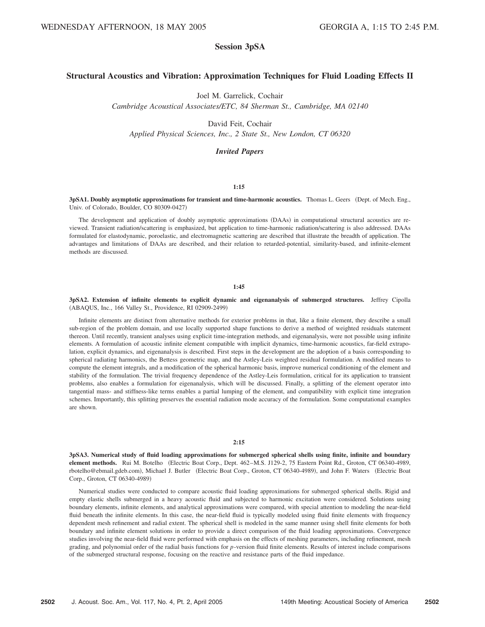# **Session 3pSA**

## **Structural Acoustics and Vibration: Approximation Techniques for Fluid Loading Effects II**

Joel M. Garrelick, Cochair

*Cambridge Acoustical Associates/ETC, 84 Sherman St., Cambridge, MA 02140*

David Feit, Cochair

*Applied Physical Sciences, Inc., 2 State St., New London, CT 06320*

## *Invited Papers*

## **1:15**

**3pSA1. Doubly asymptotic approximations for transient and time-harmonic acoustics.** Thomas L. Geers (Dept. of Mech. Eng., Univ. of Colorado, Boulder, CO 80309-0427)

The development and application of doubly asymptotic approximations (DAAs) in computational structural acoustics are reviewed. Transient radiation/scattering is emphasized, but application to time-harmonic radiation/scattering is also addressed. DAAs formulated for elastodynamic, poroelastic, and electromagnetic scattering are described that illustrate the breadth of application. The advantages and limitations of DAAs are described, and their relation to retarded-potential, similarity-based, and infinite-element methods are discussed.

## **1:45**

**3pSA2. Extension of infinite elements to explicit dynamic and eigenanalysis of submerged structures.** Jeffrey Cipolla ABAQUS, Inc., 166 Valley St., Providence, RI 02909-2499-

Infinite elements are distinct from alternative methods for exterior problems in that, like a finite element, they describe a small sub-region of the problem domain, and use locally supported shape functions to derive a method of weighted residuals statement thereon. Until recently, transient analyses using explicit time-integration methods, and eigenanalysis, were not possible using infinite elements. A formulation of acoustic infinite element compatible with implicit dynamics, time-harmonic acoustics, far-field extrapolation, explicit dynamics, and eigenanalysis is described. First steps in the development are the adoption of a basis corresponding to spherical radiating harmonics, the Bettess geometric map, and the Astley-Leis weighted residual formulation. A modified means to compute the element integrals, and a modification of the spherical harmonic basis, improve numerical conditioning of the element and stability of the formulation. The trivial frequency dependence of the Astley-Leis formulation, critical for its application to transient problems, also enables a formulation for eigenanalysis, which will be discussed. Finally, a splitting of the element operator into tangential mass- and stiffness-like terms enables a partial lumping of the element, and compatibility with explicit time integration schemes. Importantly, this splitting preserves the essential radiation mode accuracy of the formulation. Some computational examples are shown.

#### **2:15**

**3pSA3. Numerical study of fluid loading approximations for submerged spherical shells using finite, infinite and boundary element methods.** Rui M. Botelho Electric Boat Corp., Dept. 462–M.S. J129-2, 75 Eastern Point Rd., Groton, CT 06340-4989, rbotelho@ebmail.gdeb.com), Michael J. Butler (Electric Boat Corp., Groton, CT 06340-4989), and John F. Waters (Electric Boat Corp., Groton, CT 06340-4989)

Numerical studies were conducted to compare acoustic fluid loading approximations for submerged spherical shells. Rigid and empty elastic shells submerged in a heavy acoustic fluid and subjected to harmonic excitation were considered. Solutions using boundary elements, infinite elements, and analytical approximations were compared, with special attention to modeling the near-field fluid beneath the infinite elements. In this case, the near-field fluid is typically modeled using fluid finite elements with frequency dependent mesh refinement and radial extent. The spherical shell is modeled in the same manner using shell finite elements for both boundary and infinite element solutions in order to provide a direct comparison of the fluid loading approximations. Convergence studies involving the near-field fluid were performed with emphasis on the effects of meshing parameters, including refinement, mesh grading, and polynomial order of the radial basis functions for *p*-version fluid finite elements. Results of interest include comparisons of the submerged structural response, focusing on the reactive and resistance parts of the fluid impedance.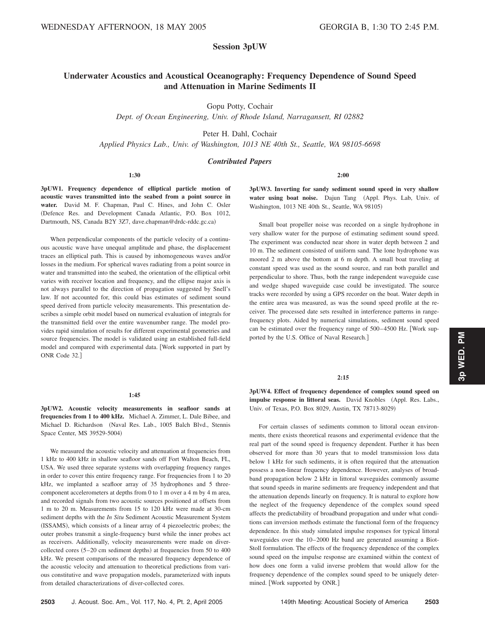## **Session 3pUW**

# **Underwater Acoustics and Acoustical Oceanography: Frequency Dependence of Sound Speed and Attenuation in Marine Sediments II**

Gopu Potty, Cochair

*Dept. of Ocean Engineering, Univ. of Rhode Island, Narragansett, RI 02882*

Peter H. Dahl, Cochair

*Applied Physics Lab., Univ. of Washington, 1013 NE 40th St., Seattle, WA 98105-6698*

## *Contributed Papers*

#### **1:30**

**3pUW1. Frequency dependence of elliptical particle motion of acoustic waves transmitted into the seabed from a point source in water.** David M. F. Chapman, Paul C. Hines, and John C. Osler Defence Res. and Development Canada Atlantic, P.O. Box 1012, Dartmouth, NS, Canada B2Y 3Z7, dave.chapman@drdc-rddc.gc.ca)

When perpendicular components of the particle velocity of a continuous acoustic wave have unequal amplitude and phase, the displacement traces an elliptical path. This is caused by inhomogeneous waves and/or losses in the medium. For spherical waves radiating from a point source in water and transmitted into the seabed, the orientation of the elliptical orbit varies with receiver location and frequency, and the ellipse major axis is not always parallel to the direction of propagation suggested by Snell's law. If not accounted for, this could bias estimates of sediment sound speed derived from particle velocity measurements. This presentation describes a simple orbit model based on numerical evaluation of integrals for the transmitted field over the entire wavenumber range. The model provides rapid simulation of results for different experimental geometries and source frequencies. The model is validated using an established full-field model and compared with experimental data. Work supported in part by ONR Code 32.7

#### **1:45**

**3pUW2. Acoustic velocity measurements in seafloor sands at frequencies from 1 to 400 kHz.** Michael A. Zimmer, L. Dale Bibee, and Michael D. Richardson Naval Res. Lab., 1005 Balch Blvd., Stennis Space Center, MS 39529-5004)

We measured the acoustic velocity and attenuation at frequencies from 1 kHz to 400 kHz in shallow seafloor sands off Fort Walton Beach, FL, USA. We used three separate systems with overlapping frequency ranges in order to cover this entire frequency range. For frequencies from 1 to 20 kHz, we implanted a seafloor array of 35 hydrophones and 5 threecomponent accelerometers at depths from 0 to 1 m over a 4 m by 4 m area, and recorded signals from two acoustic sources positioned at offsets from 1 m to 20 m. Measurements from 15 to 120 kHz were made at 30-cm sediment depths with the *In Situ* Sediment Acoustic Measurement System (ISSAMS), which consists of a linear array of 4 piezoelectric probes; the outer probes transmit a single-frequency burst while the inner probes act as receivers. Additionally, velocity measurements were made on diver $collected cores (5-20 cm sediment depths) at frequencies from 50 to 400$ kHz. We present comparisons of the measured frequency dependence of the acoustic velocity and attenuation to theoretical predictions from various constitutive and wave propagation models, parameterized with inputs from detailed characterizations of diver-collected cores.

**2503** J. Acoust. Soc. Am., Vol. 117, No. 4, Pt. 2, April 2005 149th Meeting: Acoustical Society of America **2503**

**3pUW3. Inverting for sandy sediment sound speed in very shallow** water using boat noise. Dajun Tang (Appl. Phys. Lab, Univ. of Washington, 1013 NE 40th St., Seattle, WA 98105)

**2:00**

Small boat propeller noise was recorded on a single hydrophone in very shallow water for the purpose of estimating sediment sound speed. The experiment was conducted near shore in water depth between 2 and 10 m. The sediment consisted of uniform sand. The lone hydrophone was moored 2 m above the bottom at 6 m depth. A small boat traveling at constant speed was used as the sound source, and ran both parallel and perpendicular to shore. Thus, both the range independent waveguide case and wedge shaped waveguide case could be investigated. The source tracks were recorded by using a GPS recorder on the boat. Water depth in the entire area was measured, as was the sound speed profile at the receiver. The processed date sets resulted in interference patterns in rangefrequency plots. Aided by numerical simulations, sediment sound speed can be estimated over the frequency range of 500-4500 Hz. [Work supported by the U.S. Office of Naval Research.

## **2:15**

**3pUW4. Effect of frequency dependence of complex sound speed on** impulse response in littoral seas. David Knobles (Appl. Res. Labs., Univ. of Texas, P.O. Box 8029, Austin, TX 78713-8029-

For certain classes of sediments common to littoral ocean environments, there exists theoretical reasons and experimental evidence that the real part of the sound speed is frequency dependent. Further it has been observed for more than 30 years that to model transmission loss data below 1 kHz for such sediments, it is often required that the attenuation possess a non-linear frequency dependence. However, analyses of broadband propagation below 2 kHz in littoral waveguides commonly assume that sound speeds in marine sediments are frequency independent and that the attenuation depends linearly on frequency. It is natural to explore how the neglect of the frequency dependence of the complex sound speed affects the predictability of broadband propagation and under what conditions can inversion methods estimate the functional form of the frequency dependence. In this study simulated impulse responses for typical littoral waveguides over the 10–2000 Hz band are generated assuming a Biot-Stoll formulation. The effects of the frequency dependence of the complex sound speed on the impulse response are examined within the context of how does one form a valid inverse problem that would allow for the frequency dependence of the complex sound speed to be uniquely determined. [Work supported by ONR.]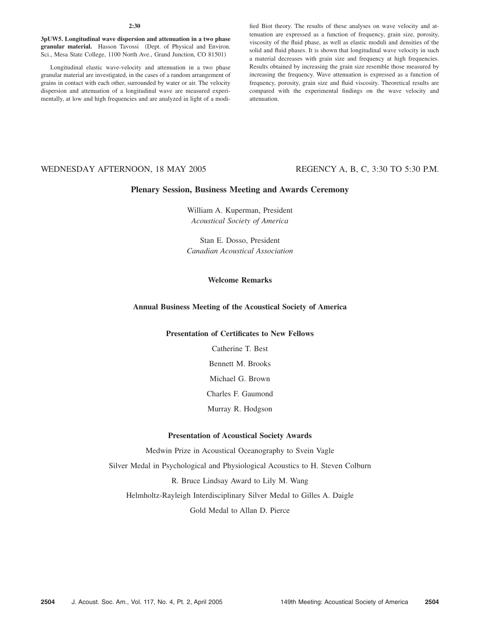**3pUW5. Longitudinal wave dispersion and attenuation in a two phase** granular material. Hasson Tavossi (Dept. of Physical and Environ. Sci., Mesa State College, 1100 North Ave., Grand Junction, CO 81501)

Longitudinal elastic wave-velocity and attenuation in a two phase granular material are investigated, in the cases of a random arrangement of grains in contact with each other, surrounded by water or air. The velocity dispersion and attenuation of a longitudinal wave are measured experimentally, at low and high frequencies and are analyzed in light of a modified Biot theory. The results of these analyses on wave velocity and attenuation are expressed as a function of frequency, grain size, porosity, viscosity of the fluid phase, as well as elastic moduli and densities of the solid and fluid phases. It is shown that longitudinal wave velocity in such a material decreases with grain size and frequency at high frequencies. Results obtained by increasing the grain size resemble those measured by increasing the frequency. Wave attenuation is expressed as a function of frequency, porosity, grain size and fluid viscosity. Theoretical results are compared with the experimental findings on the wave velocity and attenuation.

# WEDNESDAY AFTERNOON, 18 MAY 2005 REGENCY A, B, C, 3:30 TO 5:30 P.M.

# **Plenary Session, Business Meeting and Awards Ceremony**

William A. Kuperman, President *Acoustical Society of America*

Stan E. Dosso, President *Canadian Acoustical Association*

## **Welcome Remarks**

## **Annual Business Meeting of the Acoustical Society of America**

## **Presentation of Certificates to New Fellows**

Catherine T. Best Bennett M. Brooks Michael G. Brown Charles F. Gaumond Murray R. Hodgson

## **Presentation of Acoustical Society Awards**

Medwin Prize in Acoustical Oceanography to Svein Vagle Silver Medal in Psychological and Physiological Acoustics to H. Steven Colburn R. Bruce Lindsay Award to Lily M. Wang Helmholtz-Rayleigh Interdisciplinary Silver Medal to Gilles A. Daigle Gold Medal to Allan D. Pierce